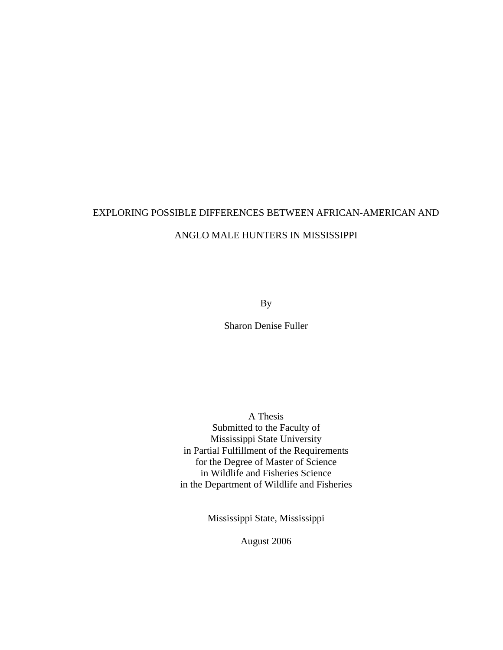# EXPLORING POSSIBLE DIFFERENCES BETWEEN AFRICAN-AMERICAN AND ANGLO MALE HUNTERS IN MISSISSIPPI

By

Sharon Denise Fuller

A Thesis Submitted to the Faculty of Mississippi State University in Partial Fulfillment of the Requirements for the Degree of Master of Science in Wildlife and Fisheries Science in the Department of Wildlife and Fisheries

Mississippi State, Mississippi

August 2006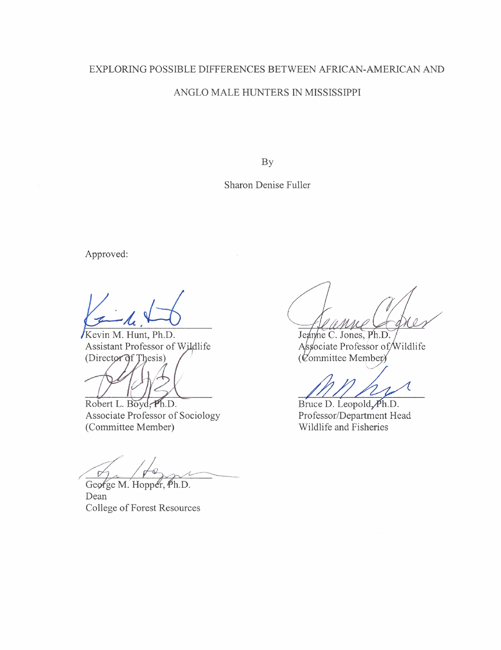# **EXPLORING POSSIBLE DIFFERENCES BETWEEN AFRICAN-AMERICAN AND ANGLO MALE HUNTERS IN MISSISSIPPI**

**BY** 

**Sharon Denise Fuller** 

Approved:

**FA** .& **evin Mi Hunt, Ph.D.** 

**Assistant Professor of Wildlife** (Director of Thesis)

Robert L. Boyd, Ph.D. **Associate Professor of Sociology (Committee Member)** 

 $\tilde{D}$ 

George M. Hopper, Ph.D. **Dean College of Forest Resources** 

Jeanne C. Jones, Ph.D. Associate Professor of Wildlife (Committee Member)

1

Bruce D. Leopold, Ph.D. Professor/Department Head **Wildlife and Fisheries**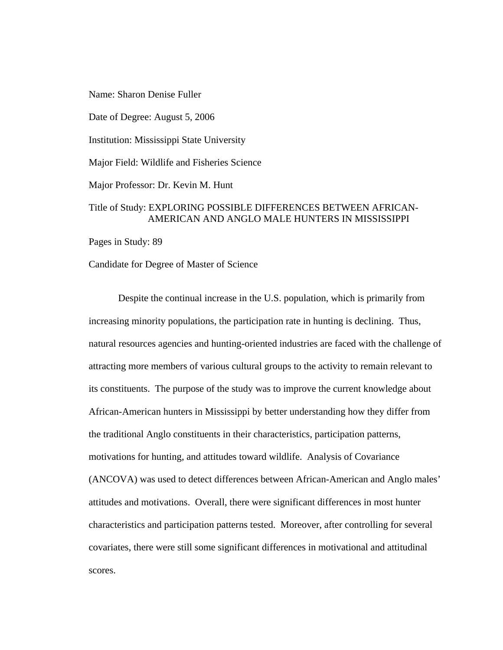Name: Sharon Denise Fuller

Date of Degree: August 5, 2006

Institution: Mississippi State University

Major Field: Wildlife and Fisheries Science

Major Professor: Dr. Kevin M. Hunt

#### Title of Study: EXPLORING POSSIBLE DIFFERENCES BETWEEN AFRICAN-AMERICAN AND ANGLO MALE HUNTERS IN MISSISSIPPI

Pages in Study: 89

Candidate for Degree of Master of Science

 Despite the continual increase in the U.S. population, which is primarily from increasing minority populations, the participation rate in hunting is declining. Thus, natural resources agencies and hunting-oriented industries are faced with the challenge of attracting more members of various cultural groups to the activity to remain relevant to its constituents. The purpose of the study was to improve the current knowledge about African-American hunters in Mississippi by better understanding how they differ from the traditional Anglo constituents in their characteristics, participation patterns, motivations for hunting, and attitudes toward wildlife. Analysis of Covariance (ANCOVA) was used to detect differences between African-American and Anglo males' attitudes and motivations. Overall, there were significant differences in most hunter characteristics and participation patterns tested. Moreover, after controlling for several covariates, there were still some significant differences in motivational and attitudinal scores.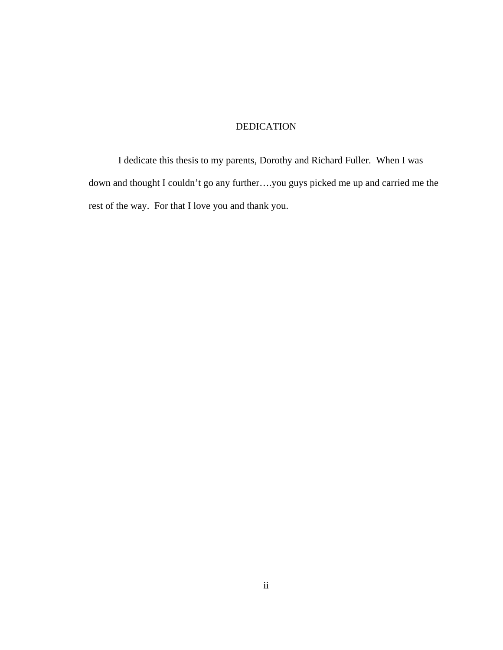### DEDICATION

I dedicate this thesis to my parents, Dorothy and Richard Fuller. When I was down and thought I couldn't go any further….you guys picked me up and carried me the rest of the way. For that I love you and thank you.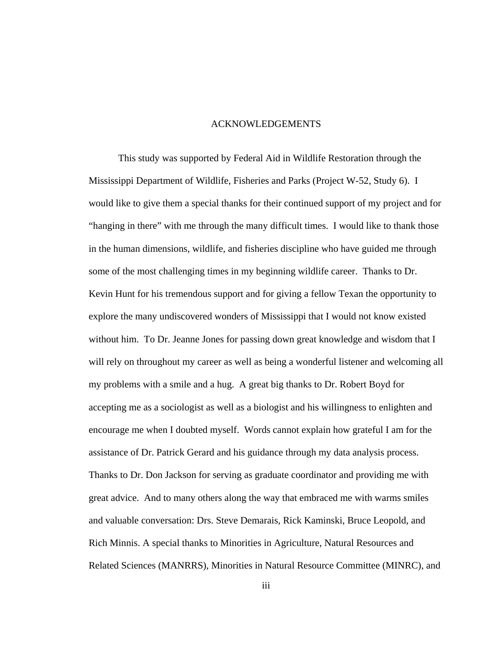#### ACKNOWLEDGEMENTS

This study was supported by Federal Aid in Wildlife Restoration through the Mississippi Department of Wildlife, Fisheries and Parks (Project W-52, Study 6). I would like to give them a special thanks for their continued support of my project and for "hanging in there" with me through the many difficult times. I would like to thank those in the human dimensions, wildlife, and fisheries discipline who have guided me through some of the most challenging times in my beginning wildlife career. Thanks to Dr. Kevin Hunt for his tremendous support and for giving a fellow Texan the opportunity to explore the many undiscovered wonders of Mississippi that I would not know existed without him. To Dr. Jeanne Jones for passing down great knowledge and wisdom that I will rely on throughout my career as well as being a wonderful listener and welcoming all my problems with a smile and a hug. A great big thanks to Dr. Robert Boyd for accepting me as a sociologist as well as a biologist and his willingness to enlighten and encourage me when I doubted myself. Words cannot explain how grateful I am for the assistance of Dr. Patrick Gerard and his guidance through my data analysis process. Thanks to Dr. Don Jackson for serving as graduate coordinator and providing me with great advice. And to many others along the way that embraced me with warms smiles and valuable conversation: Drs. Steve Demarais, Rick Kaminski, Bruce Leopold, and Rich Minnis. A special thanks to Minorities in Agriculture, Natural Resources and Related Sciences (MANRRS), Minorities in Natural Resource Committee (MINRC), and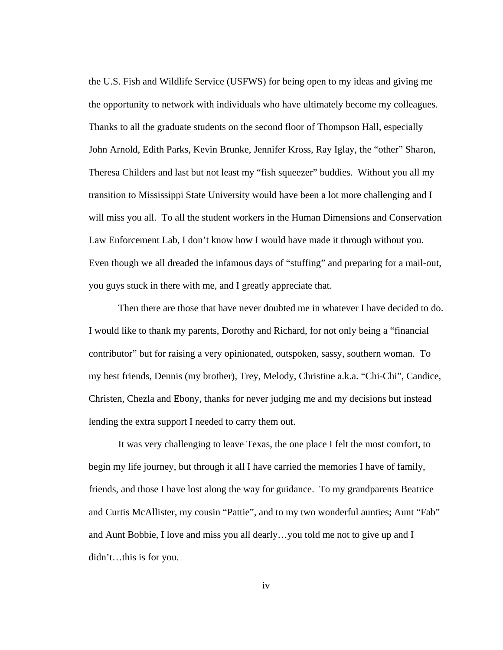the U.S. Fish and Wildlife Service (USFWS) for being open to my ideas and giving me the opportunity to network with individuals who have ultimately become my colleagues. Thanks to all the graduate students on the second floor of Thompson Hall, especially John Arnold, Edith Parks, Kevin Brunke, Jennifer Kross, Ray Iglay, the "other" Sharon, Theresa Childers and last but not least my "fish squeezer" buddies. Without you all my transition to Mississippi State University would have been a lot more challenging and I will miss you all. To all the student workers in the Human Dimensions and Conservation Law Enforcement Lab, I don't know how I would have made it through without you. Even though we all dreaded the infamous days of "stuffing" and preparing for a mail-out, you guys stuck in there with me, and I greatly appreciate that.

Then there are those that have never doubted me in whatever I have decided to do. I would like to thank my parents, Dorothy and Richard, for not only being a "financial contributor" but for raising a very opinionated, outspoken, sassy, southern woman. To my best friends, Dennis (my brother), Trey, Melody, Christine a.k.a. "Chi-Chi", Candice, Christen, Chezla and Ebony, thanks for never judging me and my decisions but instead lending the extra support I needed to carry them out.

 It was very challenging to leave Texas, the one place I felt the most comfort, to begin my life journey, but through it all I have carried the memories I have of family, friends, and those I have lost along the way for guidance. To my grandparents Beatrice and Curtis McAllister, my cousin "Pattie", and to my two wonderful aunties; Aunt "Fab" and Aunt Bobbie, I love and miss you all dearly…you told me not to give up and I didn't…this is for you.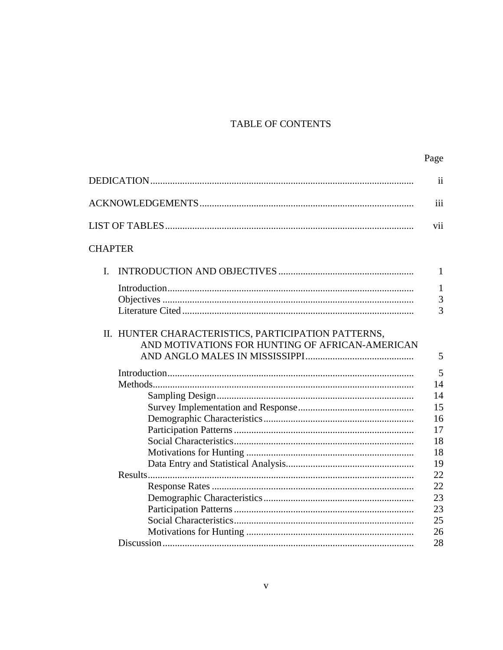# TABLE OF CONTENTS

|                                                                                                        | ii             |
|--------------------------------------------------------------------------------------------------------|----------------|
|                                                                                                        | iii            |
|                                                                                                        | vii            |
| <b>CHAPTER</b>                                                                                         |                |
| I.                                                                                                     | $\mathbf{1}$   |
|                                                                                                        | 1              |
|                                                                                                        | $\overline{3}$ |
|                                                                                                        | 3              |
| II. HUNTER CHARACTERISTICS, PARTICIPATION PATTERNS,<br>AND MOTIVATIONS FOR HUNTING OF AFRICAN-AMERICAN | 5              |
|                                                                                                        | 5              |
|                                                                                                        | 14             |
|                                                                                                        | 14             |
|                                                                                                        | 15             |
|                                                                                                        | 16             |
|                                                                                                        | 17             |
|                                                                                                        | 18             |
|                                                                                                        | 18             |
|                                                                                                        | 19             |
|                                                                                                        | 22             |
|                                                                                                        | 22             |
|                                                                                                        | 23             |
|                                                                                                        | 23             |
|                                                                                                        | 25             |
|                                                                                                        | 26             |
| Discussion                                                                                             | 28             |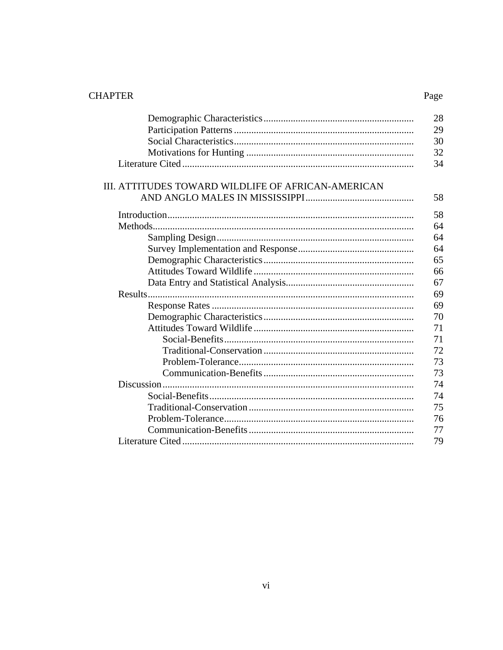# **CHAPTER**

# Page

|                                                    | 28 |
|----------------------------------------------------|----|
|                                                    | 29 |
|                                                    | 30 |
|                                                    | 32 |
|                                                    | 34 |
|                                                    |    |
| III. ATTITUDES TOWARD WILDLIFE OF AFRICAN-AMERICAN |    |
|                                                    | 58 |
|                                                    | 58 |
|                                                    | 64 |
|                                                    | 64 |
|                                                    | 64 |
|                                                    | 65 |
|                                                    | 66 |
|                                                    | 67 |
|                                                    | 69 |
|                                                    | 69 |
|                                                    | 70 |
|                                                    | 71 |
|                                                    | 71 |
|                                                    | 72 |
|                                                    | 73 |
|                                                    | 73 |
|                                                    | 74 |
|                                                    | 74 |
|                                                    | 75 |
|                                                    | 76 |
|                                                    | 77 |
|                                                    | 79 |
|                                                    |    |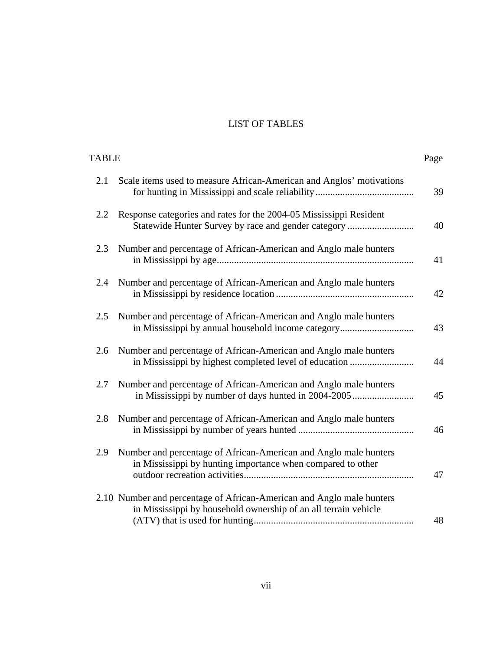# LIST OF TABLES

| TABLE |                                                                                                                                          | Page |
|-------|------------------------------------------------------------------------------------------------------------------------------------------|------|
| 2.1   | Scale items used to measure African-American and Anglos' motivations                                                                     | 39   |
| 2.2   | Response categories and rates for the 2004-05 Mississippi Resident<br>Statewide Hunter Survey by race and gender category                | 40   |
| 2.3   | Number and percentage of African-American and Anglo male hunters                                                                         | 41   |
| 2.4   | Number and percentage of African-American and Anglo male hunters                                                                         | 42   |
| 2.5   | Number and percentage of African-American and Anglo male hunters<br>in Mississippi by annual household income category                   | 43   |
| 2.6   | Number and percentage of African-American and Anglo male hunters<br>in Mississippi by highest completed level of education               | 44   |
| 2.7   | Number and percentage of African-American and Anglo male hunters<br>in Mississippi by number of days hunted in 2004-2005                 | 45   |
| 2.8   | Number and percentage of African-American and Anglo male hunters                                                                         | 46   |
| 2.9   | Number and percentage of African-American and Anglo male hunters<br>in Mississippi by hunting importance when compared to other          | 47   |
|       | 2.10 Number and percentage of African-American and Anglo male hunters<br>in Mississippi by household ownership of an all terrain vehicle | 48   |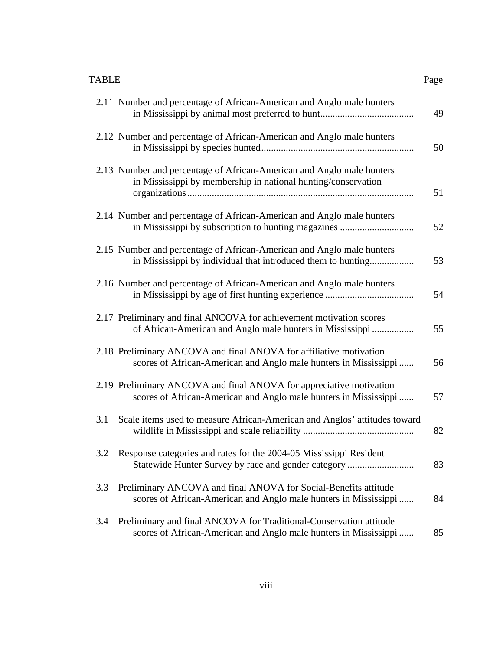| <b>TABLE</b>                                                                                                                               | Page |
|--------------------------------------------------------------------------------------------------------------------------------------------|------|
| 2.11 Number and percentage of African-American and Anglo male hunters                                                                      | 49   |
| 2.12 Number and percentage of African-American and Anglo male hunters                                                                      | 50   |
| 2.13 Number and percentage of African-American and Anglo male hunters<br>in Mississippi by membership in national hunting/conservation     | 51   |
| 2.14 Number and percentage of African-American and Anglo male hunters                                                                      | 52   |
| 2.15 Number and percentage of African-American and Anglo male hunters<br>in Mississippi by individual that introduced them to hunting      | 53   |
| 2.16 Number and percentage of African-American and Anglo male hunters                                                                      | 54   |
| 2.17 Preliminary and final ANCOVA for achievement motivation scores<br>of African-American and Anglo male hunters in Mississippi           | 55   |
| 2.18 Preliminary ANCOVA and final ANOVA for affiliative motivation<br>scores of African-American and Anglo male hunters in Mississippi     | 56   |
| 2.19 Preliminary ANCOVA and final ANOVA for appreciative motivation<br>scores of African-American and Anglo male hunters in Mississippi    | 57   |
| 3.1<br>Scale items used to measure African-American and Anglos' attitudes toward                                                           | 82   |
| Response categories and rates for the 2004-05 Mississippi Resident<br>3.2<br>Statewide Hunter Survey by race and gender category           | 83   |
| Preliminary ANCOVA and final ANOVA for Social-Benefits attitude<br>3.3<br>scores of African-American and Anglo male hunters in Mississippi | 84   |
|                                                                                                                                            |      |

3.4 Preliminary and final ANCOVA for Traditional-Conservation attitude scores of African-American and Anglo male hunters in Mississippi ...... 85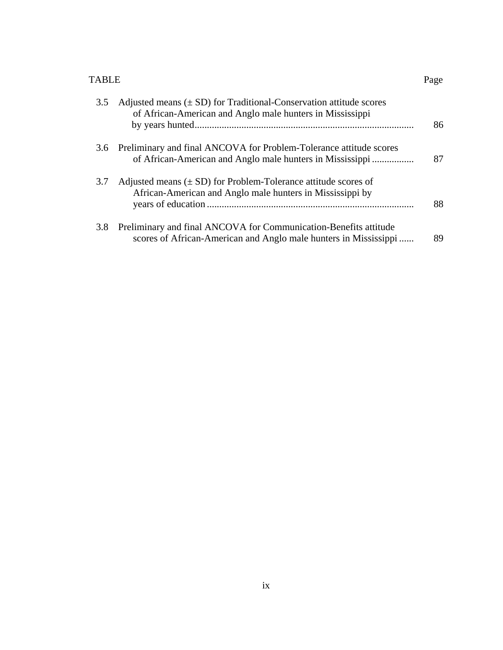#### TABLE Page

| 3.5 | Adjusted means $(\pm SD)$ for Traditional-Conservation attitude scores<br>of African-American and Anglo male hunters in Mississippi  | 86 |
|-----|--------------------------------------------------------------------------------------------------------------------------------------|----|
|     | 3.6 Preliminary and final ANCOVA for Problem-Tolerance attitude scores<br>of African-American and Anglo male hunters in Mississippi  | 87 |
| 3.7 | Adjusted means $(\pm SD)$ for Problem-Tolerance attitude scores of<br>African-American and Anglo male hunters in Mississippi by      | 88 |
| 3.8 | Preliminary and final ANCOVA for Communication-Benefits attitude<br>scores of African-American and Anglo male hunters in Mississippi | 89 |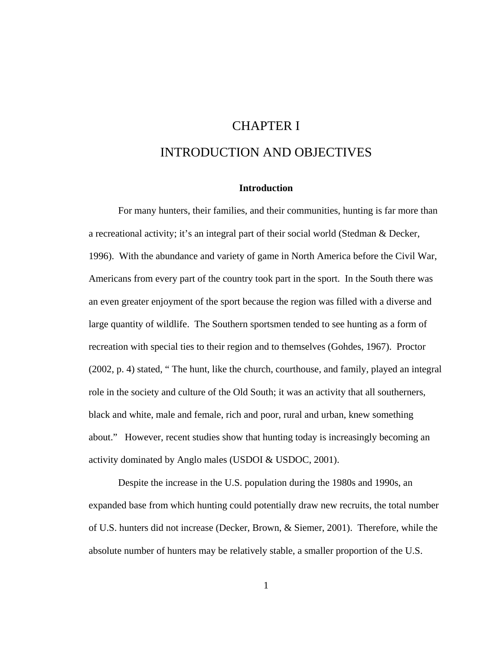# CHAPTER I INTRODUCTION AND OBJECTIVES

#### **Introduction**

For many hunters, their families, and their communities, hunting is far more than a recreational activity; it's an integral part of their social world (Stedman & Decker, 1996). With the abundance and variety of game in North America before the Civil War, Americans from every part of the country took part in the sport. In the South there was an even greater enjoyment of the sport because the region was filled with a diverse and large quantity of wildlife. The Southern sportsmen tended to see hunting as a form of recreation with special ties to their region and to themselves (Gohdes, 1967). Proctor (2002, p. 4) stated, " The hunt, like the church, courthouse, and family, played an integral role in the society and culture of the Old South; it was an activity that all southerners, black and white, male and female, rich and poor, rural and urban, knew something about." However, recent studies show that hunting today is increasingly becoming an activity dominated by Anglo males (USDOI & USDOC, 2001).

Despite the increase in the U.S. population during the 1980s and 1990s, an expanded base from which hunting could potentially draw new recruits, the total number of U.S. hunters did not increase (Decker, Brown, & Siemer, 2001). Therefore, while the absolute number of hunters may be relatively stable, a smaller proportion of the U.S.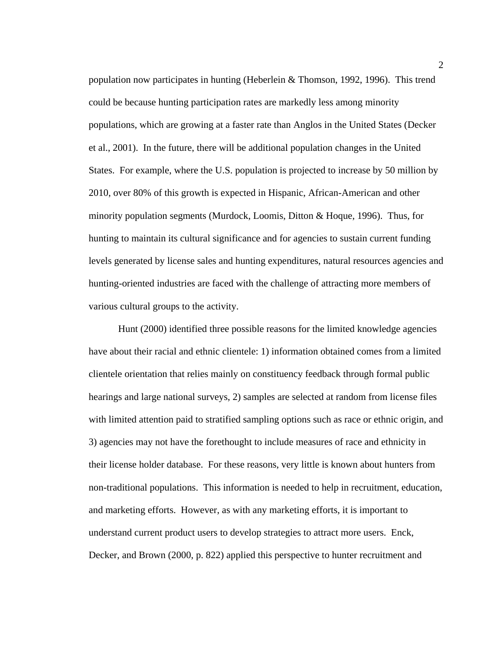population now participates in hunting (Heberlein & Thomson, 1992, 1996). This trend could be because hunting participation rates are markedly less among minority populations, which are growing at a faster rate than Anglos in the United States (Decker et al., 2001). In the future, there will be additional population changes in the United States. For example, where the U.S. population is projected to increase by 50 million by 2010, over 80% of this growth is expected in Hispanic, African-American and other minority population segments (Murdock, Loomis, Ditton & Hoque, 1996). Thus, for hunting to maintain its cultural significance and for agencies to sustain current funding levels generated by license sales and hunting expenditures, natural resources agencies and hunting-oriented industries are faced with the challenge of attracting more members of various cultural groups to the activity.

Hunt (2000) identified three possible reasons for the limited knowledge agencies have about their racial and ethnic clientele: 1) information obtained comes from a limited clientele orientation that relies mainly on constituency feedback through formal public hearings and large national surveys, 2) samples are selected at random from license files with limited attention paid to stratified sampling options such as race or ethnic origin, and 3) agencies may not have the forethought to include measures of race and ethnicity in their license holder database. For these reasons, very little is known about hunters from non-traditional populations. This information is needed to help in recruitment, education, and marketing efforts. However, as with any marketing efforts, it is important to understand current product users to develop strategies to attract more users. Enck, Decker, and Brown (2000, p. 822) applied this perspective to hunter recruitment and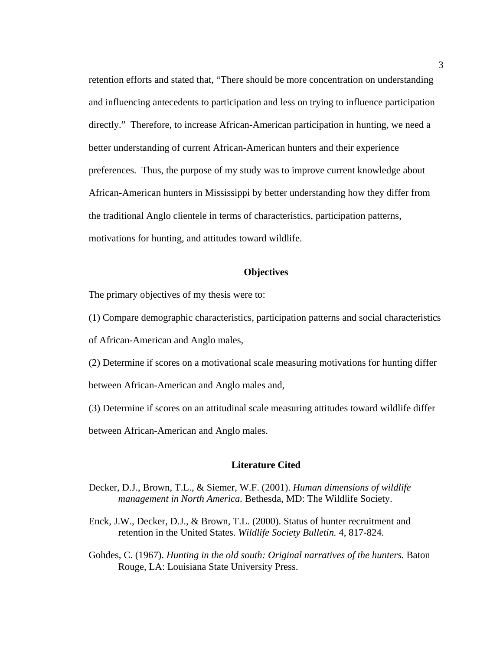retention efforts and stated that, "There should be more concentration on understanding and influencing antecedents to participation and less on trying to influence participation directly." Therefore, to increase African-American participation in hunting, we need a better understanding of current African-American hunters and their experience preferences. Thus, the purpose of my study was to improve current knowledge about African-American hunters in Mississippi by better understanding how they differ from the traditional Anglo clientele in terms of characteristics, participation patterns, motivations for hunting, and attitudes toward wildlife.

#### **Objectives**

The primary objectives of my thesis were to:

(1) Compare demographic characteristics, participation patterns and social characteristics

of African-American and Anglo males,

- (2) Determine if scores on a motivational scale measuring motivations for hunting differ between African-American and Anglo males and,
- (3) Determine if scores on an attitudinal scale measuring attitudes toward wildlife differ between African-American and Anglo males.

#### **Literature Cited**

- Decker, D.J., Brown, T.L., & Siemer, W.F. (2001). *Human dimensions of wildlife management in North America.* Bethesda, MD: The Wildlife Society.
- Enck, J.W., Decker, D.J., & Brown, T.L. (2000). Status of hunter recruitment and retention in the United States. *Wildlife Society Bulletin.* 4, 817-824.
- Gohdes, C. (1967). *Hunting in the old south: Original narratives of the hunters.* Baton Rouge, LA: Louisiana State University Press.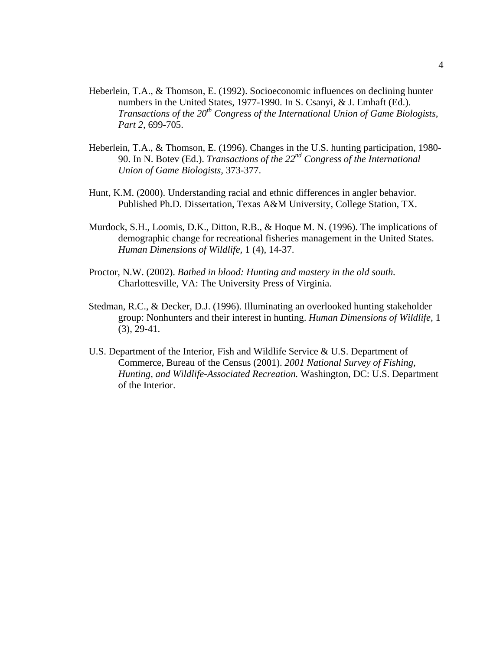- Heberlein, T.A., & Thomson, E. (1992). Socioeconomic influences on declining hunter numbers in the United States, 1977-1990. In S. Csanyi, & J. Emhaft (Ed.). *Transactions of the 20th Congress of the International Union of Game Biologists, Part 2,* 699-705.
- Heberlein, T.A., & Thomson, E. (1996). Changes in the U.S. hunting participation, 1980- 90. In N. Botev (Ed.). *Transactions of the 22nd Congress of the International Union of Game Biologists,* 373-377.
- Hunt, K.M. (2000). Understanding racial and ethnic differences in angler behavior. Published Ph.D. Dissertation, Texas A&M University, College Station, TX.
- Murdock, S.H., Loomis, D.K., Ditton, R.B., & Hoque M. N. (1996). The implications of demographic change for recreational fisheries management in the United States. *Human Dimensions of Wildlife,* 1 (4), 14-37.
- Proctor, N.W. (2002). *Bathed in blood: Hunting and mastery in the old south.*  Charlottesville, VA: The University Press of Virginia.
- Stedman, R.C., & Decker, D.J. (1996). Illuminating an overlooked hunting stakeholder group: Nonhunters and their interest in hunting. *Human Dimensions of Wildlife,* 1  $(3), 29-41.$
- U.S. Department of the Interior, Fish and Wildlife Service & U.S. Department of Commerce, Bureau of the Census (2001). *2001 National Survey of Fishing, Hunting, and Wildlife-Associated Recreation.* Washington, DC: U.S. Department of the Interior.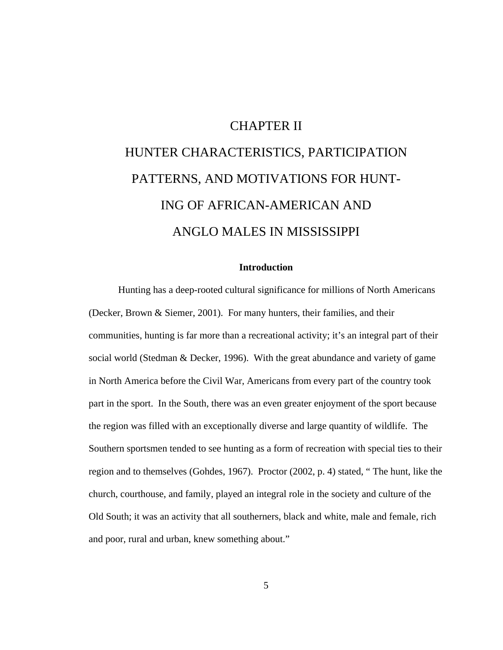### CHAPTER II

# HUNTER CHARACTERISTICS, PARTICIPATION PATTERNS, AND MOTIVATIONS FOR HUNT-ING OF AFRICAN-AMERICAN AND ANGLO MALES IN MISSISSIPPI

#### **Introduction**

Hunting has a deep-rooted cultural significance for millions of North Americans (Decker, Brown & Siemer, 2001). For many hunters, their families, and their communities, hunting is far more than a recreational activity; it's an integral part of their social world (Stedman & Decker, 1996). With the great abundance and variety of game in North America before the Civil War, Americans from every part of the country took part in the sport. In the South, there was an even greater enjoyment of the sport because the region was filled with an exceptionally diverse and large quantity of wildlife. The Southern sportsmen tended to see hunting as a form of recreation with special ties to their region and to themselves (Gohdes, 1967). Proctor (2002, p. 4) stated, " The hunt, like the church, courthouse, and family, played an integral role in the society and culture of the Old South; it was an activity that all southerners, black and white, male and female, rich and poor, rural and urban, knew something about."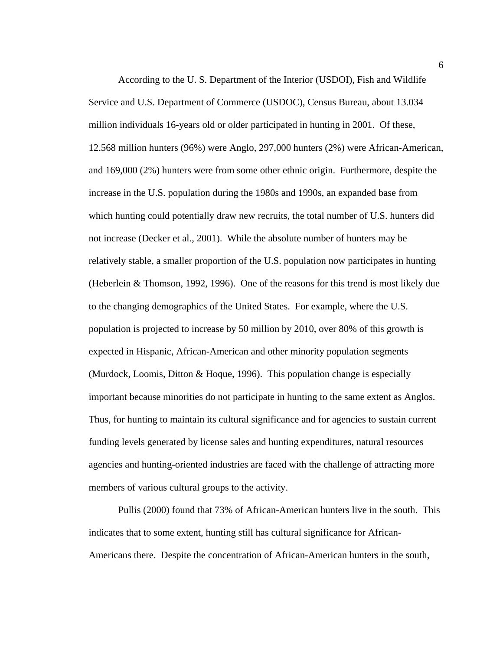According to the U. S. Department of the Interior (USDOI), Fish and Wildlife Service and U.S. Department of Commerce (USDOC), Census Bureau, about 13.034 million individuals 16-years old or older participated in hunting in 2001. Of these, 12.568 million hunters (96%) were Anglo, 297,000 hunters (2%) were African-American, and 169,000 (2%) hunters were from some other ethnic origin. Furthermore, despite the increase in the U.S. population during the 1980s and 1990s, an expanded base from which hunting could potentially draw new recruits, the total number of U.S. hunters did not increase (Decker et al., 2001). While the absolute number of hunters may be relatively stable, a smaller proportion of the U.S. population now participates in hunting (Heberlein & Thomson, 1992, 1996). One of the reasons for this trend is most likely due to the changing demographics of the United States. For example, where the U.S. population is projected to increase by 50 million by 2010, over 80% of this growth is expected in Hispanic, African-American and other minority population segments (Murdock, Loomis, Ditton & Hoque, 1996). This population change is especially important because minorities do not participate in hunting to the same extent as Anglos. Thus, for hunting to maintain its cultural significance and for agencies to sustain current funding levels generated by license sales and hunting expenditures, natural resources agencies and hunting-oriented industries are faced with the challenge of attracting more members of various cultural groups to the activity.

Pullis (2000) found that 73% of African-American hunters live in the south. This indicates that to some extent, hunting still has cultural significance for African-Americans there. Despite the concentration of African-American hunters in the south,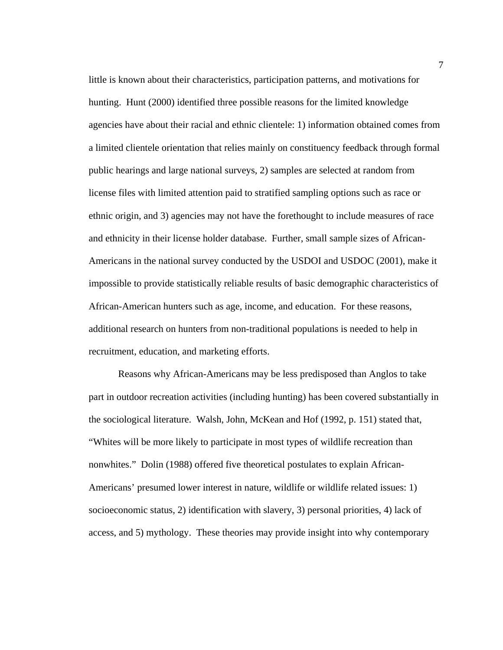little is known about their characteristics, participation patterns, and motivations for hunting. Hunt (2000) identified three possible reasons for the limited knowledge agencies have about their racial and ethnic clientele: 1) information obtained comes from a limited clientele orientation that relies mainly on constituency feedback through formal public hearings and large national surveys, 2) samples are selected at random from license files with limited attention paid to stratified sampling options such as race or ethnic origin, and 3) agencies may not have the forethought to include measures of race and ethnicity in their license holder database. Further, small sample sizes of African-Americans in the national survey conducted by the USDOI and USDOC (2001), make it impossible to provide statistically reliable results of basic demographic characteristics of African-American hunters such as age, income, and education. For these reasons, additional research on hunters from non-traditional populations is needed to help in recruitment, education, and marketing efforts.

 Reasons why African-Americans may be less predisposed than Anglos to take part in outdoor recreation activities (including hunting) has been covered substantially in the sociological literature. Walsh, John, McKean and Hof (1992, p. 151) stated that, "Whites will be more likely to participate in most types of wildlife recreation than nonwhites." Dolin (1988) offered five theoretical postulates to explain African-Americans' presumed lower interest in nature, wildlife or wildlife related issues: 1) socioeconomic status, 2) identification with slavery, 3) personal priorities, 4) lack of access, and 5) mythology. These theories may provide insight into why contemporary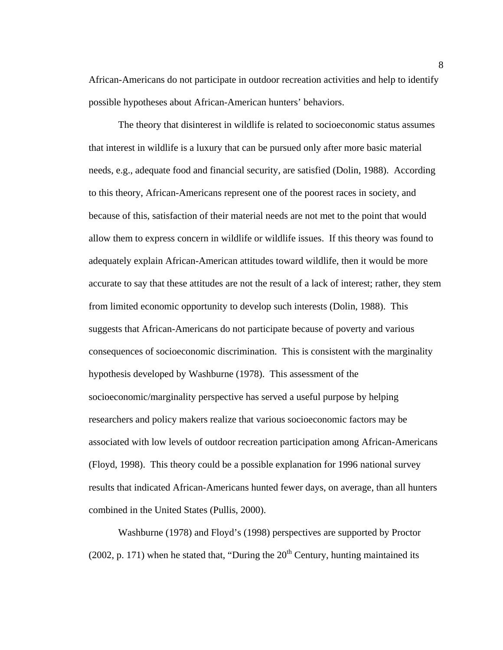African-Americans do not participate in outdoor recreation activities and help to identify possible hypotheses about African-American hunters' behaviors.

The theory that disinterest in wildlife is related to socioeconomic status assumes that interest in wildlife is a luxury that can be pursued only after more basic material needs, e.g., adequate food and financial security, are satisfied (Dolin, 1988). According to this theory, African-Americans represent one of the poorest races in society, and because of this, satisfaction of their material needs are not met to the point that would allow them to express concern in wildlife or wildlife issues. If this theory was found to adequately explain African-American attitudes toward wildlife, then it would be more accurate to say that these attitudes are not the result of a lack of interest; rather, they stem from limited economic opportunity to develop such interests (Dolin, 1988). This suggests that African-Americans do not participate because of poverty and various consequences of socioeconomic discrimination. This is consistent with the marginality hypothesis developed by Washburne (1978). This assessment of the socioeconomic/marginality perspective has served a useful purpose by helping researchers and policy makers realize that various socioeconomic factors may be associated with low levels of outdoor recreation participation among African-Americans (Floyd, 1998). This theory could be a possible explanation for 1996 national survey results that indicated African-Americans hunted fewer days, on average, than all hunters combined in the United States (Pullis, 2000).

 Washburne (1978) and Floyd's (1998) perspectives are supported by Proctor (2002, p. 171) when he stated that, "During the  $20<sup>th</sup>$  Century, hunting maintained its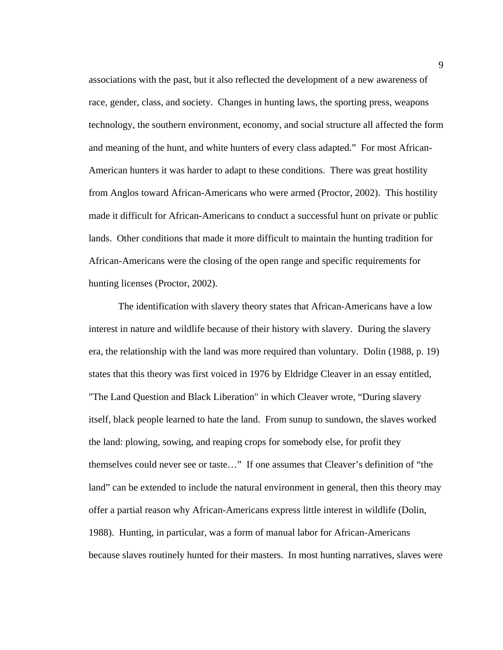associations with the past, but it also reflected the development of a new awareness of race, gender, class, and society. Changes in hunting laws, the sporting press, weapons technology, the southern environment, economy, and social structure all affected the form and meaning of the hunt, and white hunters of every class adapted." For most African-American hunters it was harder to adapt to these conditions. There was great hostility from Anglos toward African-Americans who were armed (Proctor, 2002). This hostility made it difficult for African-Americans to conduct a successful hunt on private or public lands. Other conditions that made it more difficult to maintain the hunting tradition for African-Americans were the closing of the open range and specific requirements for hunting licenses (Proctor, 2002).

 The identification with slavery theory states that African-Americans have a low interest in nature and wildlife because of their history with slavery. During the slavery era, the relationship with the land was more required than voluntary. Dolin (1988, p. 19) states that this theory was first voiced in 1976 by Eldridge Cleaver in an essay entitled, "The Land Question and Black Liberation" in which Cleaver wrote, "During slavery itself, black people learned to hate the land. From sunup to sundown, the slaves worked the land: plowing, sowing, and reaping crops for somebody else, for profit they themselves could never see or taste…" If one assumes that Cleaver's definition of "the land" can be extended to include the natural environment in general, then this theory may offer a partial reason why African-Americans express little interest in wildlife (Dolin, 1988). Hunting, in particular, was a form of manual labor for African-Americans because slaves routinely hunted for their masters. In most hunting narratives, slaves were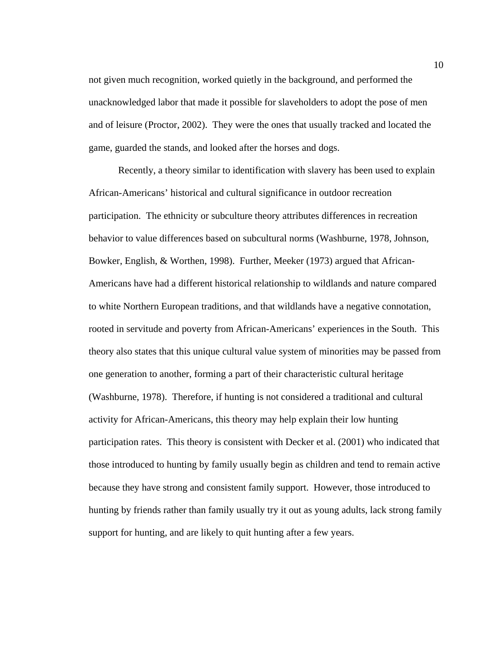not given much recognition, worked quietly in the background, and performed the unacknowledged labor that made it possible for slaveholders to adopt the pose of men and of leisure (Proctor, 2002). They were the ones that usually tracked and located the game, guarded the stands, and looked after the horses and dogs.

Recently, a theory similar to identification with slavery has been used to explain African-Americans' historical and cultural significance in outdoor recreation participation. The ethnicity or subculture theory attributes differences in recreation behavior to value differences based on subcultural norms (Washburne, 1978, Johnson, Bowker, English, & Worthen, 1998). Further, Meeker (1973) argued that African-Americans have had a different historical relationship to wildlands and nature compared to white Northern European traditions, and that wildlands have a negative connotation, rooted in servitude and poverty from African-Americans' experiences in the South. This theory also states that this unique cultural value system of minorities may be passed from one generation to another, forming a part of their characteristic cultural heritage (Washburne, 1978). Therefore, if hunting is not considered a traditional and cultural activity for African-Americans, this theory may help explain their low hunting participation rates. This theory is consistent with Decker et al. (2001) who indicated that those introduced to hunting by family usually begin as children and tend to remain active because they have strong and consistent family support. However, those introduced to hunting by friends rather than family usually try it out as young adults, lack strong family support for hunting, and are likely to quit hunting after a few years.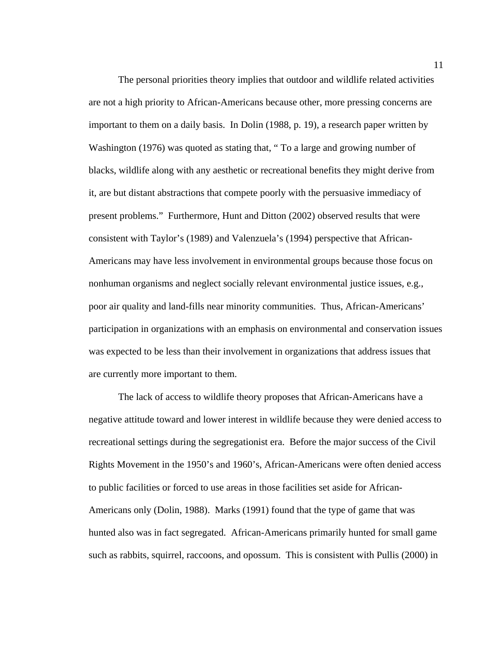The personal priorities theory implies that outdoor and wildlife related activities are not a high priority to African-Americans because other, more pressing concerns are important to them on a daily basis. In Dolin (1988, p. 19), a research paper written by Washington (1976) was quoted as stating that, " To a large and growing number of blacks, wildlife along with any aesthetic or recreational benefits they might derive from it, are but distant abstractions that compete poorly with the persuasive immediacy of present problems." Furthermore, Hunt and Ditton (2002) observed results that were consistent with Taylor's (1989) and Valenzuela's (1994) perspective that African-Americans may have less involvement in environmental groups because those focus on nonhuman organisms and neglect socially relevant environmental justice issues, e.g., poor air quality and land-fills near minority communities. Thus, African-Americans' participation in organizations with an emphasis on environmental and conservation issues was expected to be less than their involvement in organizations that address issues that are currently more important to them.

The lack of access to wildlife theory proposes that African-Americans have a negative attitude toward and lower interest in wildlife because they were denied access to recreational settings during the segregationist era. Before the major success of the Civil Rights Movement in the 1950's and 1960's, African-Americans were often denied access to public facilities or forced to use areas in those facilities set aside for African-Americans only (Dolin, 1988). Marks (1991) found that the type of game that was hunted also was in fact segregated. African-Americans primarily hunted for small game such as rabbits, squirrel, raccoons, and opossum. This is consistent with Pullis (2000) in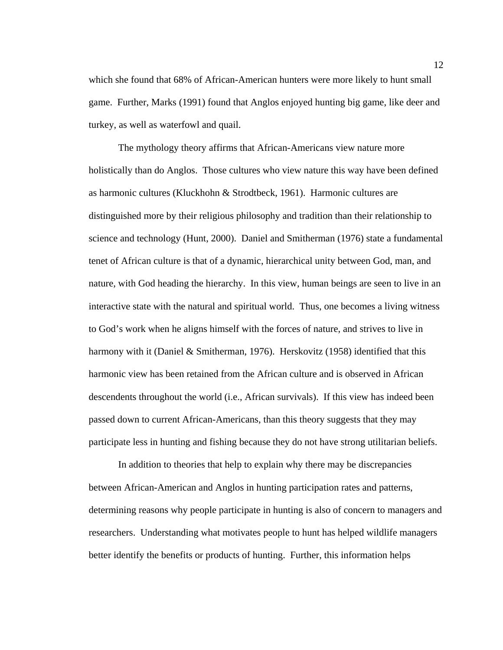which she found that 68% of African-American hunters were more likely to hunt small game. Further, Marks (1991) found that Anglos enjoyed hunting big game, like deer and turkey, as well as waterfowl and quail.

The mythology theory affirms that African-Americans view nature more holistically than do Anglos. Those cultures who view nature this way have been defined as harmonic cultures (Kluckhohn & Strodtbeck, 1961). Harmonic cultures are distinguished more by their religious philosophy and tradition than their relationship to science and technology (Hunt, 2000). Daniel and Smitherman (1976) state a fundamental tenet of African culture is that of a dynamic, hierarchical unity between God, man, and nature, with God heading the hierarchy. In this view, human beings are seen to live in an interactive state with the natural and spiritual world. Thus, one becomes a living witness to God's work when he aligns himself with the forces of nature, and strives to live in harmony with it (Daniel & Smitherman, 1976). Herskovitz (1958) identified that this harmonic view has been retained from the African culture and is observed in African descendents throughout the world (i.e., African survivals). If this view has indeed been passed down to current African-Americans, than this theory suggests that they may participate less in hunting and fishing because they do not have strong utilitarian beliefs.

In addition to theories that help to explain why there may be discrepancies between African-American and Anglos in hunting participation rates and patterns, determining reasons why people participate in hunting is also of concern to managers and researchers. Understanding what motivates people to hunt has helped wildlife managers better identify the benefits or products of hunting. Further, this information helps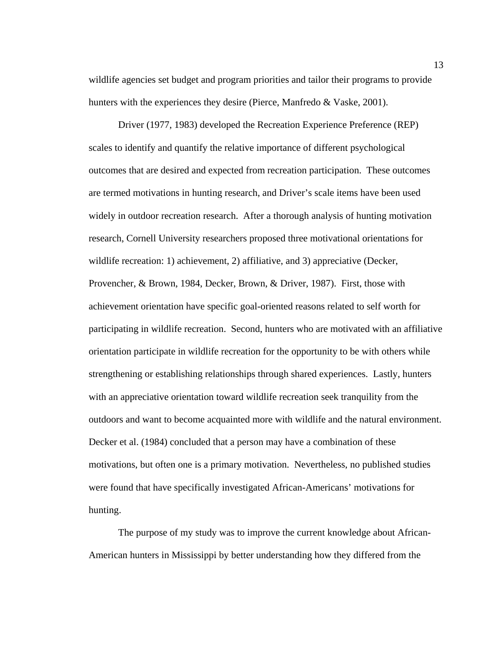wildlife agencies set budget and program priorities and tailor their programs to provide hunters with the experiences they desire (Pierce, Manfredo & Vaske, 2001).

Driver (1977, 1983) developed the Recreation Experience Preference (REP) scales to identify and quantify the relative importance of different psychological outcomes that are desired and expected from recreation participation. These outcomes are termed motivations in hunting research, and Driver's scale items have been used widely in outdoor recreation research. After a thorough analysis of hunting motivation research, Cornell University researchers proposed three motivational orientations for wildlife recreation: 1) achievement, 2) affiliative, and 3) appreciative (Decker, Provencher, & Brown, 1984, Decker, Brown, & Driver, 1987). First, those with achievement orientation have specific goal-oriented reasons related to self worth for participating in wildlife recreation. Second, hunters who are motivated with an affiliative orientation participate in wildlife recreation for the opportunity to be with others while strengthening or establishing relationships through shared experiences. Lastly, hunters with an appreciative orientation toward wildlife recreation seek tranquility from the outdoors and want to become acquainted more with wildlife and the natural environment. Decker et al. (1984) concluded that a person may have a combination of these motivations, but often one is a primary motivation. Nevertheless, no published studies were found that have specifically investigated African-Americans' motivations for hunting.

The purpose of my study was to improve the current knowledge about African-American hunters in Mississippi by better understanding how they differed from the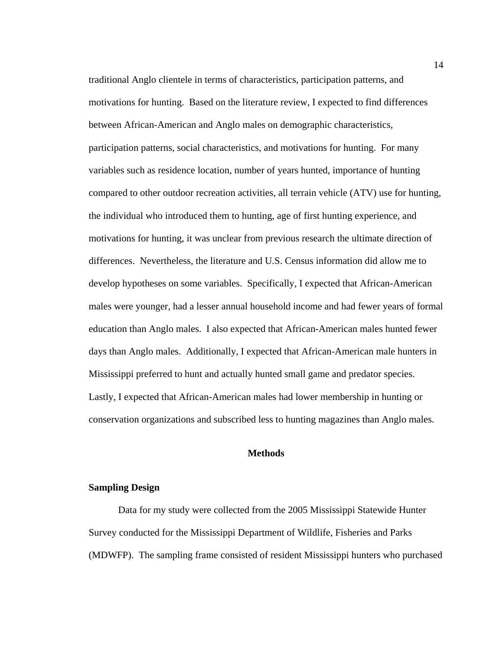traditional Anglo clientele in terms of characteristics, participation patterns, and motivations for hunting. Based on the literature review, I expected to find differences between African-American and Anglo males on demographic characteristics, participation patterns, social characteristics, and motivations for hunting. For many variables such as residence location, number of years hunted, importance of hunting compared to other outdoor recreation activities, all terrain vehicle (ATV) use for hunting, the individual who introduced them to hunting, age of first hunting experience, and motivations for hunting, it was unclear from previous research the ultimate direction of differences. Nevertheless, the literature and U.S. Census information did allow me to develop hypotheses on some variables. Specifically, I expected that African-American males were younger, had a lesser annual household income and had fewer years of formal education than Anglo males. I also expected that African-American males hunted fewer days than Anglo males. Additionally, I expected that African-American male hunters in Mississippi preferred to hunt and actually hunted small game and predator species. Lastly, I expected that African-American males had lower membership in hunting or conservation organizations and subscribed less to hunting magazines than Anglo males.

#### **Methods**

#### **Sampling Design**

 Data for my study were collected from the 2005 Mississippi Statewide Hunter Survey conducted for the Mississippi Department of Wildlife, Fisheries and Parks (MDWFP). The sampling frame consisted of resident Mississippi hunters who purchased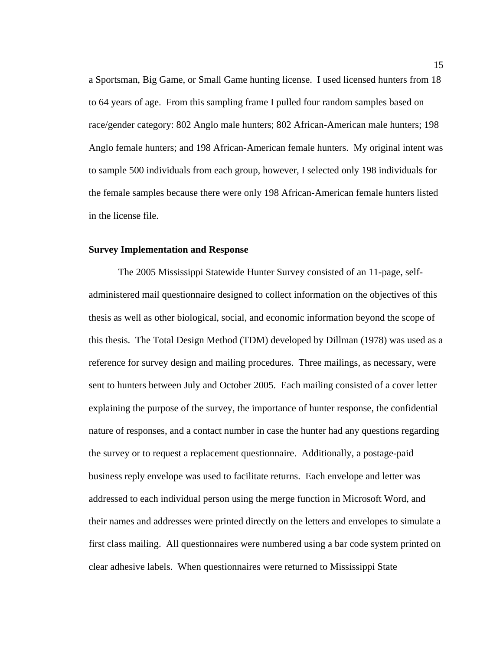a Sportsman, Big Game, or Small Game hunting license. I used licensed hunters from 18 to 64 years of age. From this sampling frame I pulled four random samples based on race/gender category: 802 Anglo male hunters; 802 African-American male hunters; 198 Anglo female hunters; and 198 African-American female hunters. My original intent was to sample 500 individuals from each group, however, I selected only 198 individuals for the female samples because there were only 198 African-American female hunters listed in the license file.

#### **Survey Implementation and Response**

The 2005 Mississippi Statewide Hunter Survey consisted of an 11-page, selfadministered mail questionnaire designed to collect information on the objectives of this thesis as well as other biological, social, and economic information beyond the scope of this thesis. The Total Design Method (TDM) developed by Dillman (1978) was used as a reference for survey design and mailing procedures. Three mailings, as necessary, were sent to hunters between July and October 2005. Each mailing consisted of a cover letter explaining the purpose of the survey, the importance of hunter response, the confidential nature of responses, and a contact number in case the hunter had any questions regarding the survey or to request a replacement questionnaire. Additionally, a postage-paid business reply envelope was used to facilitate returns. Each envelope and letter was addressed to each individual person using the merge function in Microsoft Word, and their names and addresses were printed directly on the letters and envelopes to simulate a first class mailing. All questionnaires were numbered using a bar code system printed on clear adhesive labels. When questionnaires were returned to Mississippi State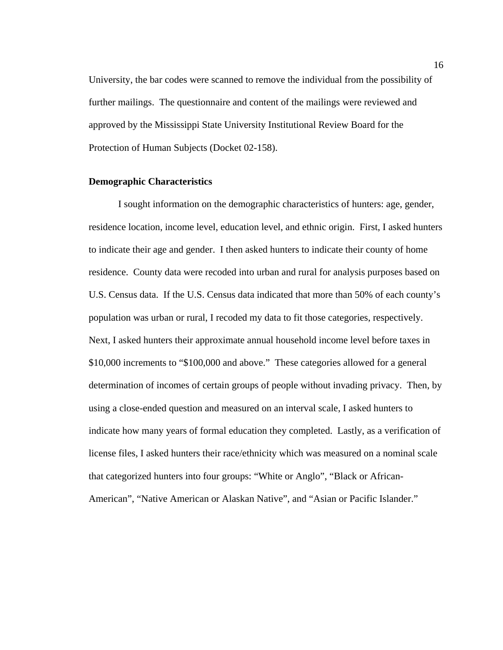University, the bar codes were scanned to remove the individual from the possibility of further mailings. The questionnaire and content of the mailings were reviewed and approved by the Mississippi State University Institutional Review Board for the Protection of Human Subjects (Docket 02-158).

#### **Demographic Characteristics**

I sought information on the demographic characteristics of hunters: age, gender, residence location, income level, education level, and ethnic origin. First, I asked hunters to indicate their age and gender. I then asked hunters to indicate their county of home residence. County data were recoded into urban and rural for analysis purposes based on U.S. Census data. If the U.S. Census data indicated that more than 50% of each county's population was urban or rural, I recoded my data to fit those categories, respectively. Next, I asked hunters their approximate annual household income level before taxes in \$10,000 increments to "\$100,000 and above." These categories allowed for a general determination of incomes of certain groups of people without invading privacy. Then, by using a close-ended question and measured on an interval scale, I asked hunters to indicate how many years of formal education they completed. Lastly, as a verification of license files, I asked hunters their race/ethnicity which was measured on a nominal scale that categorized hunters into four groups: "White or Anglo", "Black or African-American", "Native American or Alaskan Native", and "Asian or Pacific Islander."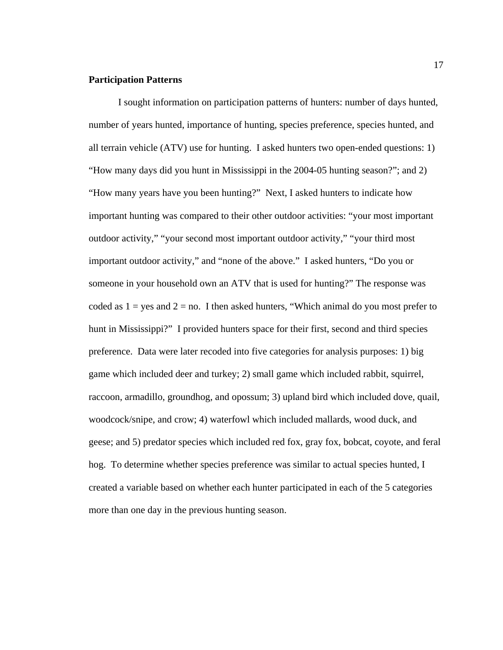#### **Participation Patterns**

I sought information on participation patterns of hunters: number of days hunted, number of years hunted, importance of hunting, species preference, species hunted, and all terrain vehicle (ATV) use for hunting. I asked hunters two open-ended questions: 1) "How many days did you hunt in Mississippi in the 2004-05 hunting season?"; and 2) "How many years have you been hunting?" Next, I asked hunters to indicate how important hunting was compared to their other outdoor activities: "your most important outdoor activity," "your second most important outdoor activity," "your third most important outdoor activity," and "none of the above." I asked hunters, "Do you or someone in your household own an ATV that is used for hunting?" The response was coded as  $1 = yes$  and  $2 = no$ . I then asked hunters, "Which animal do you most prefer to hunt in Mississippi?" I provided hunters space for their first, second and third species preference. Data were later recoded into five categories for analysis purposes: 1) big game which included deer and turkey; 2) small game which included rabbit, squirrel, raccoon, armadillo, groundhog, and opossum; 3) upland bird which included dove, quail, woodcock/snipe, and crow; 4) waterfowl which included mallards, wood duck, and geese; and 5) predator species which included red fox, gray fox, bobcat, coyote, and feral hog. To determine whether species preference was similar to actual species hunted, I created a variable based on whether each hunter participated in each of the 5 categories more than one day in the previous hunting season.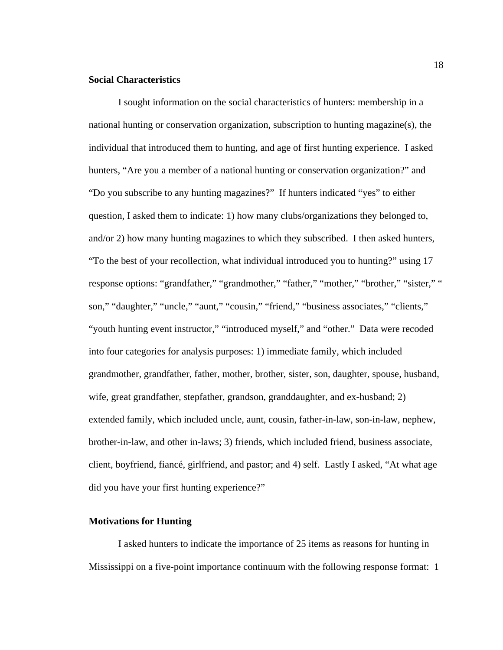#### **Social Characteristics**

I sought information on the social characteristics of hunters: membership in a national hunting or conservation organization, subscription to hunting magazine(s), the individual that introduced them to hunting, and age of first hunting experience. I asked hunters, "Are you a member of a national hunting or conservation organization?" and "Do you subscribe to any hunting magazines?" If hunters indicated "yes" to either question, I asked them to indicate: 1) how many clubs/organizations they belonged to, and/or 2) how many hunting magazines to which they subscribed. I then asked hunters, "To the best of your recollection, what individual introduced you to hunting?" using 17 response options: "grandfather," "grandmother," "father," "mother," "brother," "sister," " son," "daughter," "uncle," "aunt," "cousin," "friend," "business associates," "clients," "youth hunting event instructor," "introduced myself," and "other." Data were recoded into four categories for analysis purposes: 1) immediate family, which included grandmother, grandfather, father, mother, brother, sister, son, daughter, spouse, husband, wife, great grandfather, stepfather, grandson, granddaughter, and ex-husband; 2) extended family, which included uncle, aunt, cousin, father-in-law, son-in-law, nephew, brother-in-law, and other in-laws; 3) friends, which included friend, business associate, client, boyfriend, fiancé, girlfriend, and pastor; and 4) self. Lastly I asked, "At what age did you have your first hunting experience?"

#### **Motivations for Hunting**

I asked hunters to indicate the importance of 25 items as reasons for hunting in Mississippi on a five-point importance continuum with the following response format: 1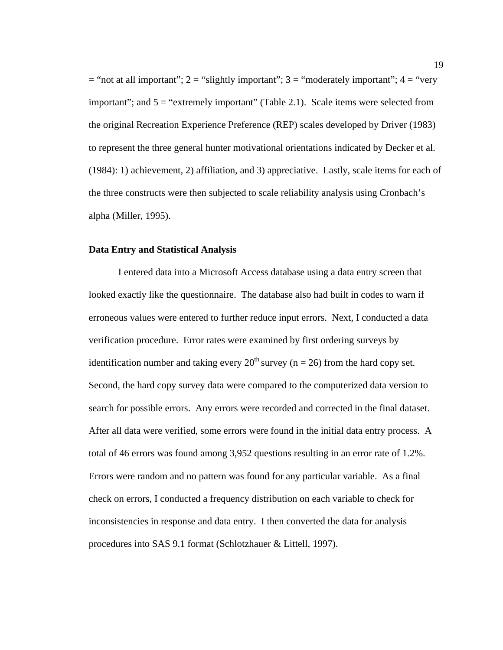$=$  "not at all important"; 2 = "slightly important"; 3 = "moderately important"; 4 = "very important"; and  $5 =$  "extremely important" (Table 2.1). Scale items were selected from the original Recreation Experience Preference (REP) scales developed by Driver (1983) to represent the three general hunter motivational orientations indicated by Decker et al. (1984): 1) achievement, 2) affiliation, and 3) appreciative. Lastly, scale items for each of the three constructs were then subjected to scale reliability analysis using Cronbach's alpha (Miller, 1995).

#### **Data Entry and Statistical Analysis**

I entered data into a Microsoft Access database using a data entry screen that looked exactly like the questionnaire. The database also had built in codes to warn if erroneous values were entered to further reduce input errors. Next, I conducted a data verification procedure. Error rates were examined by first ordering surveys by identification number and taking every  $20^{th}$  survey (n = 26) from the hard copy set. Second, the hard copy survey data were compared to the computerized data version to search for possible errors. Any errors were recorded and corrected in the final dataset. After all data were verified, some errors were found in the initial data entry process. A total of 46 errors was found among 3,952 questions resulting in an error rate of 1.2%. Errors were random and no pattern was found for any particular variable. As a final check on errors, I conducted a frequency distribution on each variable to check for inconsistencies in response and data entry. I then converted the data for analysis procedures into SAS 9.1 format (Schlotzhauer & Littell, 1997).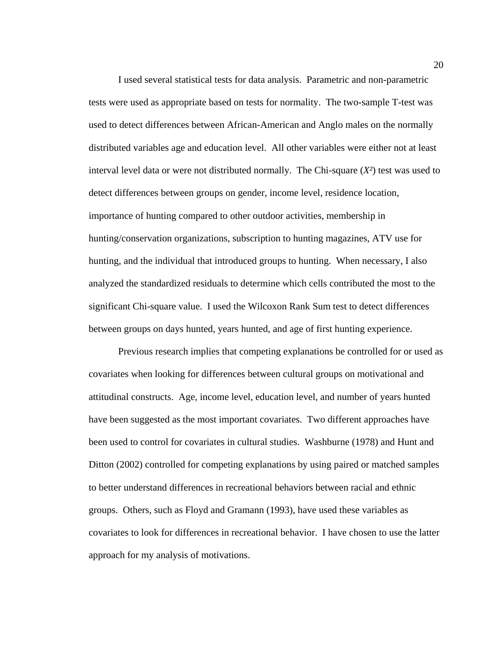I used several statistical tests for data analysis. Parametric and non-parametric tests were used as appropriate based on tests for normality. The two-sample T-test was used to detect differences between African-American and Anglo males on the normally distributed variables age and education level. All other variables were either not at least interval level data or were not distributed normally. The Chi-square (*X²*) test was used to detect differences between groups on gender, income level, residence location, importance of hunting compared to other outdoor activities, membership in hunting/conservation organizations, subscription to hunting magazines, ATV use for hunting, and the individual that introduced groups to hunting. When necessary, I also analyzed the standardized residuals to determine which cells contributed the most to the significant Chi-square value. I used the Wilcoxon Rank Sum test to detect differences between groups on days hunted, years hunted, and age of first hunting experience.

Previous research implies that competing explanations be controlled for or used as covariates when looking for differences between cultural groups on motivational and attitudinal constructs. Age, income level, education level, and number of years hunted have been suggested as the most important covariates. Two different approaches have been used to control for covariates in cultural studies. Washburne (1978) and Hunt and Ditton (2002) controlled for competing explanations by using paired or matched samples to better understand differences in recreational behaviors between racial and ethnic groups. Others, such as Floyd and Gramann (1993), have used these variables as covariates to look for differences in recreational behavior. I have chosen to use the latter approach for my analysis of motivations.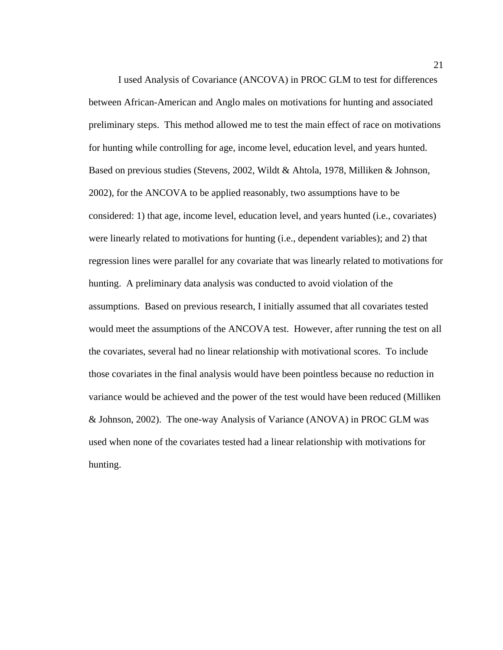I used Analysis of Covariance (ANCOVA) in PROC GLM to test for differences between African-American and Anglo males on motivations for hunting and associated preliminary steps. This method allowed me to test the main effect of race on motivations for hunting while controlling for age, income level, education level, and years hunted. Based on previous studies (Stevens, 2002, Wildt & Ahtola, 1978, Milliken & Johnson, 2002), for the ANCOVA to be applied reasonably, two assumptions have to be considered: 1) that age, income level, education level, and years hunted (i.e., covariates) were linearly related to motivations for hunting (i.e., dependent variables); and 2) that regression lines were parallel for any covariate that was linearly related to motivations for hunting. A preliminary data analysis was conducted to avoid violation of the assumptions. Based on previous research, I initially assumed that all covariates tested would meet the assumptions of the ANCOVA test. However, after running the test on all the covariates, several had no linear relationship with motivational scores. To include those covariates in the final analysis would have been pointless because no reduction in variance would be achieved and the power of the test would have been reduced (Milliken & Johnson, 2002). The one-way Analysis of Variance (ANOVA) in PROC GLM was used when none of the covariates tested had a linear relationship with motivations for hunting.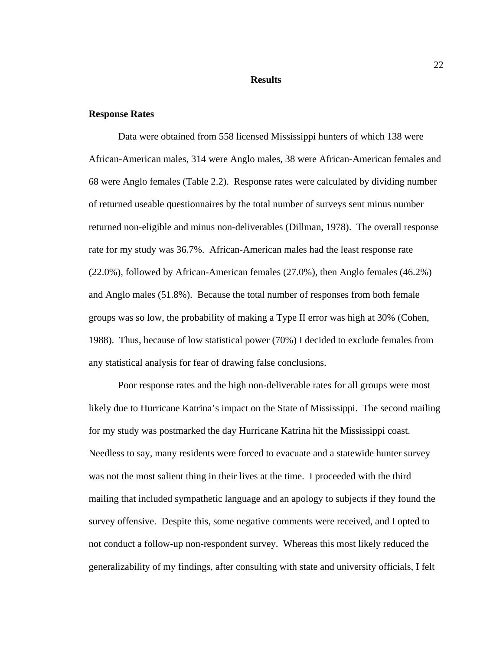#### **Results**

#### **Response Rates**

Data were obtained from 558 licensed Mississippi hunters of which 138 were African-American males, 314 were Anglo males, 38 were African-American females and 68 were Anglo females (Table 2.2). Response rates were calculated by dividing number of returned useable questionnaires by the total number of surveys sent minus number returned non-eligible and minus non-deliverables (Dillman, 1978). The overall response rate for my study was 36.7%. African-American males had the least response rate (22.0%), followed by African-American females (27.0%), then Anglo females (46.2%) and Anglo males (51.8%). Because the total number of responses from both female groups was so low, the probability of making a Type II error was high at 30% (Cohen, 1988). Thus, because of low statistical power (70%) I decided to exclude females from any statistical analysis for fear of drawing false conclusions.

 Poor response rates and the high non-deliverable rates for all groups were most likely due to Hurricane Katrina's impact on the State of Mississippi. The second mailing for my study was postmarked the day Hurricane Katrina hit the Mississippi coast. Needless to say, many residents were forced to evacuate and a statewide hunter survey was not the most salient thing in their lives at the time. I proceeded with the third mailing that included sympathetic language and an apology to subjects if they found the survey offensive. Despite this, some negative comments were received, and I opted to not conduct a follow-up non-respondent survey. Whereas this most likely reduced the generalizability of my findings, after consulting with state and university officials, I felt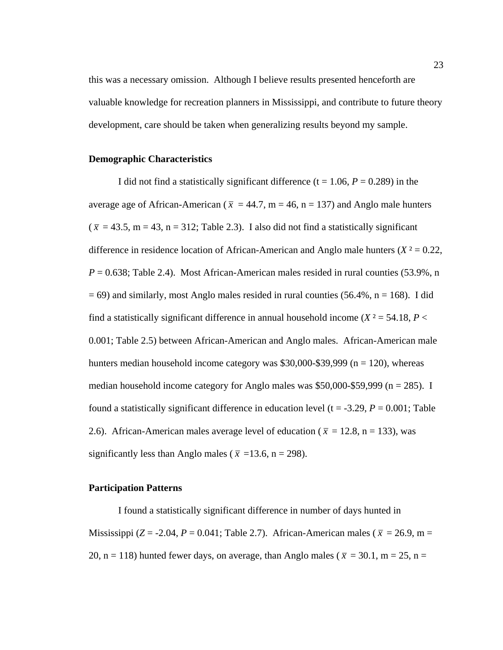this was a necessary omission. Although I believe results presented henceforth are valuable knowledge for recreation planners in Mississippi, and contribute to future theory development, care should be taken when generalizing results beyond my sample.

#### **Demographic Characteristics**

I did not find a statistically significant difference  $(t = 1.06, P = 0.289)$  in the average age of African-American ( $\bar{x}$  = 44.7, m = 46, n = 137) and Anglo male hunters  $(\bar{x} = 43.5, m = 43, n = 312;$  Table 2.3). I also did not find a statistically significant difference in residence location of African-American and Anglo male hunters  $(X^2 = 0.22)$ ,  $P = 0.638$ ; Table 2.4). Most African-American males resided in rural counties (53.9%, n  $= 69$ ) and similarly, most Anglo males resided in rural counties (56.4%, n = 168). I did find a statistically significant difference in annual household income ( $X^2 = 54.18$ ,  $P <$ 0.001; Table 2.5) between African-American and Anglo males. African-American male hunters median household income category was  $$30,000-\$39,999$  (n = 120), whereas median household income category for Anglo males was  $$50,000-$59,999$  (n = 285). I found a statistically significant difference in education level ( $t = -3.29$ ,  $P = 0.001$ ; Table 2.6). African-American males average level of education ( $\bar{x}$  = 12.8, n = 133), was significantly less than Anglo males ( $\bar{x}$  =13.6, n = 298).

#### **Participation Patterns**

I found a statistically significant difference in number of days hunted in Mississippi (*Z* = -2.04, *P* = 0.041; Table 2.7). African-American males ( $\bar{x}$  = 26.9, m = 20, n = 118) hunted fewer days, on average, than Anglo males ( $\bar{x}$  = 30.1, m = 25, n =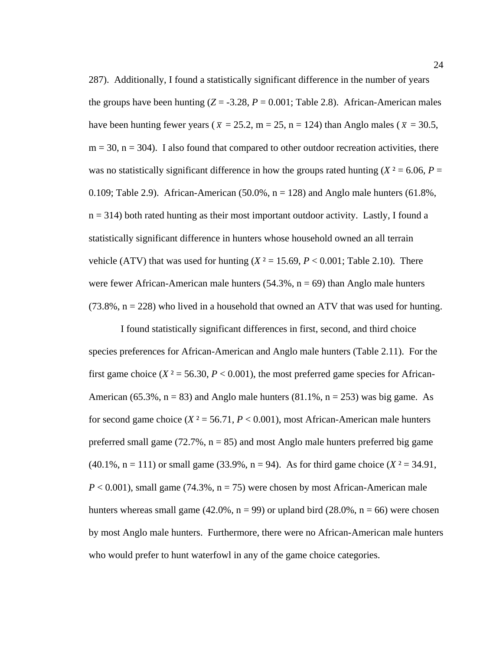287). Additionally, I found a statistically significant difference in the number of years the groups have been hunting  $(Z = -3.28, P = 0.001;$  Table 2.8). African-American males have been hunting fewer years ( $\bar{x} = 25.2$ , m = 25, n = 124) than Anglo males ( $\bar{x} = 30.5$ ,  $m = 30$ ,  $n = 304$ ). I also found that compared to other outdoor recreation activities, there was no statistically significant difference in how the groups rated hunting ( $X^2 = 6.06$ ,  $P =$ 0.109; Table 2.9). African-American (50.0%,  $n = 128$ ) and Anglo male hunters (61.8%,  $n = 314$ ) both rated hunting as their most important outdoor activity. Lastly, I found a statistically significant difference in hunters whose household owned an all terrain vehicle (ATV) that was used for hunting ( $X^2 = 15.69$ ,  $P < 0.001$ ; Table 2.10). There were fewer African-American male hunters  $(54.3\%, n = 69)$  than Anglo male hunters  $(73.8\%, n = 228)$  who lived in a household that owned an ATV that was used for hunting.

 I found statistically significant differences in first, second, and third choice species preferences for African-American and Anglo male hunters (Table 2.11). For the first game choice ( $X^2 = 56.30$ ,  $P < 0.001$ ), the most preferred game species for African-American (65.3%,  $n = 83$ ) and Anglo male hunters (81.1%,  $n = 253$ ) was big game. As for second game choice  $(X^2 = 56.71, P < 0.001)$ , most African-American male hunters preferred small game  $(72.7\%, n = 85)$  and most Anglo male hunters preferred big game  $(40.1\%, n = 111)$  or small game  $(33.9\%, n = 94)$ . As for third game choice  $(X^2 = 34.91)$ ,  $P < 0.001$ ), small game (74.3%,  $n = 75$ ) were chosen by most African-American male hunters whereas small game (42.0%,  $n = 99$ ) or upland bird (28.0%,  $n = 66$ ) were chosen by most Anglo male hunters. Furthermore, there were no African-American male hunters who would prefer to hunt waterfowl in any of the game choice categories.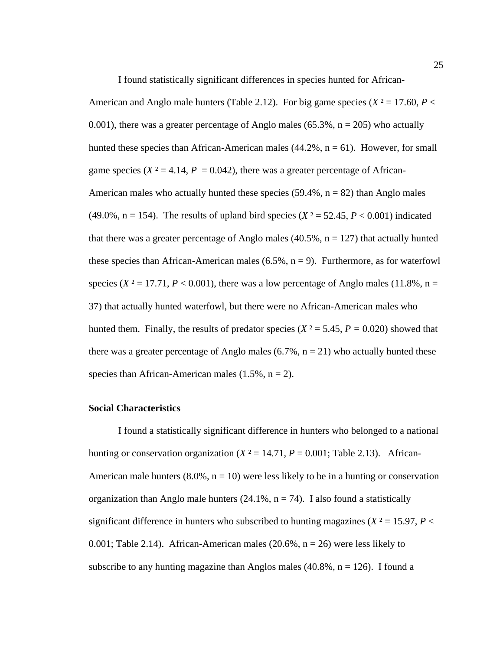I found statistically significant differences in species hunted for African-

American and Anglo male hunters (Table 2.12). For big game species ( $X^2 = 17.60$ ,  $P <$ 0.001), there was a greater percentage of Anglo males (65.3%,  $n = 205$ ) who actually hunted these species than African-American males  $(44.2\%$ ,  $n = 61)$ . However, for small game species ( $X^2 = 4.14$ ,  $P = 0.042$ ), there was a greater percentage of African-American males who actually hunted these species  $(59.4\%, n = 82)$  than Anglo males (49.0%,  $n = 154$ ). The results of upland bird species ( $X^2 = 52.45$ ,  $P < 0.001$ ) indicated that there was a greater percentage of Anglo males  $(40.5\%, n = 127)$  that actually hunted these species than African-American males  $(6.5\%, n = 9)$ . Furthermore, as for waterfowl species ( $X^2 = 17.71$ ,  $P < 0.001$ ), there was a low percentage of Anglo males (11.8%, n = 37) that actually hunted waterfowl, but there were no African-American males who hunted them. Finally, the results of predator species ( $X^2 = 5.45$ ,  $P = 0.020$ ) showed that there was a greater percentage of Anglo males  $(6.7\%, n = 21)$  who actually hunted these species than African-American males  $(1.5\%, n = 2)$ .

#### **Social Characteristics**

I found a statistically significant difference in hunters who belonged to a national hunting or conservation organization  $(X^2 = 14.71, P = 0.001$ ; Table 2.13). African-American male hunters  $(8.0\%, n = 10)$  were less likely to be in a hunting or conservation organization than Anglo male hunters  $(24.1\%, n = 74)$ . I also found a statistically significant difference in hunters who subscribed to hunting magazines ( $X^2 = 15.97$ ,  $P <$ 0.001; Table 2.14). African-American males  $(20.6\%, n = 26)$  were less likely to subscribe to any hunting magazine than Anglos males  $(40.8\%, n = 126)$ . I found a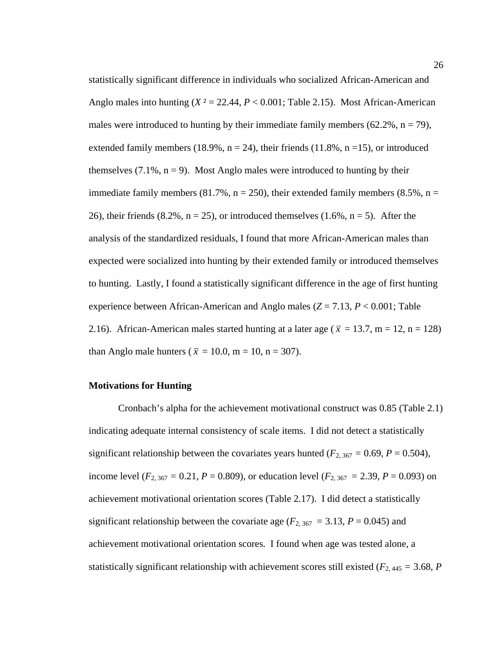statistically significant difference in individuals who socialized African-American and Anglo males into hunting  $(X^2 = 22.44, P < 0.001$ ; Table 2.15). Most African-American males were introduced to hunting by their immediate family members (62.2%,  $n = 79$ ), extended family members (18.9%,  $n = 24$ ), their friends (11.8%,  $n = 15$ ), or introduced themselves  $(7.1\%, n=9)$ . Most Anglo males were introduced to hunting by their immediate family members (81.7%,  $n = 250$ ), their extended family members (8.5%,  $n =$ 26), their friends  $(8.2\%, n = 25)$ , or introduced themselves  $(1.6\%, n = 5)$ . After the analysis of the standardized residuals, I found that more African-American males than expected were socialized into hunting by their extended family or introduced themselves to hunting. Lastly, I found a statistically significant difference in the age of first hunting experience between African-American and Anglo males (*Z* = 7.13, *P* < 0.001; Table 2.16). African-American males started hunting at a later age ( $\bar{x} = 13.7$ , m = 12, n = 128) than Anglo male hunters ( $\bar{x} = 10.0$ , m = 10, n = 307).

## **Motivations for Hunting**

Cronbach's alpha for the achievement motivational construct was 0.85 (Table 2.1) indicating adequate internal consistency of scale items. I did not detect a statistically significant relationship between the covariates years hunted ( $F_{2,367} = 0.69$ ,  $P = 0.504$ ), income level ( $F_{2, 367} = 0.21$ ,  $P = 0.809$ ), or education level ( $F_{2, 367} = 2.39$ ,  $P = 0.093$ ) on achievement motivational orientation scores (Table 2.17). I did detect a statistically significant relationship between the covariate age ( $F_{2,367}$  = 3.13,  $P = 0.045$ ) and achievement motivational orientation scores. I found when age was tested alone, a statistically significant relationship with achievement scores still existed ( $F_{2,445} = 3.68$ , *P*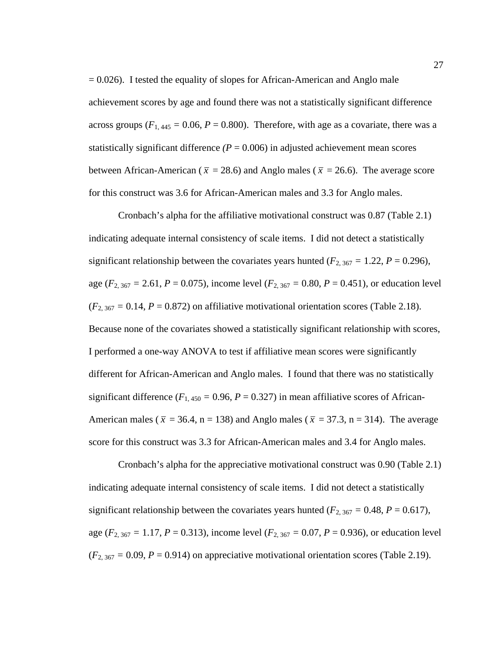$= 0.026$ ). I tested the equality of slopes for African-American and Anglo male achievement scores by age and found there was not a statistically significant difference across groups  $(F_{1,445} = 0.06, P = 0.800)$ . Therefore, with age as a covariate, there was a statistically significant difference  $(P = 0.006)$  in adjusted achievement mean scores between African-American ( $\bar{x}$  = 28.6) and Anglo males ( $\bar{x}$  = 26.6). The average score for this construct was 3.6 for African-American males and 3.3 for Anglo males.

Cronbach's alpha for the affiliative motivational construct was 0.87 (Table 2.1) indicating adequate internal consistency of scale items. I did not detect a statistically significant relationship between the covariates years hunted ( $F_{2,367} = 1.22$ ,  $P = 0.296$ ), age ( $F_{2,367} = 2.61$ ,  $P = 0.075$ ), income level ( $F_{2,367} = 0.80$ ,  $P = 0.451$ ), or education level  $(F_{2,367} = 0.14, P = 0.872)$  on affiliative motivational orientation scores (Table 2.18). Because none of the covariates showed a statistically significant relationship with scores, I performed a one-way ANOVA to test if affiliative mean scores were significantly different for African-American and Anglo males. I found that there was no statistically significant difference  $(F_{1,450} = 0.96, P = 0.327)$  in mean affiliative scores of African-American males ( $\bar{x}$  = 36.4, n = 138) and Anglo males ( $\bar{x}$  = 37.3, n = 314). The average score for this construct was 3.3 for African-American males and 3.4 for Anglo males.

Cronbach's alpha for the appreciative motivational construct was 0.90 (Table 2.1) indicating adequate internal consistency of scale items. I did not detect a statistically significant relationship between the covariates years hunted ( $F_{2,367} = 0.48$ ,  $P = 0.617$ ), age ( $F_{2, 367} = 1.17$ ,  $P = 0.313$ ), income level ( $F_{2, 367} = 0.07$ ,  $P = 0.936$ ), or education level  $(F_{2,367} = 0.09, P = 0.914)$  on appreciative motivational orientation scores (Table 2.19).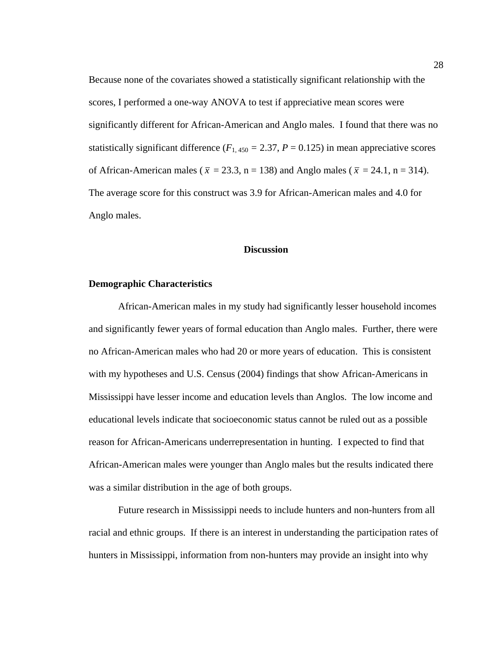Because none of the covariates showed a statistically significant relationship with the scores, I performed a one-way ANOVA to test if appreciative mean scores were significantly different for African-American and Anglo males. I found that there was no statistically significant difference ( $F_{1,450} = 2.37$ ,  $P = 0.125$ ) in mean appreciative scores of African-American males ( $\bar{x} = 23.3$ , n = 138) and Anglo males ( $\bar{x} = 24.1$ , n = 314). The average score for this construct was 3.9 for African-American males and 4.0 for Anglo males.

#### **Discussion**

#### **Demographic Characteristics**

African-American males in my study had significantly lesser household incomes and significantly fewer years of formal education than Anglo males. Further, there were no African-American males who had 20 or more years of education. This is consistent with my hypotheses and U.S. Census (2004) findings that show African-Americans in Mississippi have lesser income and education levels than Anglos. The low income and educational levels indicate that socioeconomic status cannot be ruled out as a possible reason for African-Americans underrepresentation in hunting. I expected to find that African-American males were younger than Anglo males but the results indicated there was a similar distribution in the age of both groups.

Future research in Mississippi needs to include hunters and non-hunters from all racial and ethnic groups. If there is an interest in understanding the participation rates of hunters in Mississippi, information from non-hunters may provide an insight into why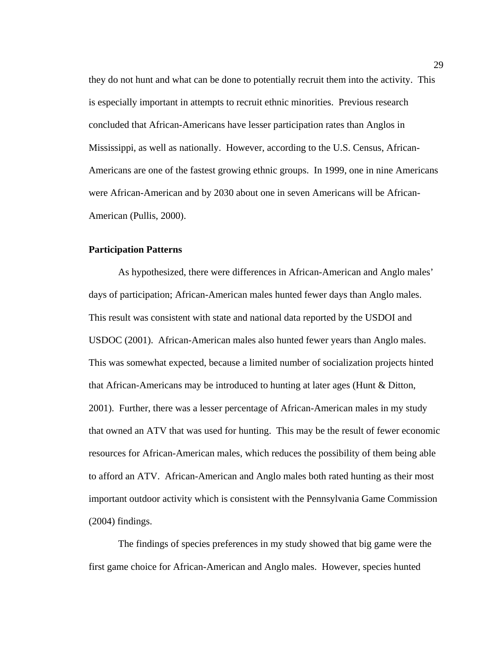they do not hunt and what can be done to potentially recruit them into the activity. This is especially important in attempts to recruit ethnic minorities. Previous research concluded that African-Americans have lesser participation rates than Anglos in Mississippi, as well as nationally. However, according to the U.S. Census, African-Americans are one of the fastest growing ethnic groups. In 1999, one in nine Americans were African-American and by 2030 about one in seven Americans will be African-American (Pullis, 2000).

## **Participation Patterns**

As hypothesized, there were differences in African-American and Anglo males' days of participation; African-American males hunted fewer days than Anglo males. This result was consistent with state and national data reported by the USDOI and USDOC (2001). African-American males also hunted fewer years than Anglo males. This was somewhat expected, because a limited number of socialization projects hinted that African-Americans may be introduced to hunting at later ages (Hunt  $\&$  Ditton, 2001). Further, there was a lesser percentage of African-American males in my study that owned an ATV that was used for hunting. This may be the result of fewer economic resources for African-American males, which reduces the possibility of them being able to afford an ATV. African-American and Anglo males both rated hunting as their most important outdoor activity which is consistent with the Pennsylvania Game Commission (2004) findings.

The findings of species preferences in my study showed that big game were the first game choice for African-American and Anglo males. However, species hunted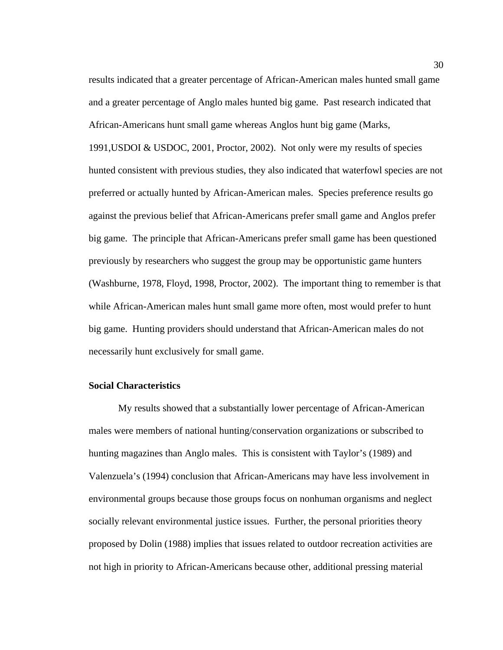results indicated that a greater percentage of African-American males hunted small game and a greater percentage of Anglo males hunted big game. Past research indicated that African-Americans hunt small game whereas Anglos hunt big game (Marks, 1991,USDOI & USDOC, 2001, Proctor, 2002). Not only were my results of species hunted consistent with previous studies, they also indicated that waterfowl species are not preferred or actually hunted by African-American males. Species preference results go against the previous belief that African-Americans prefer small game and Anglos prefer big game. The principle that African-Americans prefer small game has been questioned previously by researchers who suggest the group may be opportunistic game hunters (Washburne, 1978, Floyd, 1998, Proctor, 2002). The important thing to remember is that while African-American males hunt small game more often, most would prefer to hunt big game. Hunting providers should understand that African-American males do not necessarily hunt exclusively for small game.

## **Social Characteristics**

My results showed that a substantially lower percentage of African-American males were members of national hunting/conservation organizations or subscribed to hunting magazines than Anglo males. This is consistent with Taylor's (1989) and Valenzuela's (1994) conclusion that African-Americans may have less involvement in environmental groups because those groups focus on nonhuman organisms and neglect socially relevant environmental justice issues. Further, the personal priorities theory proposed by Dolin (1988) implies that issues related to outdoor recreation activities are not high in priority to African-Americans because other, additional pressing material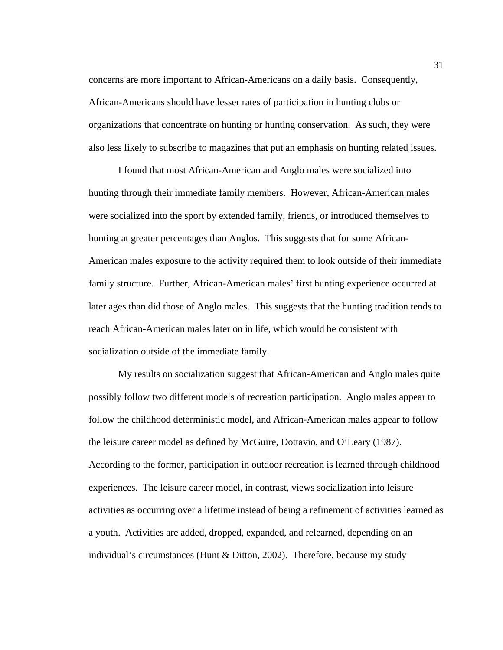concerns are more important to African-Americans on a daily basis. Consequently, African-Americans should have lesser rates of participation in hunting clubs or organizations that concentrate on hunting or hunting conservation. As such, they were also less likely to subscribe to magazines that put an emphasis on hunting related issues.

I found that most African-American and Anglo males were socialized into hunting through their immediate family members. However, African-American males were socialized into the sport by extended family, friends, or introduced themselves to hunting at greater percentages than Anglos. This suggests that for some African-American males exposure to the activity required them to look outside of their immediate family structure. Further, African-American males' first hunting experience occurred at later ages than did those of Anglo males. This suggests that the hunting tradition tends to reach African-American males later on in life, which would be consistent with socialization outside of the immediate family.

My results on socialization suggest that African-American and Anglo males quite possibly follow two different models of recreation participation. Anglo males appear to follow the childhood deterministic model, and African-American males appear to follow the leisure career model as defined by McGuire, Dottavio, and O'Leary (1987). According to the former, participation in outdoor recreation is learned through childhood experiences. The leisure career model, in contrast, views socialization into leisure activities as occurring over a lifetime instead of being a refinement of activities learned as a youth. Activities are added, dropped, expanded, and relearned, depending on an individual's circumstances (Hunt & Ditton, 2002). Therefore, because my study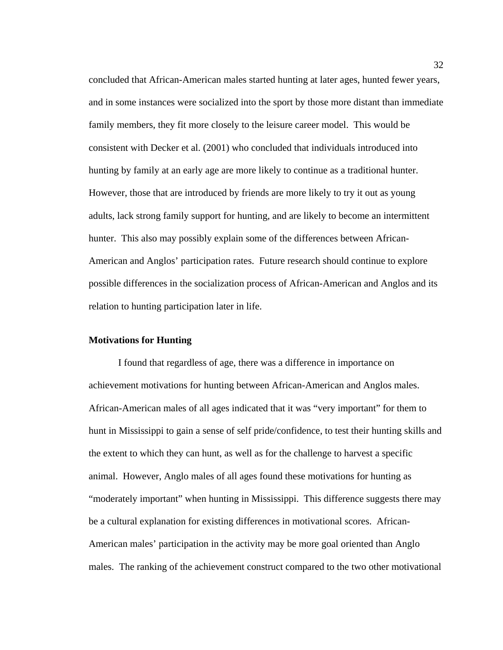concluded that African-American males started hunting at later ages, hunted fewer years, and in some instances were socialized into the sport by those more distant than immediate family members, they fit more closely to the leisure career model. This would be consistent with Decker et al. (2001) who concluded that individuals introduced into hunting by family at an early age are more likely to continue as a traditional hunter. However, those that are introduced by friends are more likely to try it out as young adults, lack strong family support for hunting, and are likely to become an intermittent hunter. This also may possibly explain some of the differences between African-American and Anglos' participation rates. Future research should continue to explore possible differences in the socialization process of African-American and Anglos and its relation to hunting participation later in life.

## **Motivations for Hunting**

I found that regardless of age, there was a difference in importance on achievement motivations for hunting between African-American and Anglos males. African-American males of all ages indicated that it was "very important" for them to hunt in Mississippi to gain a sense of self pride/confidence, to test their hunting skills and the extent to which they can hunt, as well as for the challenge to harvest a specific animal. However, Anglo males of all ages found these motivations for hunting as "moderately important" when hunting in Mississippi. This difference suggests there may be a cultural explanation for existing differences in motivational scores. African-American males' participation in the activity may be more goal oriented than Anglo males. The ranking of the achievement construct compared to the two other motivational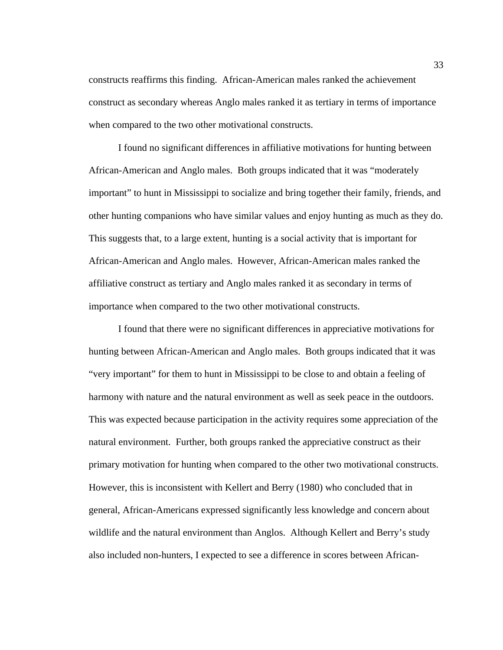constructs reaffirms this finding. African-American males ranked the achievement construct as secondary whereas Anglo males ranked it as tertiary in terms of importance when compared to the two other motivational constructs.

I found no significant differences in affiliative motivations for hunting between African-American and Anglo males. Both groups indicated that it was "moderately important" to hunt in Mississippi to socialize and bring together their family, friends, and other hunting companions who have similar values and enjoy hunting as much as they do. This suggests that, to a large extent, hunting is a social activity that is important for African-American and Anglo males. However, African-American males ranked the affiliative construct as tertiary and Anglo males ranked it as secondary in terms of importance when compared to the two other motivational constructs.

I found that there were no significant differences in appreciative motivations for hunting between African-American and Anglo males. Both groups indicated that it was "very important" for them to hunt in Mississippi to be close to and obtain a feeling of harmony with nature and the natural environment as well as seek peace in the outdoors. This was expected because participation in the activity requires some appreciation of the natural environment. Further, both groups ranked the appreciative construct as their primary motivation for hunting when compared to the other two motivational constructs. However, this is inconsistent with Kellert and Berry (1980) who concluded that in general, African-Americans expressed significantly less knowledge and concern about wildlife and the natural environment than Anglos. Although Kellert and Berry's study also included non-hunters, I expected to see a difference in scores between African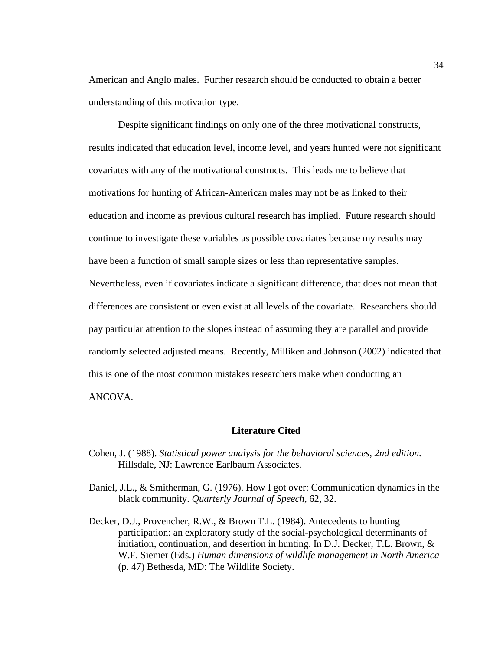American and Anglo males. Further research should be conducted to obtain a better understanding of this motivation type.

Despite significant findings on only one of the three motivational constructs, results indicated that education level, income level, and years hunted were not significant covariates with any of the motivational constructs. This leads me to believe that motivations for hunting of African-American males may not be as linked to their education and income as previous cultural research has implied. Future research should continue to investigate these variables as possible covariates because my results may have been a function of small sample sizes or less than representative samples. Nevertheless, even if covariates indicate a significant difference, that does not mean that differences are consistent or even exist at all levels of the covariate. Researchers should pay particular attention to the slopes instead of assuming they are parallel and provide randomly selected adjusted means. Recently, Milliken and Johnson (2002) indicated that this is one of the most common mistakes researchers make when conducting an ANCOVA.

#### **Literature Cited**

- Cohen, J. (1988). *Statistical power analysis for the behavioral sciences, 2nd edition.*  Hillsdale, NJ: Lawrence Earlbaum Associates.
- Daniel, J.L., & Smitherman, G. (1976). How I got over: Communication dynamics in the black community. *Quarterly Journal of Speech*, 62, 32.
- Decker, D.J., Provencher, R.W., & Brown T.L. (1984). Antecedents to hunting participation: an exploratory study of the social-psychological determinants of initiation, continuation, and desertion in hunting. In D.J. Decker, T.L. Brown,  $\&$ W.F. Siemer (Eds.) *Human dimensions of wildlife management in North America* (p. 47) Bethesda, MD: The Wildlife Society.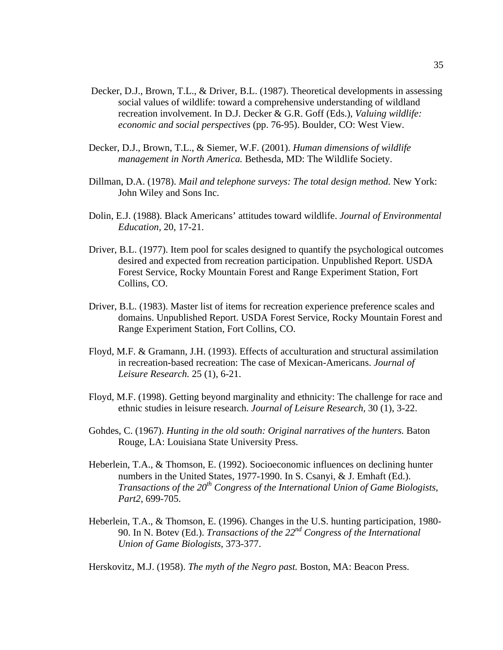- Decker, D.J., Brown, T.L., & Driver, B.L. (1987). Theoretical developments in assessing social values of wildlife: toward a comprehensive understanding of wildland recreation involvement. In D.J. Decker & G.R. Goff (Eds.), *Valuing wildlife: economic and social perspectives* (pp. 76-95). Boulder, CO: West View.
- Decker, D.J., Brown, T.L., & Siemer, W.F. (2001). *Human dimensions of wildlife management in North America.* Bethesda, MD: The Wildlife Society.
- Dillman, D.A. (1978). *Mail and telephone surveys: The total design method.* New York: John Wiley and Sons Inc.
- Dolin, E.J. (1988). Black Americans' attitudes toward wildlife. *Journal of Environmental Education,* 20, 17-21.
- Driver, B.L. (1977). Item pool for scales designed to quantify the psychological outcomes desired and expected from recreation participation. Unpublished Report. USDA Forest Service, Rocky Mountain Forest and Range Experiment Station, Fort Collins, CO.
- Driver, B.L. (1983). Master list of items for recreation experience preference scales and domains. Unpublished Report. USDA Forest Service, Rocky Mountain Forest and Range Experiment Station, Fort Collins, CO.
- Floyd, M.F. & Gramann, J.H. (1993). Effects of acculturation and structural assimilation in recreation-based recreation: The case of Mexican-Americans. *Journal of Leisure Research.* 25 (1), 6-21.
- Floyd, M.F. (1998). Getting beyond marginality and ethnicity: The challenge for race and ethnic studies in leisure research. *Journal of Leisure Research,* 30 (1), 3-22.
- Gohdes, C. (1967). *Hunting in the old south: Original narratives of the hunters*. Baton Rouge, LA: Louisiana State University Press.
- Heberlein, T.A., & Thomson, E. (1992). Socioeconomic influences on declining hunter numbers in the United States, 1977-1990. In S. Csanyi, & J. Emhaft (Ed.). *Transactions of the 20th Congress of the International Union of Game Biologists, Part2,* 699-705.
- Heberlein, T.A., & Thomson, E. (1996). Changes in the U.S. hunting participation, 1980- 90. In N. Botev (Ed.). *Transactions of the 22nd Congress of the International Union of Game Biologists,* 373-377.

Herskovitz, M.J. (1958). *The myth of the Negro past.* Boston, MA: Beacon Press.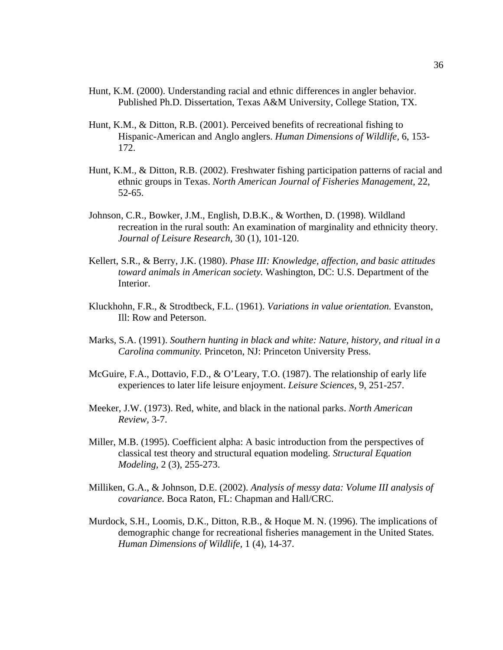- Hunt, K.M. (2000). Understanding racial and ethnic differences in angler behavior. Published Ph.D. Dissertation, Texas A&M University, College Station, TX.
- Hunt, K.M., & Ditton, R.B. (2001). Perceived benefits of recreational fishing to Hispanic-American and Anglo anglers. *Human Dimensions of Wildlife,* 6, 153- 172.
- Hunt, K.M., & Ditton, R.B. (2002). Freshwater fishing participation patterns of racial and ethnic groups in Texas. *North American Journal of Fisheries Management,* 22, 52-65.
- Johnson, C.R., Bowker, J.M., English, D.B.K., & Worthen, D. (1998). Wildland recreation in the rural south: An examination of marginality and ethnicity theory. *Journal of Leisure Research,* 30 (1), 101-120.
- Kellert, S.R., & Berry, J.K. (1980). *Phase III: Knowledge, affection, and basic attitudes toward animals in American society.* Washington, DC: U.S. Department of the Interior.
- Kluckhohn, F.R., & Strodtbeck, F.L. (1961). *Variations in value orientation.* Evanston, Ill: Row and Peterson.
- Marks, S.A. (1991). *Southern hunting in black and white: Nature, history, and ritual in a Carolina community.* Princeton, NJ: Princeton University Press.
- McGuire, F.A., Dottavio, F.D., & O'Leary, T.O. (1987). The relationship of early life experiences to later life leisure enjoyment. *Leisure Sciences,* 9, 251-257.
- Meeker, J.W. (1973). Red, white, and black in the national parks. *North American Review,* 3-7.
- Miller, M.B. (1995). Coefficient alpha: A basic introduction from the perspectives of classical test theory and structural equation modeling. *Structural Equation Modeling,* 2 (3), 255-273.
- Milliken, G.A., & Johnson, D.E. (2002). *Analysis of messy data: Volume III analysis of covariance.* Boca Raton, FL: Chapman and Hall/CRC.
- Murdock, S.H., Loomis, D.K., Ditton, R.B., & Hoque M. N. (1996). The implications of demographic change for recreational fisheries management in the United States. *Human Dimensions of Wildlife,* 1 (4), 14-37.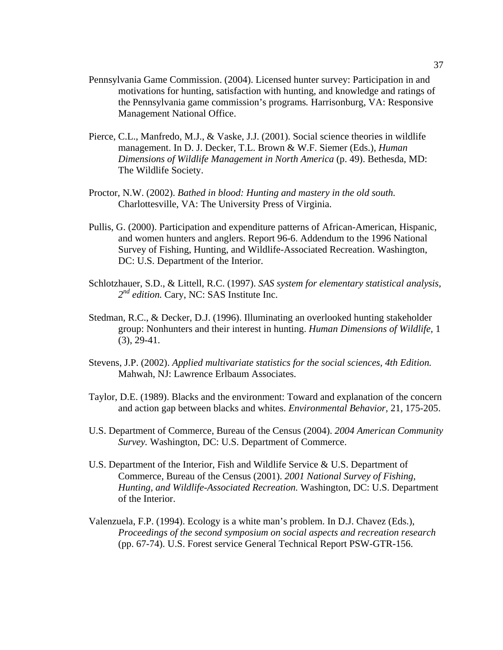- Pennsylvania Game Commission. (2004). Licensed hunter survey: Participation in and motivations for hunting, satisfaction with hunting, and knowledge and ratings of the Pennsylvania game commission's programs*.* Harrisonburg, VA: Responsive Management National Office.
- Pierce, C.L., Manfredo, M.J., & Vaske, J.J. (2001). Social science theories in wildlife management. In D. J. Decker, T.L. Brown & W.F. Siemer (Eds.), *Human Dimensions of Wildlife Management in North America* (p. 49). Bethesda, MD: The Wildlife Society.
- Proctor, N.W. (2002). *Bathed in blood: Hunting and mastery in the old south.*  Charlottesville, VA: The University Press of Virginia.
- Pullis, G. (2000). Participation and expenditure patterns of African-American, Hispanic, and women hunters and anglers. Report 96-6. Addendum to the 1996 National Survey of Fishing, Hunting, and Wildlife-Associated Recreation. Washington, DC: U.S. Department of the Interior.
- Schlotzhauer, S.D., & Littell, R.C. (1997). *SAS system for elementary statistical analysis, 2nd edition.* Cary, NC: SAS Institute Inc.
- Stedman, R.C., & Decker, D.J. (1996). Illuminating an overlooked hunting stakeholder group: Nonhunters and their interest in hunting. *Human Dimensions of Wildlife,* 1 (3), 29-41.
- Stevens, J.P. (2002). *Applied multivariate statistics for the social sciences, 4th Edition.*  Mahwah, NJ: Lawrence Erlbaum Associates.
- Taylor, D.E. (1989). Blacks and the environment: Toward and explanation of the concern and action gap between blacks and whites. *Environmental Behavior,* 21, 175-205.
- U.S. Department of Commerce, Bureau of the Census (2004). *2004 American Community Survey.* Washington, DC: U.S. Department of Commerce.
- U.S. Department of the Interior, Fish and Wildlife Service & U.S. Department of Commerce, Bureau of the Census (2001). *2001 National Survey of Fishing, Hunting, and Wildlife-Associated Recreation.* Washington, DC: U.S. Department of the Interior.
- Valenzuela, F.P. (1994). Ecology is a white man's problem. In D.J. Chavez (Eds.), *Proceedings of the second symposium on social aspects and recreation research*  (pp. 67-74). U.S. Forest service General Technical Report PSW-GTR-156.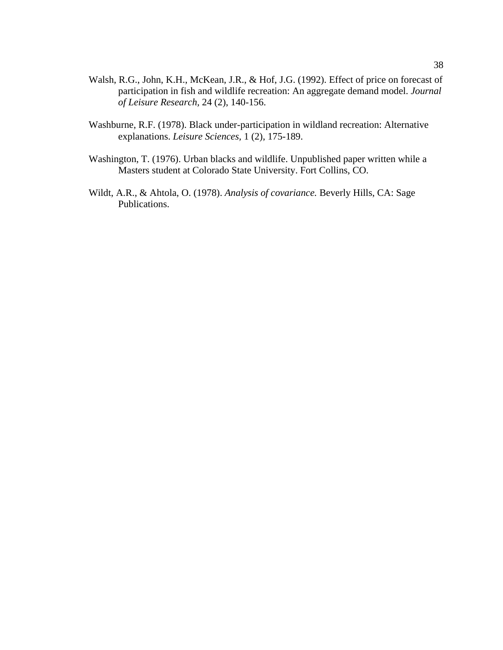- Walsh, R.G., John, K.H., McKean, J.R., & Hof, J.G. (1992). Effect of price on forecast of participation in fish and wildlife recreation: An aggregate demand model. *Journal of Leisure Research,* 24 (2), 140-156.
- Washburne, R.F. (1978). Black under-participation in wildland recreation: Alternative explanations. *Leisure Sciences,* 1 (2), 175-189.
- Washington, T. (1976). Urban blacks and wildlife. Unpublished paper written while a Masters student at Colorado State University. Fort Collins, CO.
- Wildt, A.R., & Ahtola, O. (1978). *Analysis of covariance.* Beverly Hills, CA: Sage Publications.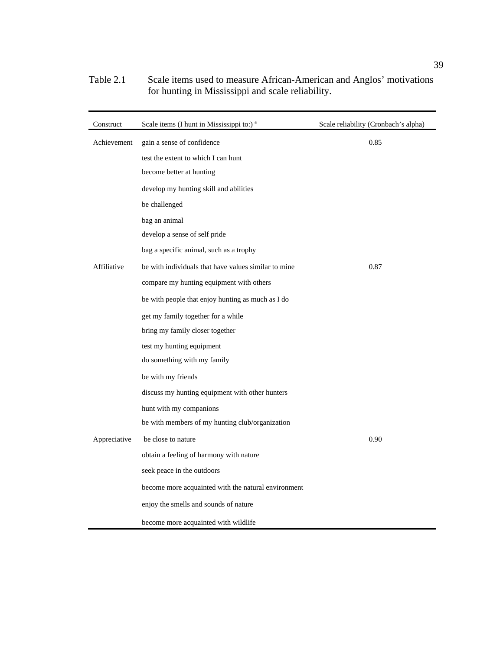| Construct    | Scale items (I hunt in Mississippi to:) <sup>a</sup> | Scale reliability (Cronbach's alpha) |
|--------------|------------------------------------------------------|--------------------------------------|
| Achievement  | gain a sense of confidence                           | 0.85                                 |
|              | test the extent to which I can hunt                  |                                      |
|              | become better at hunting                             |                                      |
|              | develop my hunting skill and abilities               |                                      |
|              | be challenged                                        |                                      |
|              | bag an animal                                        |                                      |
|              | develop a sense of self pride                        |                                      |
|              | bag a specific animal, such as a trophy              |                                      |
| Affiliative  | be with individuals that have values similar to mine | 0.87                                 |
|              | compare my hunting equipment with others             |                                      |
|              | be with people that enjoy hunting as much as I do    |                                      |
|              | get my family together for a while                   |                                      |
|              | bring my family closer together                      |                                      |
|              | test my hunting equipment                            |                                      |
|              | do something with my family                          |                                      |
|              | be with my friends                                   |                                      |
|              | discuss my hunting equipment with other hunters      |                                      |
|              | hunt with my companions                              |                                      |
|              | be with members of my hunting club/organization      |                                      |
| Appreciative | be close to nature                                   | 0.90                                 |
|              | obtain a feeling of harmony with nature              |                                      |
|              | seek peace in the outdoors                           |                                      |
|              | become more acquainted with the natural environment  |                                      |
|              | enjoy the smells and sounds of nature                |                                      |
|              | become more acquainted with wildlife                 |                                      |

## Table 2.1 Scale items used to measure African-American and Anglos' motivations for hunting in Mississippi and scale reliability.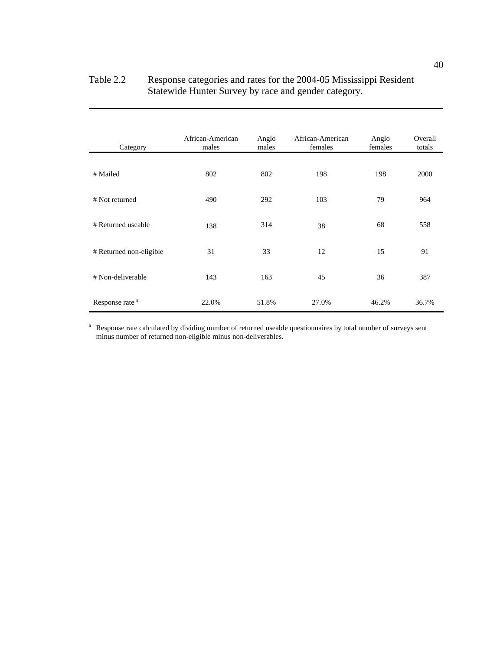| Table 2.2 | Response categories and rates for the 2004-05 Mississippi Resident |
|-----------|--------------------------------------------------------------------|
|           | Statewide Hunter Survey by race and gender category.               |

| Category                   | African-American<br>males | Anglo<br>males | African-American<br>females | Anglo<br>females | Overall<br>totals |
|----------------------------|---------------------------|----------------|-----------------------------|------------------|-------------------|
| # Mailed                   | 802                       | 802            | 198                         | 198              | 2000              |
| # Not returned             | 490                       | 292            | 103                         | 79               | 964               |
| # Returned useable         | 138                       | 314            | 38                          | 68               | 558               |
| # Returned non-eligible    | 31                        | 33             | 12                          | 15               | 91                |
| # Non-deliverable          | 143                       | 163            | 45                          | 36               | 387               |
| Response rate <sup>a</sup> | 22.0%                     | 51.8%          | 27.0%                       | 46.2%            | 36.7%             |

<sup>a</sup> Response rate calculated by dividing number of returned useable questionnaires by total number of surveys sent minus number of returned non-eligible minus non-deliverables.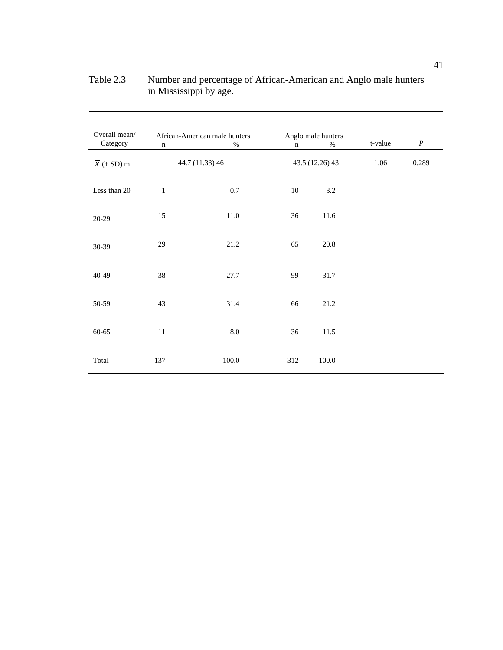| Overall mean/<br>Category    | $\mathbf n$  | African-American male hunters<br>$\%$ | n      | Anglo male hunters<br>$\%$ | t-value | $\boldsymbol{P}$ |
|------------------------------|--------------|---------------------------------------|--------|----------------------------|---------|------------------|
| $\overline{x}$ ( $\pm$ SD) m |              | 44.7 (11.33) 46                       |        | 43.5 (12.26) 43            | 1.06    | 0.289            |
| Less than 20                 | $\mathbf{1}$ | $0.7\,$                               | $10\,$ | $3.2\,$                    |         |                  |
| $20-29$                      | 15           | $11.0\,$                              | 36     | 11.6                       |         |                  |
| 30-39                        | 29           | 21.2                                  | 65     | 20.8                       |         |                  |
| 40-49                        | 38           | 27.7                                  | 99     | 31.7                       |         |                  |
| 50-59                        | 43           | 31.4                                  | 66     | 21.2                       |         |                  |
| $60 - 65$                    | $11\,$       | $8.0\,$                               | 36     | 11.5                       |         |                  |
| Total                        | 137          | 100.0                                 | 312    | 100.0                      |         |                  |

## Table 2.3 Number and percentage of African-American and Anglo male hunters in Mississippi by age.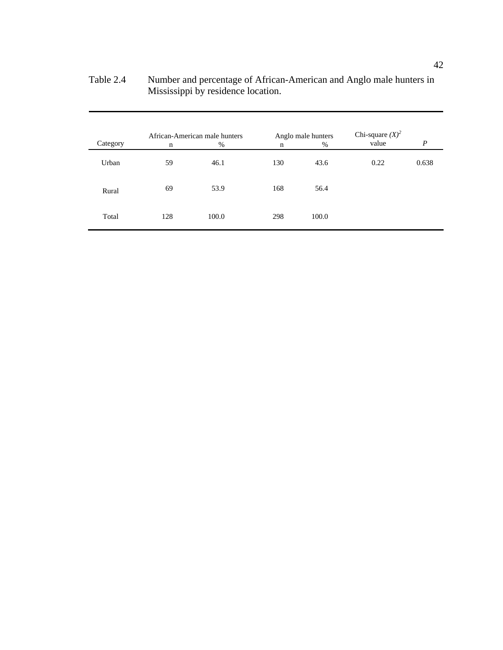| Category | n   | African-American male hunters<br>$\%$ | $\mathbf n$ | Anglo male hunters<br>$\%$ | Chi-square $(X)^2$<br>value | $\boldsymbol{P}$ |
|----------|-----|---------------------------------------|-------------|----------------------------|-----------------------------|------------------|
| Urban    | 59  | 46.1                                  | 130         | 43.6                       | 0.22                        | 0.638            |
| Rural    | 69  | 53.9                                  | 168         | 56.4                       |                             |                  |
| Total    | 128 | 100.0                                 | 298         | 100.0                      |                             |                  |

Table 2.4 Number and percentage of African-American and Anglo male hunters in Mississippi by residence location.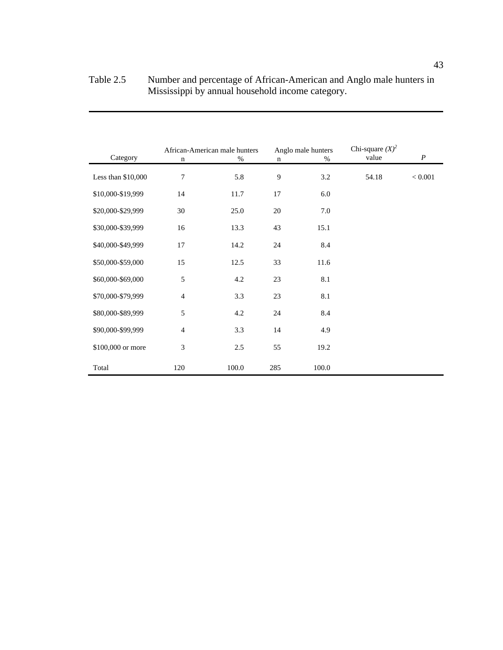| Category            | $\mathbf n$    | African-American male hunters<br>$\%$ | $\mathbf n$ | Anglo male hunters<br>% | Chi-square $(X)^2$<br>value | $\boldsymbol{P}$ |
|---------------------|----------------|---------------------------------------|-------------|-------------------------|-----------------------------|------------------|
| Less than $$10,000$ | 7              | 5.8                                   | 9           | 3.2                     | 54.18                       | $< 0.001$        |
| \$10,000-\$19,999   | 14             | 11.7                                  | 17          | 6.0                     |                             |                  |
| \$20,000-\$29,999   | 30             | 25.0                                  | 20          | 7.0                     |                             |                  |
| \$30,000-\$39,999   | 16             | 13.3                                  | 43          | 15.1                    |                             |                  |
| \$40,000-\$49,999   | 17             | 14.2                                  | 24          | 8.4                     |                             |                  |
| \$50,000-\$59,000   | 15             | 12.5                                  | 33          | 11.6                    |                             |                  |
| \$60,000-\$69,000   | 5              | 4.2                                   | 23          | 8.1                     |                             |                  |
| \$70,000-\$79,999   | $\overline{4}$ | 3.3                                   | 23          | 8.1                     |                             |                  |
| \$80,000-\$89,999   | 5              | 4.2                                   | 24          | 8.4                     |                             |                  |
| \$90,000-\$99,999   | $\overline{4}$ | 3.3                                   | 14          | 4.9                     |                             |                  |
| \$100,000 or more   | 3              | 2.5                                   | 55          | 19.2                    |                             |                  |
| Total               | 120            | 100.0                                 | 285         | 100.0                   |                             |                  |

## Table 2.5 Number and percentage of African-American and Anglo male hunters in Mississippi by annual household income category.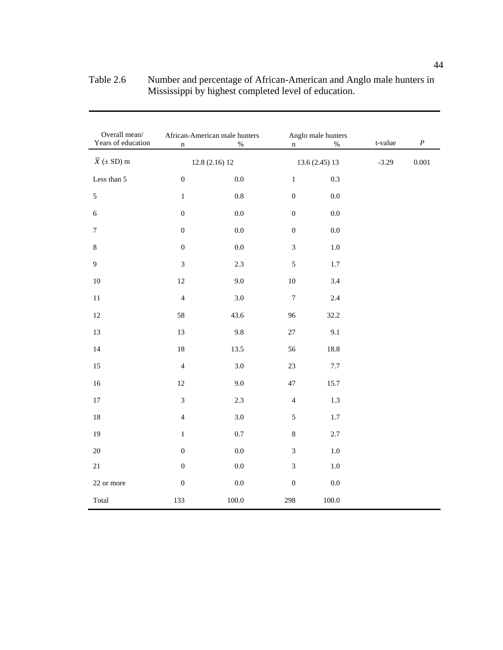| Overall mean/<br>Years of education            | $\mathbf n$      | African-American male hunters<br>$\%$ | $\mathbf n$      | Anglo male hunters<br>$\%$ | t-value | $\boldsymbol{P}$ |
|------------------------------------------------|------------------|---------------------------------------|------------------|----------------------------|---------|------------------|
| $\overline{\mathcal{X}}\ (\pm\ \mathrm{SD})$ m |                  | 12.8(2.16)12                          |                  | 13.6 (2.45) 13             | $-3.29$ | $0.001\,$        |
| Less than 5                                    | $\boldsymbol{0}$ | 0.0                                   | $\,1$            | 0.3                        |         |                  |
| $\sqrt{5}$                                     | $\,1$            | $\rm 0.8$                             | $\boldsymbol{0}$ | $0.0\,$                    |         |                  |
| $\sqrt{6}$                                     | $\boldsymbol{0}$ | $0.0\,$                               | $\boldsymbol{0}$ | $0.0\,$                    |         |                  |
| $\boldsymbol{7}$                               | $\boldsymbol{0}$ | $0.0\,$                               | $\boldsymbol{0}$ | $0.0\,$                    |         |                  |
| $\,8\,$                                        | $\boldsymbol{0}$ | 0.0                                   | 3                | $1.0\,$                    |         |                  |
| 9                                              | $\mathfrak{Z}$   | 2.3                                   | $\mathfrak s$    | $1.7\,$                    |         |                  |
| 10                                             | $12\,$           | 9.0                                   | $10\,$           | 3.4                        |         |                  |
| $11\,$                                         | $\overline{4}$   | 3.0                                   | $\boldsymbol{7}$ | $2.4\,$                    |         |                  |
| $12\,$                                         | 58               | 43.6                                  | 96               | 32.2                       |         |                  |
| $13\,$                                         | 13               | 9.8                                   | $27\,$           | 9.1                        |         |                  |
| 14                                             | $18\,$           | 13.5                                  | 56               | 18.8                       |         |                  |
| $15\,$                                         | $\overline{4}$   | 3.0                                   | $23\,$           | $7.7\,$                    |         |                  |
| $16\,$                                         | $12\,$           | 9.0                                   | 47               | 15.7                       |         |                  |
| $17\,$                                         | 3                | 2.3                                   | $\overline{4}$   | $1.3$                      |         |                  |
| $18\,$                                         | $\overline{4}$   | $3.0\,$                               | 5                | $1.7\,$                    |         |                  |
| 19                                             | $\,1$            | $0.7\,$                               | $8\,$            | $2.7\,$                    |         |                  |
| 20                                             | $\boldsymbol{0}$ | $0.0\,$                               | 3                | $1.0\,$                    |         |                  |
| $21\,$                                         | $\boldsymbol{0}$ | $0.0\,$                               | $\mathfrak{Z}$   | $1.0\,$                    |         |                  |
| 22 or more                                     | $\boldsymbol{0}$ | $0.0\,$                               | $\boldsymbol{0}$ | $0.0\,$                    |         |                  |
| Total                                          | 133              | 100.0                                 | 298              | 100.0                      |         |                  |

Table 2.6 Number and percentage of African-American and Anglo male hunters in Mississippi by highest completed level of education.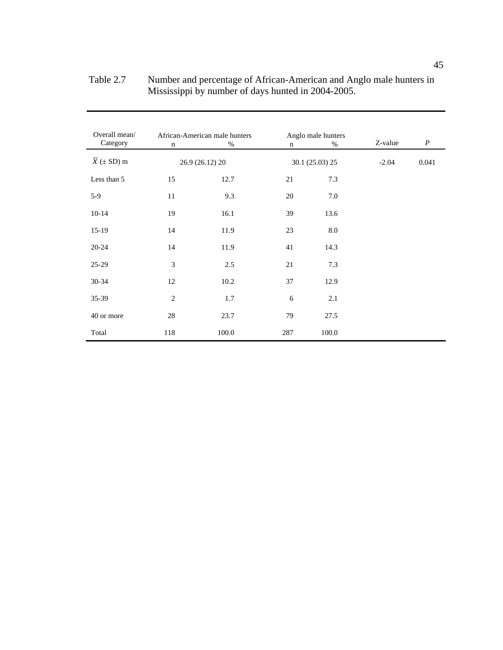| Overall mean/<br>Category    | $\mathbf n$    | African-American male hunters<br>$\%$ | n   | Anglo male hunters<br>% | Z-value | $\boldsymbol{P}$ |
|------------------------------|----------------|---------------------------------------|-----|-------------------------|---------|------------------|
| $\overline{x}$ ( $\pm$ SD) m |                | 26.9 (26.12) 20                       |     | 30.1 (25.03) 25         | $-2.04$ | 0.041            |
| Less than 5                  | 15             | 12.7                                  | 21  | 7.3                     |         |                  |
| $5-9$                        | 11             | 9.3                                   | 20  | 7.0                     |         |                  |
| $10 - 14$                    | 19             | 16.1                                  | 39  | 13.6                    |         |                  |
| $15-19$                      | 14             | 11.9                                  | 23  | 8.0                     |         |                  |
| $20 - 24$                    | 14             | 11.9                                  | 41  | 14.3                    |         |                  |
| $25-29$                      | 3              | 2.5                                   | 21  | 7.3                     |         |                  |
| $30 - 34$                    | 12             | 10.2                                  | 37  | 12.9                    |         |                  |
| $35-39$                      | $\overline{2}$ | 1.7                                   | 6   | 2.1                     |         |                  |
| 40 or more                   | 28             | 23.7                                  | 79  | 27.5                    |         |                  |
| Total                        | 118            | 100.0                                 | 287 | 100.0                   |         |                  |

Table 2.7 Number and percentage of African-American and Anglo male hunters in Mississippi by number of days hunted in 2004-2005.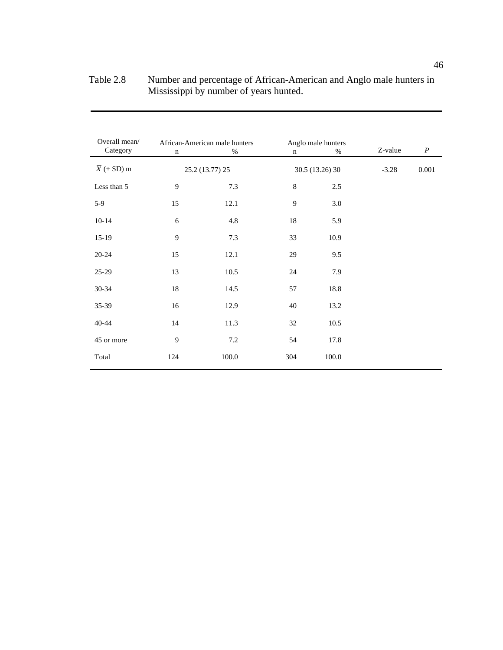| Overall mean/<br>Category    | $\mathbf n$    | African-American male hunters<br>$\%$ | $\mathbf n$ | Anglo male hunters<br>$\%$ | Z-value | $\boldsymbol{P}$ |
|------------------------------|----------------|---------------------------------------|-------------|----------------------------|---------|------------------|
| $\overline{x}$ ( $\pm$ SD) m |                | 25.2 (13.77) 25                       |             | 30.5 (13.26) 30            | $-3.28$ | 0.001            |
| Less than 5                  | $\overline{9}$ | 7.3                                   | $\,8\,$     | 2.5                        |         |                  |
| $5-9$                        | 15             | 12.1                                  | 9           | 3.0                        |         |                  |
| $10 - 14$                    | 6              | 4.8                                   | 18          | 5.9                        |         |                  |
| $15-19$                      | 9              | 7.3                                   | 33          | 10.9                       |         |                  |
| $20 - 24$                    | 15             | 12.1                                  | 29          | 9.5                        |         |                  |
| $25-29$                      | 13             | 10.5                                  | 24          | 7.9                        |         |                  |
| 30-34                        | 18             | 14.5                                  | 57          | 18.8                       |         |                  |
| 35-39                        | 16             | 12.9                                  | 40          | 13.2                       |         |                  |
| 40-44                        | 14             | 11.3                                  | 32          | 10.5                       |         |                  |
| 45 or more                   | 9              | $7.2\,$                               | 54          | 17.8                       |         |                  |
| Total                        | 124            | 100.0                                 | 304         | 100.0                      |         |                  |

| Table 2.8 | Number and percentage of African-American and Anglo male hunters in |
|-----------|---------------------------------------------------------------------|
|           | Mississippi by number of years hunted.                              |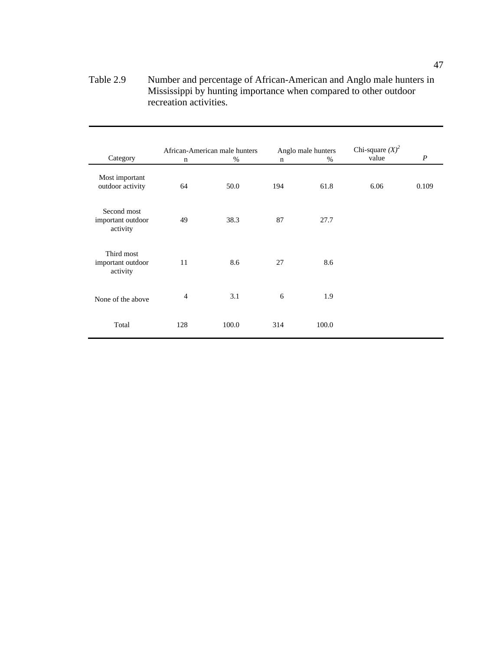## Table 2.9 Number and percentage of African-American and Anglo male hunters in Mississippi by hunting importance when compared to other outdoor recreation activities.

|                                              |                | African-American male hunters |             | Anglo male hunters | Chi-square $(X)^2$ |                  |
|----------------------------------------------|----------------|-------------------------------|-------------|--------------------|--------------------|------------------|
| Category                                     | $\mathbf n$    | $\%$                          | $\mathbf n$ | $\%$               | value              | $\boldsymbol{P}$ |
| Most important<br>outdoor activity           | 64             | 50.0                          | 194         | 61.8               | 6.06               | 0.109            |
| Second most<br>important outdoor<br>activity | 49             | 38.3                          | 87          | 27.7               |                    |                  |
| Third most<br>important outdoor<br>activity  | 11             | 8.6                           | 27          | 8.6                |                    |                  |
| None of the above                            | $\overline{4}$ | 3.1                           | 6           | 1.9                |                    |                  |
| Total                                        | 128            | 100.0                         | 314         | 100.0              |                    |                  |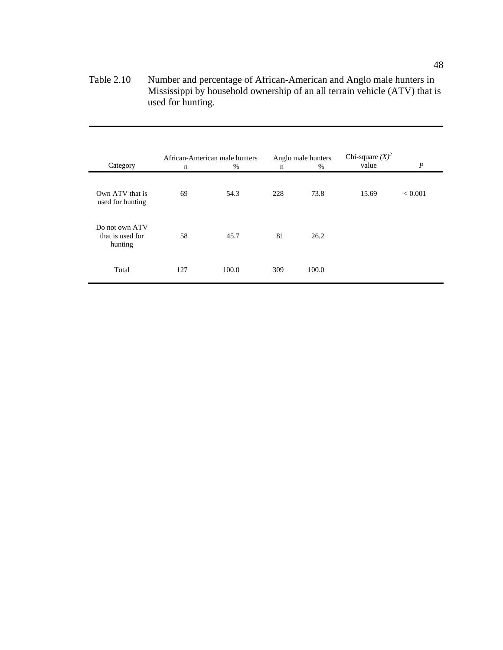Table 2.10 Number and percentage of African-American and Anglo male hunters in Mississippi by household ownership of an all terrain vehicle (ATV) that is used for hunting.

| Category                                      | $\mathbf n$ | African-American male hunters<br>% | $\mathbf n$ | Anglo male hunters<br>% | Chi-square $(X)^2$<br>value | $\boldsymbol{P}$ |
|-----------------------------------------------|-------------|------------------------------------|-------------|-------------------------|-----------------------------|------------------|
| Own ATV that is<br>used for hunting           | 69          | 54.3                               | 228         | 73.8                    | 15.69                       | ${}< 0.001$      |
| Do not own ATV<br>that is used for<br>hunting | 58          | 45.7                               | 81          | 26.2                    |                             |                  |
| Total                                         | 127         | 100.0                              | 309         | 100.0                   |                             |                  |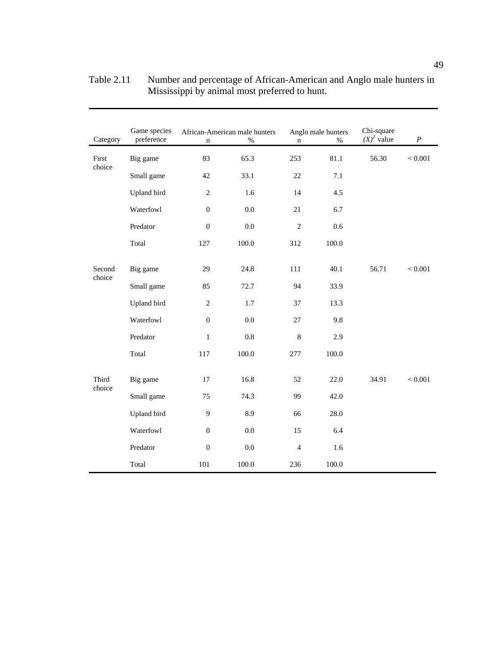| Category         | Game species<br>preference | $\mathbf n$      | African-American male hunters<br>$\%$ | $\mathbf n$    | Anglo male hunters<br>$\%$ | Chi-square<br>$(X)^2$ value | $\boldsymbol{P}$ |
|------------------|----------------------------|------------------|---------------------------------------|----------------|----------------------------|-----------------------------|------------------|
| First            | Big game                   | 83               | 65.3                                  | 253            | 81.1                       | 56.30                       | < 0.001          |
| choice           | Small game                 | 42               | 33.1                                  | 22             | 7.1                        |                             |                  |
|                  | Upland bird                | $\overline{c}$   | 1.6                                   | 14             | 4.5                        |                             |                  |
|                  | Waterfowl                  | $\boldsymbol{0}$ | $0.0\,$                               | 21             | 6.7                        |                             |                  |
|                  | Predator                   | $\boldsymbol{0}$ | 0.0                                   | $\overline{c}$ | 0.6                        |                             |                  |
|                  | Total                      | 127              | 100.0                                 | 312            | 100.0                      |                             |                  |
| Second<br>choice | Big game                   | 29               | 24.8                                  | 111            | 40.1                       | 56.71                       | < 0.001          |
|                  | Small game                 | 85               | 72.7                                  | 94             | 33.9                       |                             |                  |
|                  | Upland bird                | $\mathfrak{2}$   | 1.7                                   | 37             | 13.3                       |                             |                  |
|                  | Waterfowl                  | $\boldsymbol{0}$ | 0.0                                   | 27             | 9.8                        |                             |                  |
|                  | Predator                   | $\mathbf 1$      | $0.8\,$                               | $\,8\,$        | 2.9                        |                             |                  |
|                  | Total                      | 117              | 100.0                                 | 277            | 100.0                      |                             |                  |
| Third<br>choice  | Big game                   | 17               | 16.8                                  | 52             | 22.0                       | 34.91                       | < 0.001          |
|                  | Small game                 | 75               | 74.3                                  | 99             | 42.0                       |                             |                  |
|                  | Upland bird                | $\overline{9}$   | 8.9                                   | 66             | 28.0                       |                             |                  |
|                  | Waterfowl                  | $\boldsymbol{0}$ | 0.0                                   | 15             | 6.4                        |                             |                  |
|                  | Predator                   | $\boldsymbol{0}$ | $0.0\,$                               | $\overline{4}$ | 1.6                        |                             |                  |
|                  | Total                      | 101              | 100.0                                 | 236            | 100.0                      |                             |                  |

Table 2.11 Number and percentage of African-American and Anglo male hunters in Mississippi by animal most preferred to hunt.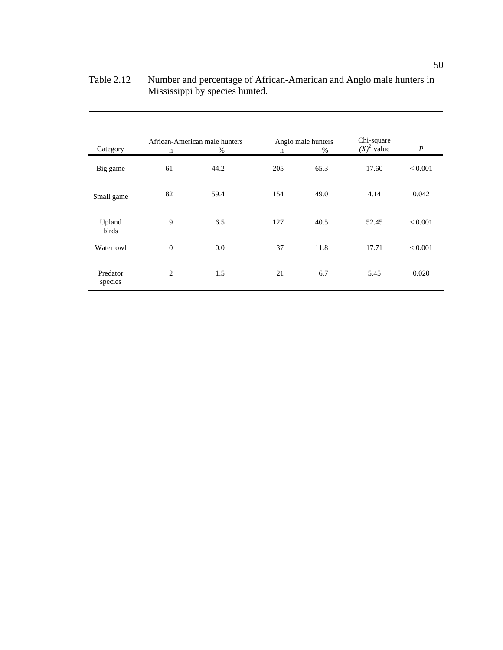| Category            | $\mathbf n$  | African-American male hunters<br>% | $\mathbf n$ | Anglo male hunters<br>$\%$ | Chi-square<br>$(X)^2$ value | $\boldsymbol{P}$ |
|---------------------|--------------|------------------------------------|-------------|----------------------------|-----------------------------|------------------|
| Big game            | 61           | 44.2                               | 205         | 65.3                       | 17.60                       | < 0.001          |
| Small game          | 82           | 59.4                               | 154         | 49.0                       | 4.14                        | 0.042            |
| Upland<br>birds     | 9            | 6.5                                | 127         | 40.5                       | 52.45                       | < 0.001          |
| Waterfowl           | $\mathbf{0}$ | 0.0                                | 37          | 11.8                       | 17.71                       | < 0.001          |
| Predator<br>species | 2            | 1.5                                | 21          | 6.7                        | 5.45                        | 0.020            |

| Table 2.12 | Number and percentage of African-American and Anglo male hunters in |
|------------|---------------------------------------------------------------------|
|            | Mississippi by species hunted.                                      |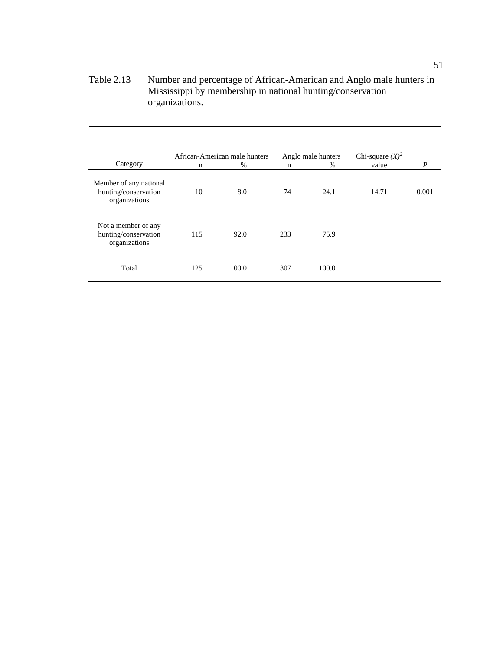Table 2.13 Number and percentage of African-American and Anglo male hunters in Mississippi by membership in national hunting/conservation organizations.

| Category                                                        | n   | African-American male hunters<br>$\%$ | $\mathbf n$ | Anglo male hunters<br>$\%$ | Chi-square $(X)^2$<br>value | P     |
|-----------------------------------------------------------------|-----|---------------------------------------|-------------|----------------------------|-----------------------------|-------|
| Member of any national<br>hunting/conservation<br>organizations | 10  | 8.0                                   | 74          | 24.1                       | 14.71                       | 0.001 |
| Not a member of any<br>hunting/conservation<br>organizations    | 115 | 92.0                                  | 233         | 75.9                       |                             |       |
| Total                                                           | 125 | 100.0                                 | 307         | 100.0                      |                             |       |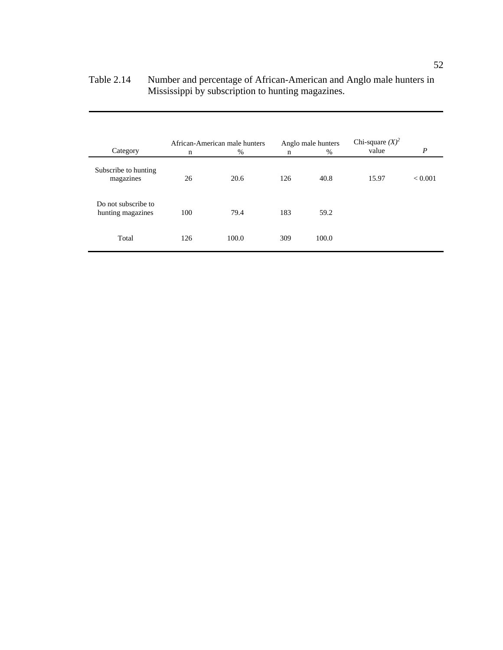| Category                                 | African-American male hunters<br>$\%$<br>n |       | Anglo male hunters<br>$\%$<br>n |       | Chi-square $(X)^2$<br>value | $\boldsymbol{P}$ |
|------------------------------------------|--------------------------------------------|-------|---------------------------------|-------|-----------------------------|------------------|
| Subscribe to hunting<br>magazines        | 26                                         | 20.6  | 126                             | 40.8  | 15.97                       | < 0.001          |
| Do not subscribe to<br>hunting magazines | 100                                        | 79.4  | 183                             | 59.2  |                             |                  |
| Total                                    | 126                                        | 100.0 | 309                             | 100.0 |                             |                  |

## Table 2.14 Number and percentage of African-American and Anglo male hunters in Mississippi by subscription to hunting magazines.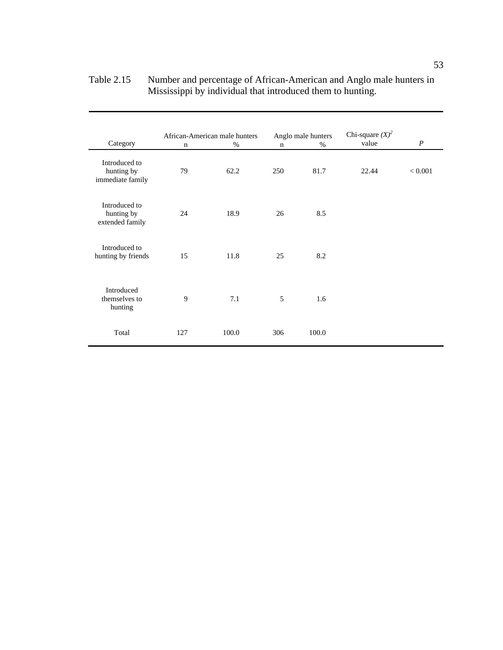| Category                                        | African-American male hunters<br>$\%$<br>$\mathbf n$ |       | Anglo male hunters<br>$\%$<br>$\mathbf n$ |       | Chi-square $(X)^2$<br>value | $\boldsymbol{P}$ |
|-------------------------------------------------|------------------------------------------------------|-------|-------------------------------------------|-------|-----------------------------|------------------|
| Introduced to<br>hunting by<br>immediate family | 79                                                   | 62.2  | 250                                       | 81.7  | 22.44                       | < 0.001          |
| Introduced to<br>hunting by<br>extended family  | 24                                                   | 18.9  | 26                                        | 8.5   |                             |                  |
| Introduced to<br>hunting by friends             | 15                                                   | 11.8  | 25                                        | 8.2   |                             |                  |
| Introduced<br>themselves to<br>hunting          | 9                                                    | 7.1   | 5                                         | 1.6   |                             |                  |
| Total                                           | 127                                                  | 100.0 | 306                                       | 100.0 |                             |                  |

| Table 2.15 | Number and percentage of African-American and Anglo male hunters in |
|------------|---------------------------------------------------------------------|
|            | Mississippi by individual that introduced them to hunting.          |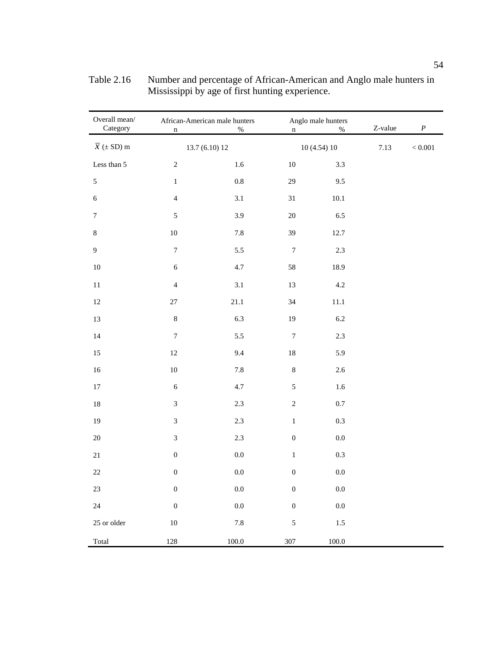| Overall mean/<br>Category    | African-American male hunters<br>$\%$<br>$\mathbf n$ |                | Anglo male hunters<br>$\%$<br>$\mathbf n$ |            | Z-value | $\boldsymbol{P}$ |
|------------------------------|------------------------------------------------------|----------------|-------------------------------------------|------------|---------|------------------|
| $\overline{x}$ ( $\pm$ SD) m |                                                      | 13.7 (6.10) 12 |                                           | 10(4.54)10 | 7.13    | $< 0.001\,$      |
| Less than 5                  | $\overline{c}$                                       | 1.6            | $10\,$                                    | 3.3        |         |                  |
| $\sqrt{5}$                   | $\,1$                                                | $0.8\,$        | 29                                        | 9.5        |         |                  |
| $\sqrt{6}$                   | $\overline{4}$                                       | $3.1\,$        | 31                                        | $10.1\,$   |         |                  |
| $\boldsymbol{7}$             | $\sqrt{5}$                                           | 3.9            | $20\,$                                    | $6.5\,$    |         |                  |
| $\,8\,$                      | $10\,$                                               | $7.8\,$        | 39                                        | 12.7       |         |                  |
| $\mathbf{9}$                 | $\boldsymbol{7}$                                     | $5.5\,$        | $\boldsymbol{7}$                          | $2.3\,$    |         |                  |
| $10\,$                       | $\sqrt{6}$                                           | 4.7            | 58                                        | 18.9       |         |                  |
| $11\,$                       | $\overline{\mathbf{4}}$                              | $3.1\,$        | 13                                        | $4.2\,$    |         |                  |
| $12\,$                       | 27                                                   | $21.1\,$       | 34                                        | $11.1\,$   |         |                  |
| 13                           | $8\,$                                                | 6.3            | 19                                        | $6.2\,$    |         |                  |
| $14\,$                       | $\boldsymbol{7}$                                     | 5.5            | $\boldsymbol{7}$                          | $2.3\,$    |         |                  |
| 15                           | $12\,$                                               | 9.4            | $18\,$                                    | 5.9        |         |                  |
| $16\,$                       | $10\,$                                               | $7.8\,$        | $\,8\,$                                   | $2.6\,$    |         |                  |
| $17\,$                       | $\sqrt{6}$                                           | 4.7            | 5                                         | $1.6\,$    |         |                  |
| $18\,$                       | $\overline{3}$                                       | $2.3\,$        | $\overline{c}$                            | $0.7\,$    |         |                  |
| $19\,$                       | $\mathfrak{Z}$                                       | $2.3\,$        | $\,1$                                     | $0.3\,$    |         |                  |
| $20\,$                       | $\mathfrak{Z}$                                       | $2.3\,$        | $\boldsymbol{0}$                          | $0.0\,$    |         |                  |
| $21\,$                       | $\boldsymbol{0}$                                     | $0.0\,$        | $\,1$                                     | $0.3\,$    |         |                  |
| $22\,$                       | $\boldsymbol{0}$                                     | $0.0\,$        | $\boldsymbol{0}$                          | $0.0\,$    |         |                  |
| $23\,$                       | $\boldsymbol{0}$                                     | $0.0\,$        | $\boldsymbol{0}$                          | $0.0\,$    |         |                  |
| $24\,$                       | $\boldsymbol{0}$                                     | $0.0\,$        | $\boldsymbol{0}$                          | $0.0\,$    |         |                  |
| 25 or older                  | $10\,$                                               | $7.8\,$        | $\sqrt{5}$                                | $1.5\,$    |         |                  |
| Total                        | 128                                                  | $100.0\,$      | 307                                       | $100.0\,$  |         |                  |

Table 2.16 Number and percentage of African-American and Anglo male hunters in Mississippi by age of first hunting experience.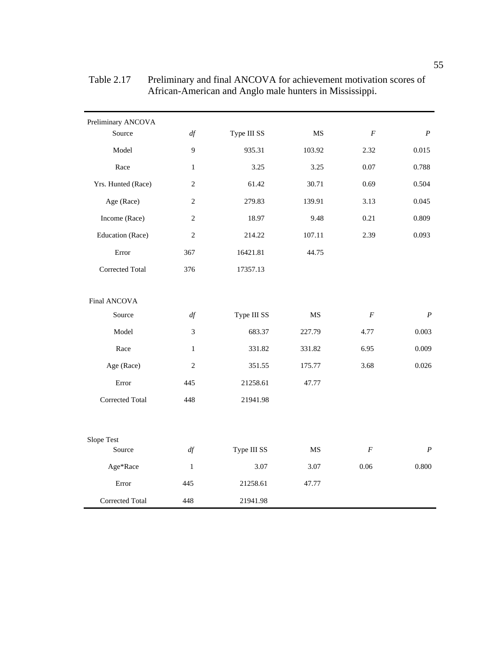| Preliminary ANCOVA<br>Source | df             | Type III SS | MS        | $\boldsymbol{F}$ | $\boldsymbol{P}$ |
|------------------------------|----------------|-------------|-----------|------------------|------------------|
| Model                        | 9              | 935.31      | 103.92    | 2.32             | 0.015            |
|                              |                |             |           |                  |                  |
| Race                         | $\mathbf{1}$   | 3.25        | 3.25      | 0.07             | 0.788            |
| Yrs. Hunted (Race)           | $\overline{2}$ | 61.42       | 30.71     | 0.69             | 0.504            |
| Age (Race)                   | $\overline{2}$ | 279.83      | 139.91    | 3.13             | 0.045            |
| Income (Race)                | $\overline{2}$ | 18.97       | 9.48      | 0.21             | 0.809            |
| Education (Race)             | $\overline{2}$ | 214.22      | 107.11    | 2.39             | 0.093            |
| Error                        | 367            | 16421.81    | 44.75     |                  |                  |
| Corrected Total              | 376            | 17357.13    |           |                  |                  |
| Final ANCOVA                 |                |             |           |                  |                  |
| Source                       | df             | Type III SS | MS        | $\cal F$         | $\boldsymbol{P}$ |
| Model                        | $\mathfrak{Z}$ | 683.37      | 227.79    | 4.77             | 0.003            |
| Race                         | $\mathbf{1}$   | 331.82      | 331.82    | 6.95             | 0.009            |
| Age (Race)                   | $\overline{2}$ | 351.55      | 175.77    | 3.68             | 0.026            |
| Error                        | 445            | 21258.61    | 47.77     |                  |                  |
| <b>Corrected Total</b>       | 448            | 21941.98    |           |                  |                  |
| Slope Test                   |                |             |           |                  |                  |
| Source                       | df             | Type III SS | <b>MS</b> | $\cal F$         | $\boldsymbol{P}$ |
| Age*Race                     | $\mathbf{1}$   | 3.07        | 3.07      | 0.06             | 0.800            |
| Error                        | 445            | 21258.61    | 47.77     |                  |                  |
| Corrected Total              | 448            | 21941.98    |           |                  |                  |

Table 2.17 Preliminary and final ANCOVA for achievement motivation scores of African-American and Anglo male hunters in Mississippi.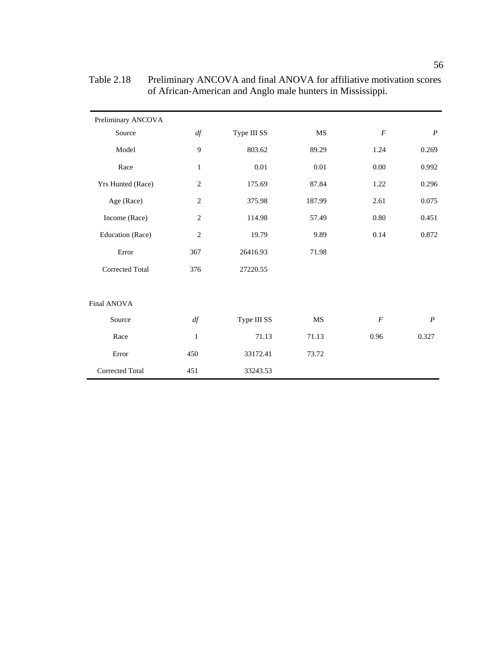| Preliminary ANCOVA     |                |             |           |                |                  |
|------------------------|----------------|-------------|-----------|----------------|------------------|
| Source                 | df             | Type III SS | MS        | $\cal F$       | $\boldsymbol{P}$ |
| Model                  | 9              | 803.62      | 89.29     | 1.24           | 0.269            |
| Race                   | $\mathbf{1}$   | 0.01        | 0.01      | 0.00           | 0.992            |
| Yrs Hunted (Race)      | $\overline{2}$ | 175.69      | 87.84     | 1.22           | 0.296            |
| Age (Race)             | $\overline{2}$ | 375.98      | 187.99    | 2.61           | 0.075            |
| Income (Race)          | $\overline{2}$ | 114.98      | 57.49     | 0.80           | 0.451            |
| Education (Race)       | $\overline{2}$ | 19.79       | 9.89      | 0.14           | 0.872            |
| Error                  | 367            | 26416.93    | 71.98     |                |                  |
| <b>Corrected Total</b> | 376            | 27220.55    |           |                |                  |
|                        |                |             |           |                |                  |
| Final ANOVA            |                |             |           |                |                  |
| Source                 | df             | Type III SS | <b>MS</b> | $\overline{F}$ | $\boldsymbol{P}$ |
| Race                   | 1              | 71.13       | 71.13     | 0.96           | 0.327            |
| Error                  | 450            | 33172.41    | 73.72     |                |                  |
| Corrected Total        | 451            | 33243.53    |           |                |                  |

| Table 2.18 | Preliminary ANCOVA and final ANOVA for affiliative motivation scores |
|------------|----------------------------------------------------------------------|
|            | of African-American and Anglo male hunters in Mississippi.           |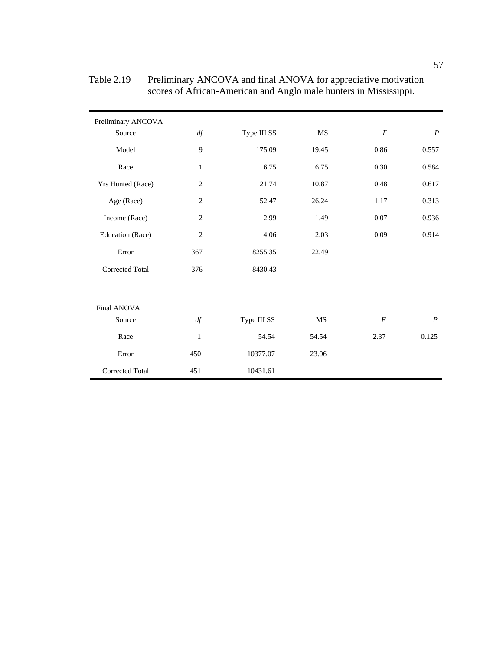| Preliminary ANCOVA     |                |             |       |                |                  |
|------------------------|----------------|-------------|-------|----------------|------------------|
| Source                 | df             | Type III SS | MS    | $\cal F$       | $\boldsymbol{P}$ |
| Model                  | 9              | 175.09      | 19.45 | 0.86           | 0.557            |
| Race                   | $\mathbf{1}$   | 6.75        | 6.75  | 0.30           | 0.584            |
| Yrs Hunted (Race)      | $\overline{2}$ | 21.74       | 10.87 | 0.48           | 0.617            |
| Age (Race)             | $\overline{2}$ | 52.47       | 26.24 | 1.17           | 0.313            |
| Income (Race)          | 2              | 2.99        | 1.49  | 0.07           | 0.936            |
| Education (Race)       | $\overline{2}$ | 4.06        | 2.03  | 0.09           | 0.914            |
| Error                  | 367            | 8255.35     | 22.49 |                |                  |
| <b>Corrected Total</b> | 376            | 8430.43     |       |                |                  |
|                        |                |             |       |                |                  |
| Final ANOVA            |                |             |       |                |                  |
| Source                 | df             | Type III SS | MS    | $\overline{F}$ | $\boldsymbol{P}$ |
| Race                   | $\mathbf{1}$   | 54.54       | 54.54 | 2.37           | 0.125            |
| Error                  | 450            | 10377.07    | 23.06 |                |                  |
| Corrected Total        | 451            | 10431.61    |       |                |                  |

Table 2.19 Preliminary ANCOVA and final ANOVA for appreciative motivation scores of African-American and Anglo male hunters in Mississippi.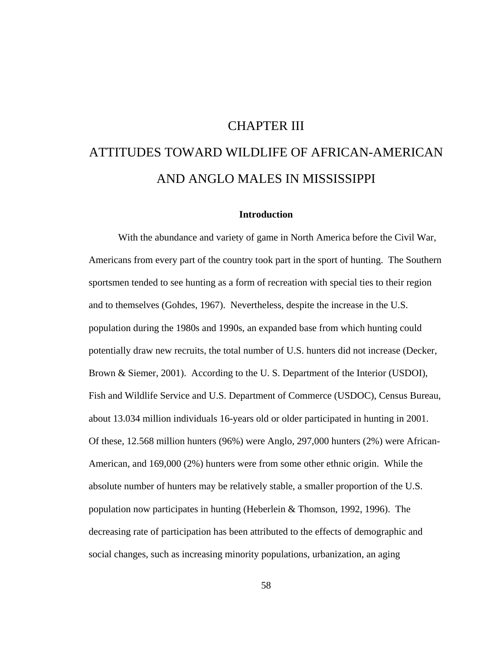## CHAPTER III

# ATTITUDES TOWARD WILDLIFE OF AFRICAN-AMERICAN AND ANGLO MALES IN MISSISSIPPI

## **Introduction**

 With the abundance and variety of game in North America before the Civil War, Americans from every part of the country took part in the sport of hunting. The Southern sportsmen tended to see hunting as a form of recreation with special ties to their region and to themselves (Gohdes, 1967). Nevertheless, despite the increase in the U.S. population during the 1980s and 1990s, an expanded base from which hunting could potentially draw new recruits, the total number of U.S. hunters did not increase (Decker, Brown & Siemer, 2001). According to the U. S. Department of the Interior (USDOI), Fish and Wildlife Service and U.S. Department of Commerce (USDOC), Census Bureau, about 13.034 million individuals 16-years old or older participated in hunting in 2001. Of these, 12.568 million hunters (96%) were Anglo, 297,000 hunters (2%) were African-American, and 169,000 (2%) hunters were from some other ethnic origin. While the absolute number of hunters may be relatively stable, a smaller proportion of the U.S. population now participates in hunting (Heberlein & Thomson, 1992, 1996). The decreasing rate of participation has been attributed to the effects of demographic and social changes, such as increasing minority populations, urbanization, an aging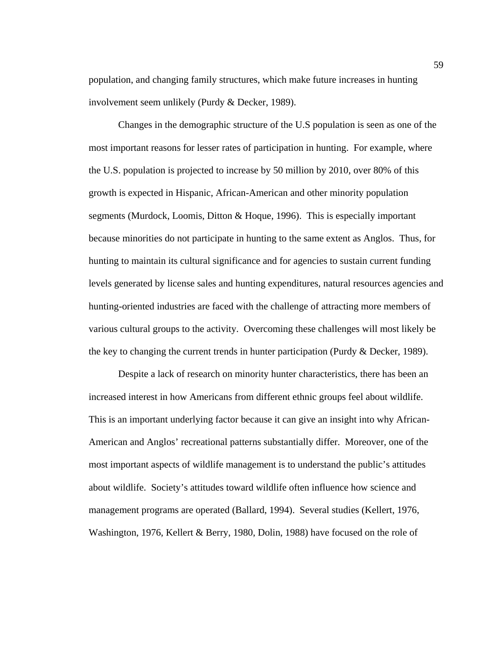population, and changing family structures, which make future increases in hunting involvement seem unlikely (Purdy & Decker, 1989).

Changes in the demographic structure of the U.S population is seen as one of the most important reasons for lesser rates of participation in hunting. For example, where the U.S. population is projected to increase by 50 million by 2010, over 80% of this growth is expected in Hispanic, African-American and other minority population segments (Murdock, Loomis, Ditton & Hoque, 1996). This is especially important because minorities do not participate in hunting to the same extent as Anglos. Thus, for hunting to maintain its cultural significance and for agencies to sustain current funding levels generated by license sales and hunting expenditures, natural resources agencies and hunting-oriented industries are faced with the challenge of attracting more members of various cultural groups to the activity. Overcoming these challenges will most likely be the key to changing the current trends in hunter participation (Purdy & Decker, 1989).

 Despite a lack of research on minority hunter characteristics, there has been an increased interest in how Americans from different ethnic groups feel about wildlife. This is an important underlying factor because it can give an insight into why African-American and Anglos' recreational patterns substantially differ. Moreover, one of the most important aspects of wildlife management is to understand the public's attitudes about wildlife. Society's attitudes toward wildlife often influence how science and management programs are operated (Ballard, 1994). Several studies (Kellert, 1976, Washington, 1976, Kellert & Berry, 1980, Dolin, 1988) have focused on the role of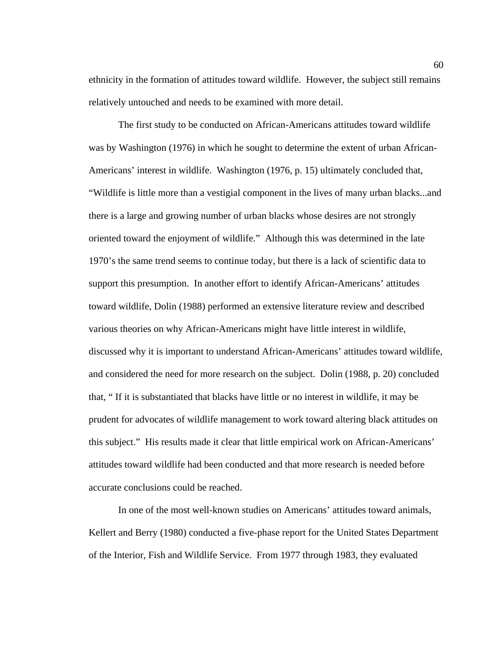ethnicity in the formation of attitudes toward wildlife. However, the subject still remains relatively untouched and needs to be examined with more detail.

 The first study to be conducted on African-Americans attitudes toward wildlife was by Washington (1976) in which he sought to determine the extent of urban African-Americans' interest in wildlife. Washington (1976, p. 15) ultimately concluded that, "Wildlife is little more than a vestigial component in the lives of many urban blacks...and there is a large and growing number of urban blacks whose desires are not strongly oriented toward the enjoyment of wildlife." Although this was determined in the late 1970's the same trend seems to continue today, but there is a lack of scientific data to support this presumption. In another effort to identify African-Americans' attitudes toward wildlife, Dolin (1988) performed an extensive literature review and described various theories on why African-Americans might have little interest in wildlife, discussed why it is important to understand African-Americans' attitudes toward wildlife, and considered the need for more research on the subject. Dolin (1988, p. 20) concluded that, " If it is substantiated that blacks have little or no interest in wildlife, it may be prudent for advocates of wildlife management to work toward altering black attitudes on this subject." His results made it clear that little empirical work on African-Americans' attitudes toward wildlife had been conducted and that more research is needed before accurate conclusions could be reached.

 In one of the most well-known studies on Americans' attitudes toward animals, Kellert and Berry (1980) conducted a five-phase report for the United States Department of the Interior, Fish and Wildlife Service. From 1977 through 1983, they evaluated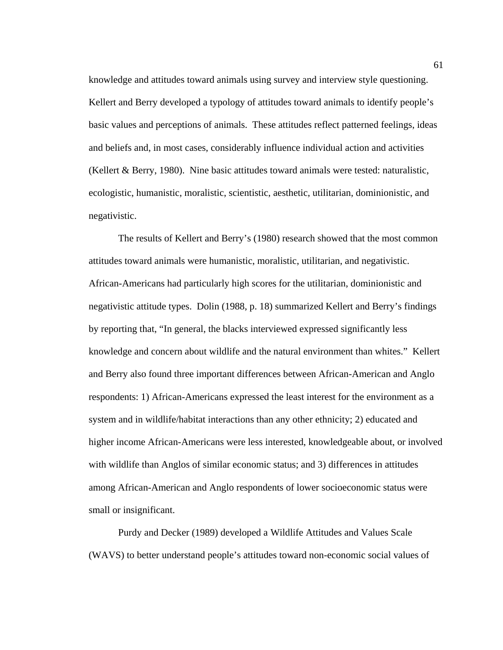knowledge and attitudes toward animals using survey and interview style questioning. Kellert and Berry developed a typology of attitudes toward animals to identify people's basic values and perceptions of animals. These attitudes reflect patterned feelings, ideas and beliefs and, in most cases, considerably influence individual action and activities (Kellert & Berry, 1980). Nine basic attitudes toward animals were tested: naturalistic, ecologistic, humanistic, moralistic, scientistic, aesthetic, utilitarian, dominionistic, and negativistic.

 The results of Kellert and Berry's (1980) research showed that the most common attitudes toward animals were humanistic, moralistic, utilitarian, and negativistic. African-Americans had particularly high scores for the utilitarian, dominionistic and negativistic attitude types. Dolin (1988, p. 18) summarized Kellert and Berry's findings by reporting that, "In general, the blacks interviewed expressed significantly less knowledge and concern about wildlife and the natural environment than whites." Kellert and Berry also found three important differences between African-American and Anglo respondents: 1) African-Americans expressed the least interest for the environment as a system and in wildlife/habitat interactions than any other ethnicity; 2) educated and higher income African-Americans were less interested, knowledgeable about, or involved with wildlife than Anglos of similar economic status; and 3) differences in attitudes among African-American and Anglo respondents of lower socioeconomic status were small or insignificant.

Purdy and Decker (1989) developed a Wildlife Attitudes and Values Scale (WAVS) to better understand people's attitudes toward non-economic social values of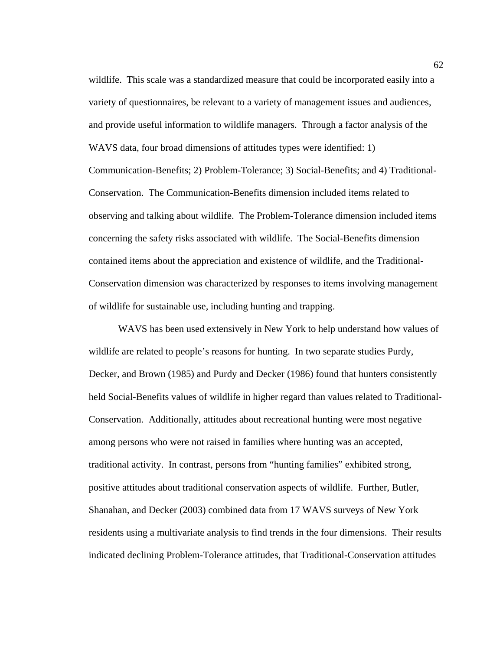wildlife. This scale was a standardized measure that could be incorporated easily into a variety of questionnaires, be relevant to a variety of management issues and audiences, and provide useful information to wildlife managers. Through a factor analysis of the WAVS data, four broad dimensions of attitudes types were identified: 1) Communication-Benefits; 2) Problem-Tolerance; 3) Social-Benefits; and 4) Traditional-Conservation. The Communication-Benefits dimension included items related to observing and talking about wildlife. The Problem-Tolerance dimension included items concerning the safety risks associated with wildlife. The Social-Benefits dimension contained items about the appreciation and existence of wildlife, and the Traditional-Conservation dimension was characterized by responses to items involving management of wildlife for sustainable use, including hunting and trapping.

 WAVS has been used extensively in New York to help understand how values of wildlife are related to people's reasons for hunting. In two separate studies Purdy, Decker, and Brown (1985) and Purdy and Decker (1986) found that hunters consistently held Social-Benefits values of wildlife in higher regard than values related to Traditional-Conservation. Additionally, attitudes about recreational hunting were most negative among persons who were not raised in families where hunting was an accepted, traditional activity. In contrast, persons from "hunting families" exhibited strong, positive attitudes about traditional conservation aspects of wildlife. Further, Butler, Shanahan, and Decker (2003) combined data from 17 WAVS surveys of New York residents using a multivariate analysis to find trends in the four dimensions. Their results indicated declining Problem-Tolerance attitudes, that Traditional-Conservation attitudes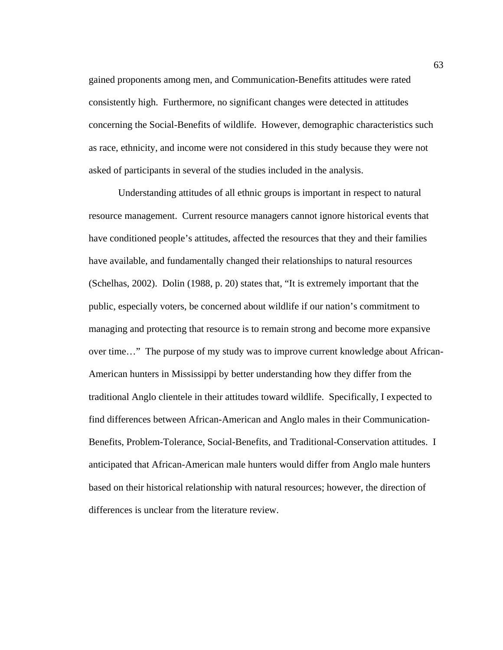gained proponents among men, and Communication-Benefits attitudes were rated consistently high. Furthermore, no significant changes were detected in attitudes concerning the Social-Benefits of wildlife. However, demographic characteristics such as race, ethnicity, and income were not considered in this study because they were not asked of participants in several of the studies included in the analysis.

Understanding attitudes of all ethnic groups is important in respect to natural resource management. Current resource managers cannot ignore historical events that have conditioned people's attitudes, affected the resources that they and their families have available, and fundamentally changed their relationships to natural resources (Schelhas, 2002). Dolin (1988, p. 20) states that, "It is extremely important that the public, especially voters, be concerned about wildlife if our nation's commitment to managing and protecting that resource is to remain strong and become more expansive over time…" The purpose of my study was to improve current knowledge about African-American hunters in Mississippi by better understanding how they differ from the traditional Anglo clientele in their attitudes toward wildlife. Specifically, I expected to find differences between African-American and Anglo males in their Communication-Benefits, Problem-Tolerance, Social-Benefits, and Traditional-Conservation attitudes. I anticipated that African-American male hunters would differ from Anglo male hunters based on their historical relationship with natural resources; however, the direction of differences is unclear from the literature review.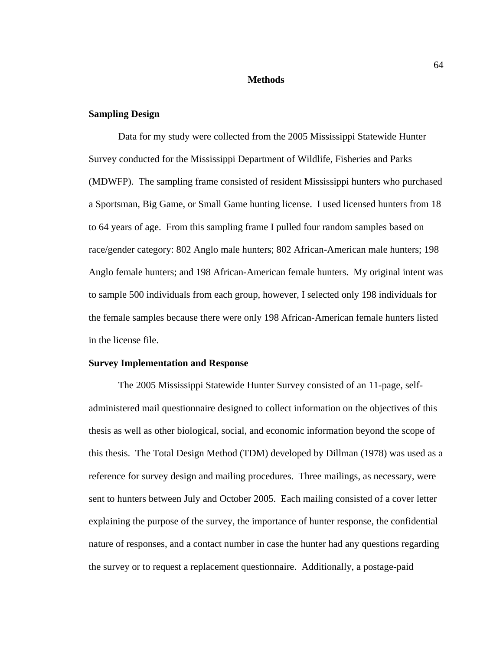#### **Methods**

## **Sampling Design**

 Data for my study were collected from the 2005 Mississippi Statewide Hunter Survey conducted for the Mississippi Department of Wildlife, Fisheries and Parks (MDWFP). The sampling frame consisted of resident Mississippi hunters who purchased a Sportsman, Big Game, or Small Game hunting license. I used licensed hunters from 18 to 64 years of age. From this sampling frame I pulled four random samples based on race/gender category: 802 Anglo male hunters; 802 African-American male hunters; 198 Anglo female hunters; and 198 African-American female hunters. My original intent was to sample 500 individuals from each group, however, I selected only 198 individuals for the female samples because there were only 198 African-American female hunters listed in the license file.

## **Survey Implementation and Response**

The 2005 Mississippi Statewide Hunter Survey consisted of an 11-page, selfadministered mail questionnaire designed to collect information on the objectives of this thesis as well as other biological, social, and economic information beyond the scope of this thesis. The Total Design Method (TDM) developed by Dillman (1978) was used as a reference for survey design and mailing procedures. Three mailings, as necessary, were sent to hunters between July and October 2005. Each mailing consisted of a cover letter explaining the purpose of the survey, the importance of hunter response, the confidential nature of responses, and a contact number in case the hunter had any questions regarding the survey or to request a replacement questionnaire. Additionally, a postage-paid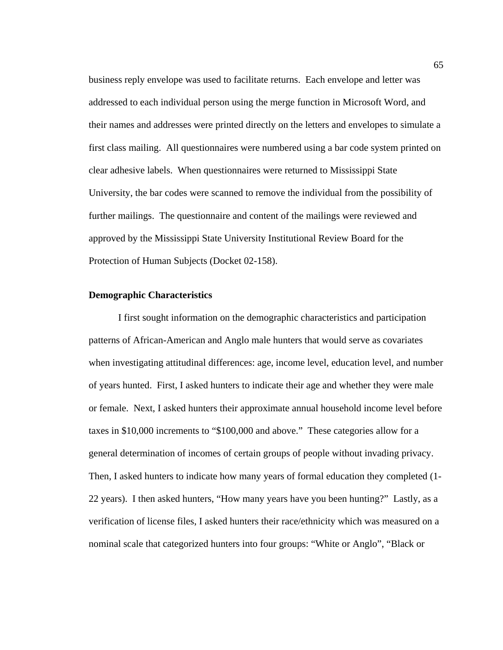business reply envelope was used to facilitate returns. Each envelope and letter was addressed to each individual person using the merge function in Microsoft Word, and their names and addresses were printed directly on the letters and envelopes to simulate a first class mailing. All questionnaires were numbered using a bar code system printed on clear adhesive labels. When questionnaires were returned to Mississippi State University, the bar codes were scanned to remove the individual from the possibility of further mailings. The questionnaire and content of the mailings were reviewed and approved by the Mississippi State University Institutional Review Board for the Protection of Human Subjects (Docket 02-158).

#### **Demographic Characteristics**

I first sought information on the demographic characteristics and participation patterns of African-American and Anglo male hunters that would serve as covariates when investigating attitudinal differences: age, income level, education level, and number of years hunted. First, I asked hunters to indicate their age and whether they were male or female. Next, I asked hunters their approximate annual household income level before taxes in \$10,000 increments to "\$100,000 and above." These categories allow for a general determination of incomes of certain groups of people without invading privacy. Then, I asked hunters to indicate how many years of formal education they completed (1- 22 years). I then asked hunters, "How many years have you been hunting?" Lastly, as a verification of license files, I asked hunters their race/ethnicity which was measured on a nominal scale that categorized hunters into four groups: "White or Anglo", "Black or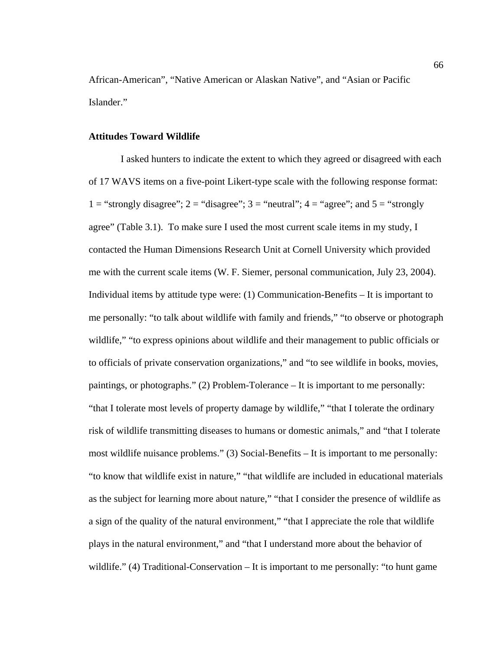African-American", "Native American or Alaskan Native", and "Asian or Pacific Islander."

### **Attitudes Toward Wildlife**

 I asked hunters to indicate the extent to which they agreed or disagreed with each of 17 WAVS items on a five-point Likert-type scale with the following response format: 1 = "strongly disagree"; 2 = "disagree"; 3 = "neutral";  $4 =$  "agree"; and  $5 =$  "strongly agree" (Table 3.1). To make sure I used the most current scale items in my study, I contacted the Human Dimensions Research Unit at Cornell University which provided me with the current scale items (W. F. Siemer, personal communication, July 23, 2004). Individual items by attitude type were: (1) Communication-Benefits – It is important to me personally: "to talk about wildlife with family and friends," "to observe or photograph wildlife," "to express opinions about wildlife and their management to public officials or to officials of private conservation organizations," and "to see wildlife in books, movies, paintings, or photographs." (2) Problem-Tolerance – It is important to me personally: "that I tolerate most levels of property damage by wildlife," "that I tolerate the ordinary risk of wildlife transmitting diseases to humans or domestic animals," and "that I tolerate most wildlife nuisance problems." (3) Social-Benefits – It is important to me personally: "to know that wildlife exist in nature," "that wildlife are included in educational materials as the subject for learning more about nature," "that I consider the presence of wildlife as a sign of the quality of the natural environment," "that I appreciate the role that wildlife plays in the natural environment," and "that I understand more about the behavior of wildlife." (4) Traditional-Conservation – It is important to me personally: "to hunt game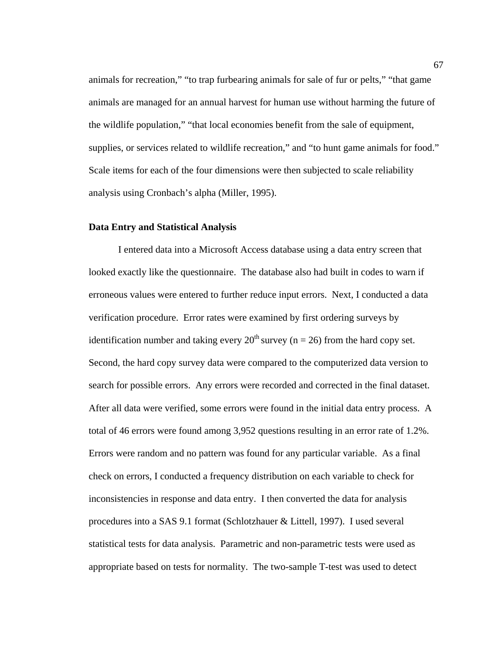animals for recreation," "to trap furbearing animals for sale of fur or pelts," "that game animals are managed for an annual harvest for human use without harming the future of the wildlife population," "that local economies benefit from the sale of equipment, supplies, or services related to wildlife recreation," and "to hunt game animals for food." Scale items for each of the four dimensions were then subjected to scale reliability analysis using Cronbach's alpha (Miller, 1995).

#### **Data Entry and Statistical Analysis**

I entered data into a Microsoft Access database using a data entry screen that looked exactly like the questionnaire. The database also had built in codes to warn if erroneous values were entered to further reduce input errors. Next, I conducted a data verification procedure. Error rates were examined by first ordering surveys by identification number and taking every  $20^{th}$  survey (n = 26) from the hard copy set. Second, the hard copy survey data were compared to the computerized data version to search for possible errors. Any errors were recorded and corrected in the final dataset. After all data were verified, some errors were found in the initial data entry process. A total of 46 errors were found among 3,952 questions resulting in an error rate of 1.2%. Errors were random and no pattern was found for any particular variable. As a final check on errors, I conducted a frequency distribution on each variable to check for inconsistencies in response and data entry. I then converted the data for analysis procedures into a SAS 9.1 format (Schlotzhauer & Littell, 1997). I used several statistical tests for data analysis. Parametric and non-parametric tests were used as appropriate based on tests for normality. The two-sample T-test was used to detect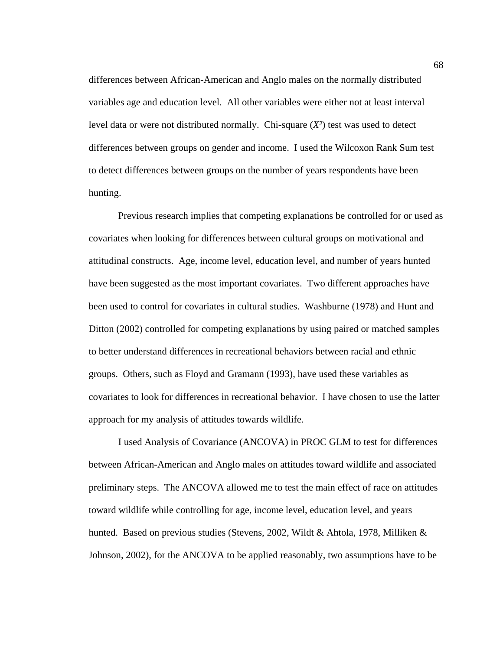differences between African-American and Anglo males on the normally distributed variables age and education level. All other variables were either not at least interval level data or were not distributed normally. Chi-square (*X²*) test was used to detect differences between groups on gender and income. I used the Wilcoxon Rank Sum test to detect differences between groups on the number of years respondents have been hunting.

Previous research implies that competing explanations be controlled for or used as covariates when looking for differences between cultural groups on motivational and attitudinal constructs. Age, income level, education level, and number of years hunted have been suggested as the most important covariates. Two different approaches have been used to control for covariates in cultural studies. Washburne (1978) and Hunt and Ditton (2002) controlled for competing explanations by using paired or matched samples to better understand differences in recreational behaviors between racial and ethnic groups. Others, such as Floyd and Gramann (1993), have used these variables as covariates to look for differences in recreational behavior. I have chosen to use the latter approach for my analysis of attitudes towards wildlife.

I used Analysis of Covariance (ANCOVA) in PROC GLM to test for differences between African-American and Anglo males on attitudes toward wildlife and associated preliminary steps. The ANCOVA allowed me to test the main effect of race on attitudes toward wildlife while controlling for age, income level, education level, and years hunted. Based on previous studies (Stevens, 2002, Wildt & Ahtola, 1978, Milliken & Johnson, 2002), for the ANCOVA to be applied reasonably, two assumptions have to be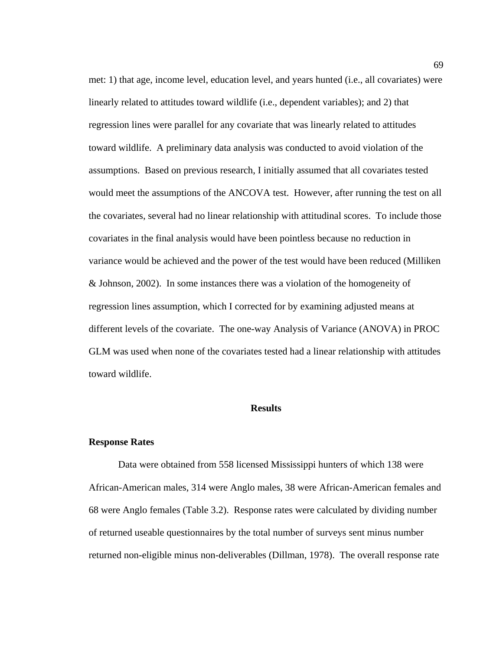met: 1) that age, income level, education level, and years hunted (i.e., all covariates) were linearly related to attitudes toward wildlife (i.e., dependent variables); and 2) that regression lines were parallel for any covariate that was linearly related to attitudes toward wildlife. A preliminary data analysis was conducted to avoid violation of the assumptions. Based on previous research, I initially assumed that all covariates tested would meet the assumptions of the ANCOVA test. However, after running the test on all the covariates, several had no linear relationship with attitudinal scores. To include those covariates in the final analysis would have been pointless because no reduction in variance would be achieved and the power of the test would have been reduced (Milliken & Johnson, 2002). In some instances there was a violation of the homogeneity of regression lines assumption, which I corrected for by examining adjusted means at different levels of the covariate. The one-way Analysis of Variance (ANOVA) in PROC GLM was used when none of the covariates tested had a linear relationship with attitudes toward wildlife.

## **Results**

#### **Response Rates**

Data were obtained from 558 licensed Mississippi hunters of which 138 were African-American males, 314 were Anglo males, 38 were African-American females and 68 were Anglo females (Table 3.2). Response rates were calculated by dividing number of returned useable questionnaires by the total number of surveys sent minus number returned non-eligible minus non-deliverables (Dillman, 1978). The overall response rate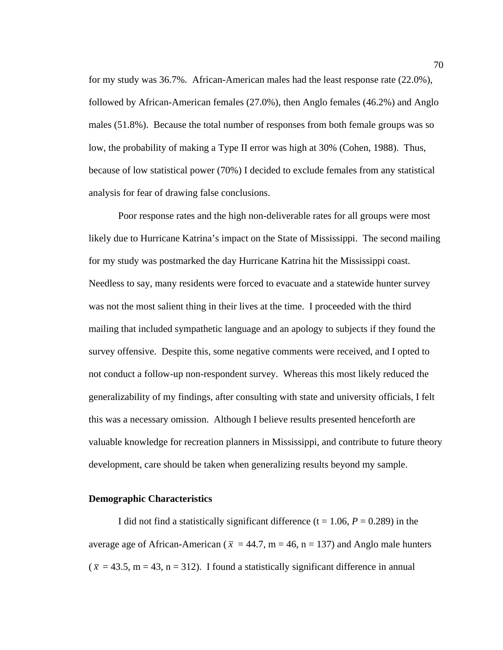for my study was 36.7%. African-American males had the least response rate (22.0%), followed by African-American females (27.0%), then Anglo females (46.2%) and Anglo males (51.8%). Because the total number of responses from both female groups was so low, the probability of making a Type II error was high at 30% (Cohen, 1988). Thus, because of low statistical power (70%) I decided to exclude females from any statistical analysis for fear of drawing false conclusions.

Poor response rates and the high non-deliverable rates for all groups were most likely due to Hurricane Katrina's impact on the State of Mississippi. The second mailing for my study was postmarked the day Hurricane Katrina hit the Mississippi coast. Needless to say, many residents were forced to evacuate and a statewide hunter survey was not the most salient thing in their lives at the time. I proceeded with the third mailing that included sympathetic language and an apology to subjects if they found the survey offensive. Despite this, some negative comments were received, and I opted to not conduct a follow-up non-respondent survey. Whereas this most likely reduced the generalizability of my findings, after consulting with state and university officials, I felt this was a necessary omission. Although I believe results presented henceforth are valuable knowledge for recreation planners in Mississippi, and contribute to future theory development, care should be taken when generalizing results beyond my sample.

### **Demographic Characteristics**

I did not find a statistically significant difference  $(t = 1.06, P = 0.289)$  in the average age of African-American ( $\bar{x}$  = 44.7, m = 46, n = 137) and Anglo male hunters  $(\bar{x} = 43.5, m = 43, n = 312)$ . I found a statistically significant difference in annual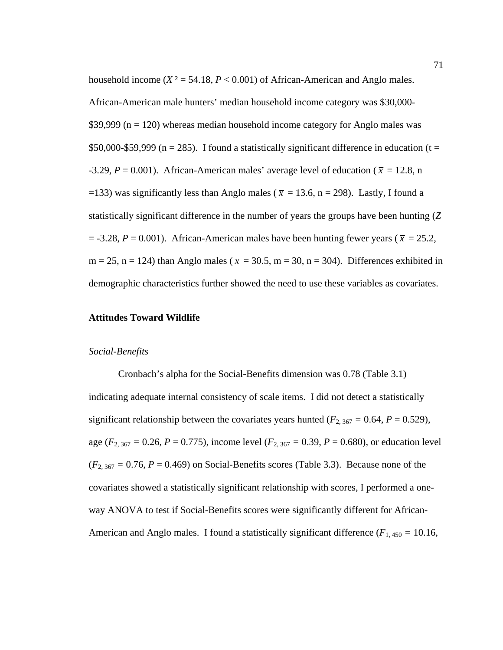household income  $(X^2 = 54.18, P < 0.001)$  of African-American and Anglo males. African-American male hunters' median household income category was \$30,000-  $$39,999$  (n = 120) whereas median household income category for Anglo males was \$50,000-\$59,999 ( $n = 285$ ). I found a statistically significant difference in education ( $t =$ -3.29,  $P = 0.001$ ). African-American males' average level of education ( $\bar{x} = 12.8$ , n =133) was significantly less than Anglo males ( $\bar{x}$  = 13.6, n = 298). Lastly, I found a statistically significant difference in the number of years the groups have been hunting (*Z*  $=$  -3.28,  $P = 0.001$ ). African-American males have been hunting fewer years ( $\bar{x} = 25.2$ ,  $m = 25$ ,  $n = 124$ ) than Anglo males ( $\bar{x} = 30.5$ ,  $m = 30$ ,  $n = 304$ ). Differences exhibited in demographic characteristics further showed the need to use these variables as covariates.

## **Attitudes Toward Wildlife**

### *Social-Benefits*

Cronbach's alpha for the Social-Benefits dimension was 0.78 (Table 3.1) indicating adequate internal consistency of scale items. I did not detect a statistically significant relationship between the covariates years hunted ( $F_{2,367} = 0.64$ ,  $P = 0.529$ ), age ( $F_{2,367} = 0.26$ ,  $P = 0.775$ ), income level ( $F_{2,367} = 0.39$ ,  $P = 0.680$ ), or education level  $(F_{2, 367} = 0.76, P = 0.469)$  on Social-Benefits scores (Table 3.3). Because none of the covariates showed a statistically significant relationship with scores, I performed a oneway ANOVA to test if Social-Benefits scores were significantly different for African-American and Anglo males. I found a statistically significant difference  $(F_{1,450} = 10.16,$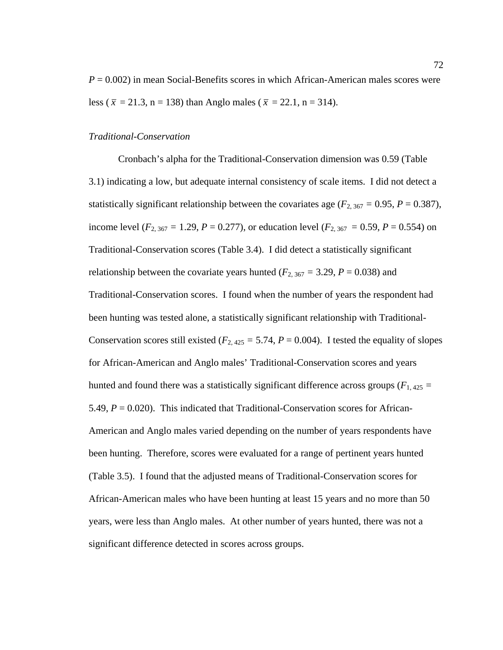*P* = 0.002) in mean Social-Benefits scores in which African-American males scores were less ( $\bar{x}$  = 21.3, n = 138) than Anglo males ( $\bar{x}$  = 22.1, n = 314).

### *Traditional-Conservation*

Cronbach's alpha for the Traditional-Conservation dimension was 0.59 (Table 3.1) indicating a low, but adequate internal consistency of scale items. I did not detect a statistically significant relationship between the covariates age ( $F_{2,367} = 0.95$ ,  $P = 0.387$ ), income level ( $F_{2, 367} = 1.29$ ,  $P = 0.277$ ), or education level ( $F_{2, 367} = 0.59$ ,  $P = 0.554$ ) on Traditional-Conservation scores (Table 3.4). I did detect a statistically significant relationship between the covariate years hunted ( $F_{2,367} = 3.29$ ,  $P = 0.038$ ) and Traditional-Conservation scores. I found when the number of years the respondent had been hunting was tested alone, a statistically significant relationship with Traditional-Conservation scores still existed ( $F_{2,425} = 5.74$ ,  $P = 0.004$ ). I tested the equality of slopes for African-American and Anglo males' Traditional-Conservation scores and years hunted and found there was a statistically significant difference across groups ( $F_{1,425}$  = 5.49, *P* = 0.020). This indicated that Traditional-Conservation scores for African-American and Anglo males varied depending on the number of years respondents have been hunting. Therefore, scores were evaluated for a range of pertinent years hunted (Table 3.5). I found that the adjusted means of Traditional-Conservation scores for African-American males who have been hunting at least 15 years and no more than 50 years, were less than Anglo males. At other number of years hunted, there was not a significant difference detected in scores across groups.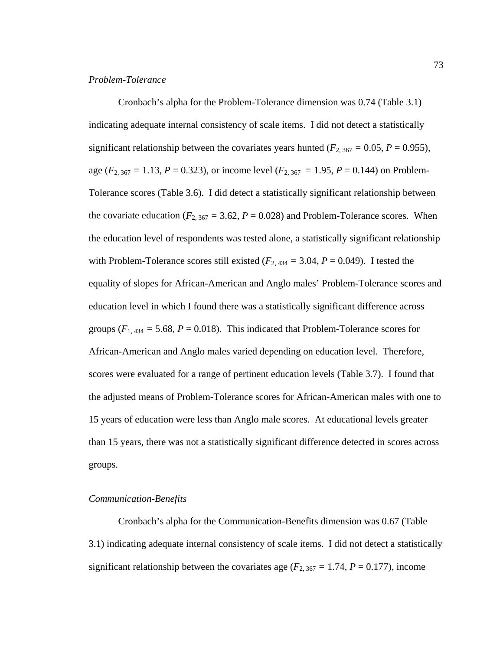### *Problem-Tolerance*

Cronbach's alpha for the Problem-Tolerance dimension was 0.74 (Table 3.1) indicating adequate internal consistency of scale items. I did not detect a statistically significant relationship between the covariates years hunted ( $F_{2,367} = 0.05$ ,  $P = 0.955$ ), age ( $F_{2,367} = 1.13$ ,  $P = 0.323$ ), or income level ( $F_{2,367} = 1.95$ ,  $P = 0.144$ ) on Problem-Tolerance scores (Table 3.6). I did detect a statistically significant relationship between the covariate education ( $F_{2, 367} = 3.62$ ,  $P = 0.028$ ) and Problem-Tolerance scores. When the education level of respondents was tested alone, a statistically significant relationship with Problem-Tolerance scores still existed ( $F_{2,434} = 3.04$ ,  $P = 0.049$ ). I tested the equality of slopes for African-American and Anglo males' Problem-Tolerance scores and education level in which I found there was a statistically significant difference across groups  $(F_{1,434} = 5.68, P = 0.018)$ . This indicated that Problem-Tolerance scores for African-American and Anglo males varied depending on education level. Therefore, scores were evaluated for a range of pertinent education levels (Table 3.7). I found that the adjusted means of Problem-Tolerance scores for African-American males with one to 15 years of education were less than Anglo male scores. At educational levels greater than 15 years, there was not a statistically significant difference detected in scores across groups.

### *Communication-Benefits*

Cronbach's alpha for the Communication-Benefits dimension was 0.67 (Table 3.1) indicating adequate internal consistency of scale items. I did not detect a statistically significant relationship between the covariates age ( $F_{2, 367} = 1.74$ ,  $P = 0.177$ ), income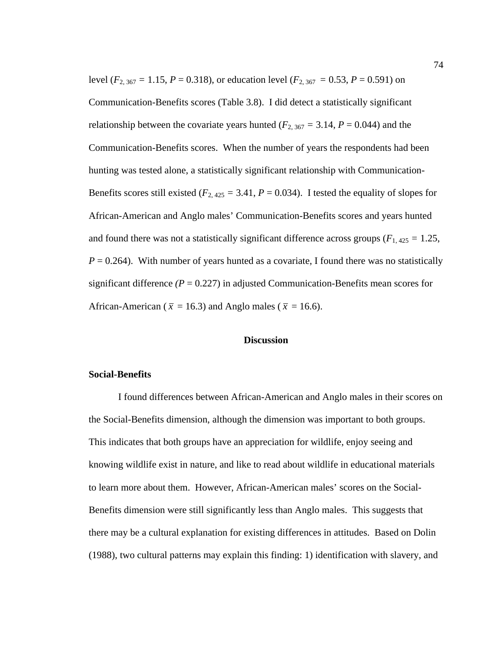level ( $F_{2, 367} = 1.15$ ,  $P = 0.318$ ), or education level ( $F_{2, 367} = 0.53$ ,  $P = 0.591$ ) on Communication-Benefits scores (Table 3.8). I did detect a statistically significant relationship between the covariate years hunted ( $F_{2, 367} = 3.14$ ,  $P = 0.044$ ) and the Communication-Benefits scores. When the number of years the respondents had been hunting was tested alone, a statistically significant relationship with Communication-Benefits scores still existed ( $F_{2,425} = 3.41$ ,  $P = 0.034$ ). I tested the equality of slopes for African-American and Anglo males' Communication-Benefits scores and years hunted and found there was not a statistically significant difference across groups ( $F_{1,425} = 1.25$ ,  $P = 0.264$ ). With number of years hunted as a covariate, I found there was no statistically significant difference  $(P = 0.227)$  in adjusted Communication-Benefits mean scores for African-American ( $\bar{x}$  = 16.3) and Anglo males ( $\bar{x}$  = 16.6).

## **Discussion**

#### **Social-Benefits**

I found differences between African-American and Anglo males in their scores on the Social-Benefits dimension, although the dimension was important to both groups. This indicates that both groups have an appreciation for wildlife, enjoy seeing and knowing wildlife exist in nature, and like to read about wildlife in educational materials to learn more about them. However, African-American males' scores on the Social-Benefits dimension were still significantly less than Anglo males. This suggests that there may be a cultural explanation for existing differences in attitudes. Based on Dolin (1988), two cultural patterns may explain this finding: 1) identification with slavery, and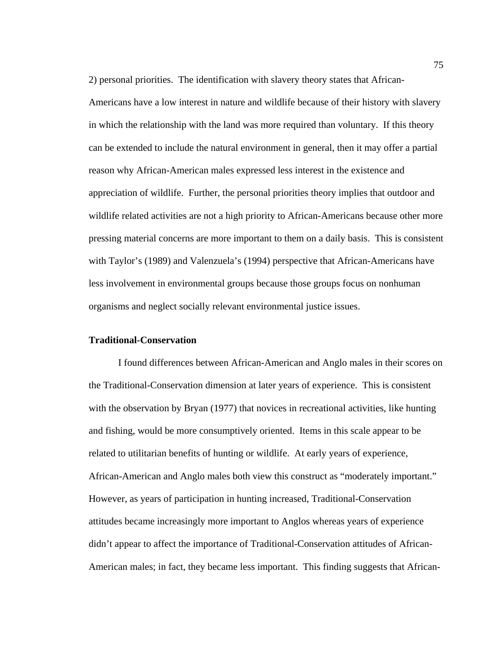2) personal priorities. The identification with slavery theory states that African-Americans have a low interest in nature and wildlife because of their history with slavery in which the relationship with the land was more required than voluntary. If this theory can be extended to include the natural environment in general, then it may offer a partial reason why African-American males expressed less interest in the existence and appreciation of wildlife. Further, the personal priorities theory implies that outdoor and wildlife related activities are not a high priority to African-Americans because other more pressing material concerns are more important to them on a daily basis. This is consistent with Taylor's (1989) and Valenzuela's (1994) perspective that African-Americans have less involvement in environmental groups because those groups focus on nonhuman organisms and neglect socially relevant environmental justice issues.

### **Traditional-Conservation**

 I found differences between African-American and Anglo males in their scores on the Traditional-Conservation dimension at later years of experience. This is consistent with the observation by Bryan (1977) that novices in recreational activities, like hunting and fishing, would be more consumptively oriented. Items in this scale appear to be related to utilitarian benefits of hunting or wildlife. At early years of experience, African-American and Anglo males both view this construct as "moderately important." However, as years of participation in hunting increased, Traditional-Conservation attitudes became increasingly more important to Anglos whereas years of experience didn't appear to affect the importance of Traditional-Conservation attitudes of African-American males; in fact, they became less important. This finding suggests that African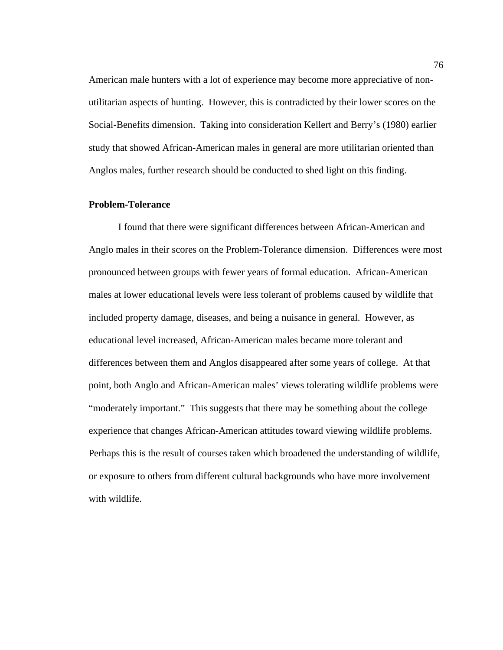American male hunters with a lot of experience may become more appreciative of nonutilitarian aspects of hunting. However, this is contradicted by their lower scores on the Social-Benefits dimension. Taking into consideration Kellert and Berry's (1980) earlier study that showed African-American males in general are more utilitarian oriented than Anglos males, further research should be conducted to shed light on this finding.

## **Problem-Tolerance**

 I found that there were significant differences between African-American and Anglo males in their scores on the Problem-Tolerance dimension. Differences were most pronounced between groups with fewer years of formal education. African-American males at lower educational levels were less tolerant of problems caused by wildlife that included property damage, diseases, and being a nuisance in general. However, as educational level increased, African-American males became more tolerant and differences between them and Anglos disappeared after some years of college. At that point, both Anglo and African-American males' views tolerating wildlife problems were "moderately important." This suggests that there may be something about the college experience that changes African-American attitudes toward viewing wildlife problems. Perhaps this is the result of courses taken which broadened the understanding of wildlife, or exposure to others from different cultural backgrounds who have more involvement with wildlife.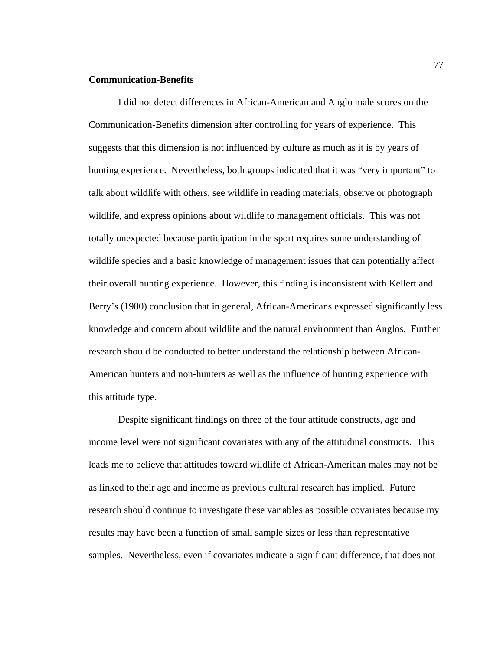### **Communication-Benefits**

 I did not detect differences in African-American and Anglo male scores on the Communication-Benefits dimension after controlling for years of experience. This suggests that this dimension is not influenced by culture as much as it is by years of hunting experience. Nevertheless, both groups indicated that it was "very important" to talk about wildlife with others, see wildlife in reading materials, observe or photograph wildlife, and express opinions about wildlife to management officials. This was not totally unexpected because participation in the sport requires some understanding of wildlife species and a basic knowledge of management issues that can potentially affect their overall hunting experience. However, this finding is inconsistent with Kellert and Berry's (1980) conclusion that in general, African-Americans expressed significantly less knowledge and concern about wildlife and the natural environment than Anglos. Further research should be conducted to better understand the relationship between African-American hunters and non-hunters as well as the influence of hunting experience with this attitude type.

 Despite significant findings on three of the four attitude constructs, age and income level were not significant covariates with any of the attitudinal constructs. This leads me to believe that attitudes toward wildlife of African-American males may not be as linked to their age and income as previous cultural research has implied. Future research should continue to investigate these variables as possible covariates because my results may have been a function of small sample sizes or less than representative samples. Nevertheless, even if covariates indicate a significant difference, that does not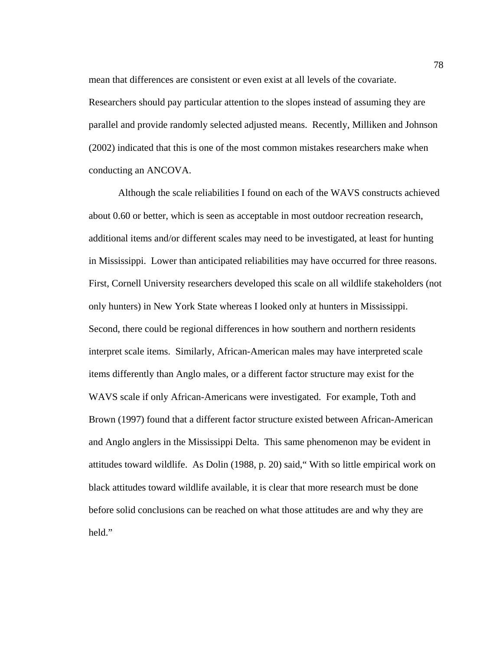mean that differences are consistent or even exist at all levels of the covariate. Researchers should pay particular attention to the slopes instead of assuming they are parallel and provide randomly selected adjusted means. Recently, Milliken and Johnson (2002) indicated that this is one of the most common mistakes researchers make when conducting an ANCOVA.

 Although the scale reliabilities I found on each of the WAVS constructs achieved about 0.60 or better, which is seen as acceptable in most outdoor recreation research, additional items and/or different scales may need to be investigated, at least for hunting in Mississippi. Lower than anticipated reliabilities may have occurred for three reasons. First, Cornell University researchers developed this scale on all wildlife stakeholders (not only hunters) in New York State whereas I looked only at hunters in Mississippi. Second, there could be regional differences in how southern and northern residents interpret scale items. Similarly, African-American males may have interpreted scale items differently than Anglo males, or a different factor structure may exist for the WAVS scale if only African-Americans were investigated. For example, Toth and Brown (1997) found that a different factor structure existed between African-American and Anglo anglers in the Mississippi Delta. This same phenomenon may be evident in attitudes toward wildlife. As Dolin (1988, p. 20) said," With so little empirical work on black attitudes toward wildlife available, it is clear that more research must be done before solid conclusions can be reached on what those attitudes are and why they are held."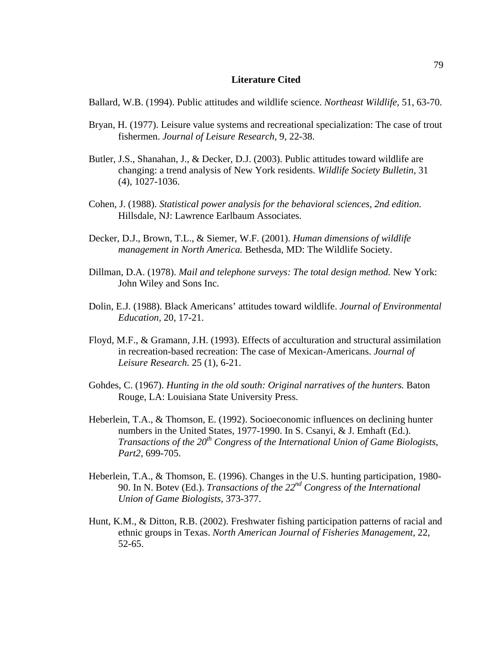#### **Literature Cited**

Ballard, W.B. (1994). Public attitudes and wildlife science. *Northeast Wildlife,* 51, 63-70.

- Bryan, H. (1977). Leisure value systems and recreational specialization: The case of trout fishermen. *Journal of Leisure Research,* 9, 22-38.
- Butler, J.S., Shanahan, J., & Decker, D.J. (2003). Public attitudes toward wildlife are changing: a trend analysis of New York residents. *Wildlife Society Bulletin,* 31 (4), 1027-1036.
- Cohen, J. (1988). *Statistical power analysis for the behavioral sciences, 2nd edition.*  Hillsdale, NJ: Lawrence Earlbaum Associates.
- Decker, D.J., Brown, T.L., & Siemer, W.F. (2001). *Human dimensions of wildlife management in North America.* Bethesda, MD: The Wildlife Society.
- Dillman, D.A. (1978). *Mail and telephone surveys: The total design method.* New York: John Wiley and Sons Inc.
- Dolin, E.J. (1988). Black Americans' attitudes toward wildlife. *Journal of Environmental Education,* 20, 17-21.
- Floyd, M.F., & Gramann, J.H. (1993). Effects of acculturation and structural assimilation in recreation-based recreation: The case of Mexican-Americans. *Journal of Leisure Research.* 25 (1), 6-21.
- Gohdes, C. (1967). *Hunting in the old south: Original narratives of the hunters.* Baton Rouge, LA: Louisiana State University Press.
- Heberlein, T.A., & Thomson, E. (1992). Socioeconomic influences on declining hunter numbers in the United States, 1977-1990. In S. Csanyi, & J. Emhaft (Ed.). *Transactions of the 20th Congress of the International Union of Game Biologists, Part2,* 699-705.
- Heberlein, T.A., & Thomson, E. (1996). Changes in the U.S. hunting participation, 1980- 90. In N. Botev (Ed.). *Transactions of the 22nd Congress of the International Union of Game Biologists,* 373-377.
- Hunt, K.M., & Ditton, R.B. (2002). Freshwater fishing participation patterns of racial and ethnic groups in Texas. *North American Journal of Fisheries Management,* 22, 52-65.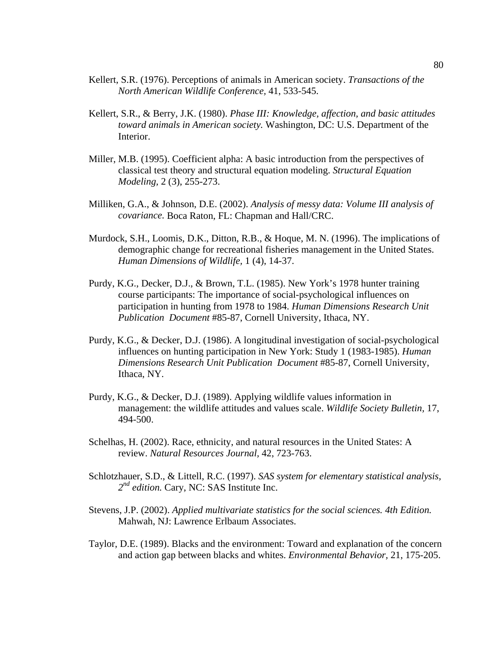- Kellert, S.R. (1976). Perceptions of animals in American society. *Transactions of the North American Wildlife Conference,* 41, 533-545.
- Kellert, S.R., & Berry, J.K. (1980). *Phase III: Knowledge, affection, and basic attitudes toward animals in American society.* Washington, DC: U.S. Department of the Interior.
- Miller, M.B. (1995). Coefficient alpha: A basic introduction from the perspectives of classical test theory and structural equation modeling. *Structural Equation Modeling,* 2 (3), 255-273.
- Milliken, G.A., & Johnson, D.E. (2002). *Analysis of messy data: Volume III analysis of covariance.* Boca Raton, FL: Chapman and Hall/CRC.
- Murdock, S.H., Loomis, D.K., Ditton, R.B., & Hoque, M. N. (1996). The implications of demographic change for recreational fisheries management in the United States. *Human Dimensions of Wildlife,* 1 (4), 14-37.
- Purdy, K.G., Decker, D.J., & Brown, T.L. (1985). New York's 1978 hunter training course participants: The importance of social-psychological influences on participation in hunting from 1978 to 1984. *Human Dimensions Research Unit Publication Document* #85-87, Cornell University, Ithaca, NY.
- Purdy, K.G., & Decker, D.J. (1986). A longitudinal investigation of social-psychological influences on hunting participation in New York: Study 1 (1983-1985). *Human Dimensions Research Unit Publication Document* #85-87, Cornell University, Ithaca, NY.
- Purdy, K.G., & Decker, D.J. (1989). Applying wildlife values information in management: the wildlife attitudes and values scale. *Wildlife Society Bulletin,* 17, 494-500.
- Schelhas, H. (2002). Race, ethnicity, and natural resources in the United States: A review. *Natural Resources Journal,* 42, 723-763.
- Schlotzhauer, S.D., & Littell, R.C. (1997). *SAS system for elementary statistical analysis,*  2<sup>nd</sup> edition. Cary, NC: SAS Institute Inc.
- Stevens, J.P. (2002). *Applied multivariate statistics for the social sciences. 4th Edition.*  Mahwah, NJ: Lawrence Erlbaum Associates.
- Taylor, D.E. (1989). Blacks and the environment: Toward and explanation of the concern and action gap between blacks and whites. *Environmental Behavior,* 21, 175-205.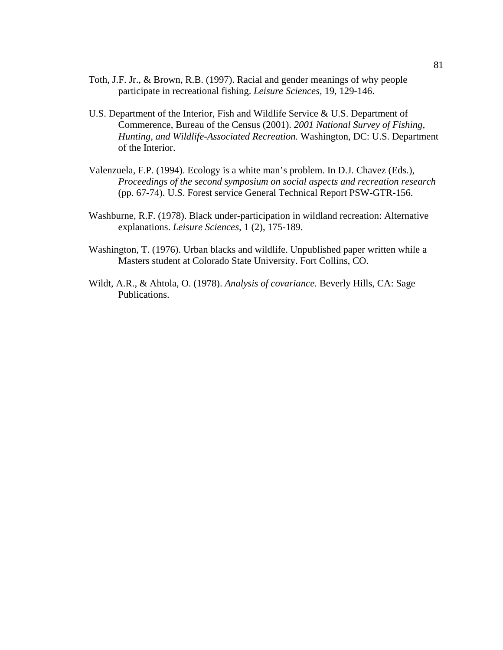- Toth, J.F. Jr., & Brown, R.B. (1997). Racial and gender meanings of why people participate in recreational fishing. *Leisure Sciences,* 19, 129-146.
- U.S. Department of the Interior, Fish and Wildlife Service & U.S. Department of Commerence, Bureau of the Census (2001). *2001 National Survey of Fishing, Hunting, and Wildlife-Associated Recreation.* Washington, DC: U.S. Department of the Interior.
- Valenzuela, F.P. (1994). Ecology is a white man's problem. In D.J. Chavez (Eds.), *Proceedings of the second symposium on social aspects and recreation research*  (pp. 67-74). U.S. Forest service General Technical Report PSW-GTR-156.
- Washburne, R.F. (1978). Black under-participation in wildland recreation: Alternative explanations. *Leisure Sciences,* 1 (2), 175-189.
- Washington, T. (1976). Urban blacks and wildlife. Unpublished paper written while a Masters student at Colorado State University. Fort Collins, CO.
- Wildt, A.R., & Ahtola, O. (1978). *Analysis of covariance.* Beverly Hills, CA: Sage Publications.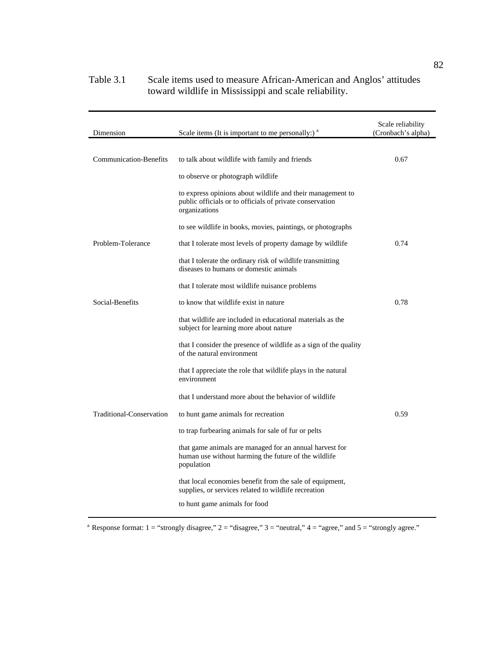| Dimension                     | Scale items (It is important to me personally:) <sup>a</sup>                                                                            | Scale reliability<br>(Cronbach's alpha) |
|-------------------------------|-----------------------------------------------------------------------------------------------------------------------------------------|-----------------------------------------|
|                               |                                                                                                                                         |                                         |
| <b>Communication-Benefits</b> | to talk about wildlife with family and friends                                                                                          | 0.67                                    |
|                               | to observe or photograph wildlife                                                                                                       |                                         |
|                               | to express opinions about wildlife and their management to<br>public officials or to officials of private conservation<br>organizations |                                         |
|                               | to see wildlife in books, movies, paintings, or photographs                                                                             |                                         |
| Problem-Tolerance             | that I tolerate most levels of property damage by wildlife                                                                              | 0.74                                    |
|                               | that I tolerate the ordinary risk of wildlife transmitting<br>diseases to humans or domestic animals                                    |                                         |
|                               | that I tolerate most wildlife nuisance problems                                                                                         |                                         |
| Social-Benefits               | to know that wildlife exist in nature                                                                                                   | 0.78                                    |
|                               | that wildlife are included in educational materials as the<br>subject for learning more about nature                                    |                                         |
|                               | that I consider the presence of wildlife as a sign of the quality<br>of the natural environment                                         |                                         |
|                               | that I appreciate the role that wildlife plays in the natural<br>environment                                                            |                                         |
|                               | that I understand more about the behavior of wildlife                                                                                   |                                         |
| Traditional-Conservation      | to hunt game animals for recreation                                                                                                     | 0.59                                    |
|                               | to trap furbearing animals for sale of fur or pelts                                                                                     |                                         |
|                               | that game animals are managed for an annual harvest for<br>human use without harming the future of the wildlife<br>population           |                                         |
|                               | that local economies benefit from the sale of equipment,<br>supplies, or services related to wildlife recreation                        |                                         |
|                               | to hunt game animals for food                                                                                                           |                                         |

## Table 3.1 Scale items used to measure African-American and Anglos' attitudes toward wildlife in Mississippi and scale reliability.

<sup>a</sup> Response format:  $1 =$  "strongly disagree,"  $2 =$  "disagree,"  $3 =$  "neutral,"  $4 =$  "agree," and  $5 =$  "strongly agree."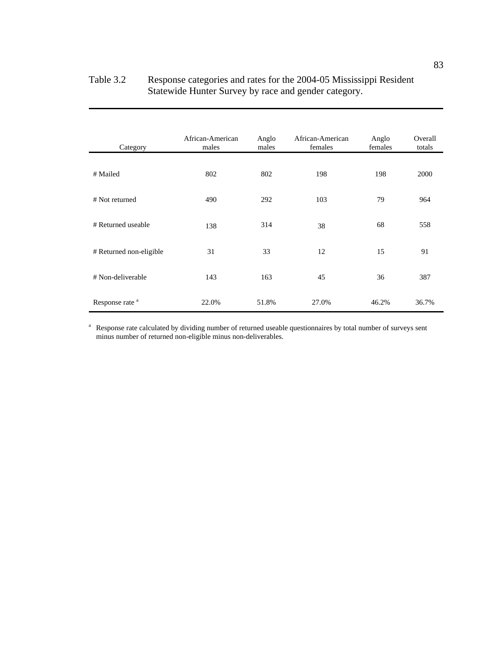| Table 3.2 | Response categories and rates for the 2004-05 Mississippi Resident |
|-----------|--------------------------------------------------------------------|
|           | Statewide Hunter Survey by race and gender category.               |

| Category                   | African-American<br>males | Anglo<br>males | African-American<br>females | Anglo<br>females | Overall<br>totals |
|----------------------------|---------------------------|----------------|-----------------------------|------------------|-------------------|
| # Mailed                   | 802                       | 802            | 198                         | 198              | 2000              |
| # Not returned             | 490                       | 292            | 103                         | 79               | 964               |
| # Returned useable         | 138                       | 314            | 38                          | 68               | 558               |
| # Returned non-eligible    | 31                        | 33             | 12                          | 15               | 91                |
| # Non-deliverable          | 143                       | 163            | 45                          | 36               | 387               |
| Response rate <sup>a</sup> | 22.0%                     | 51.8%          | 27.0%                       | 46.2%            | 36.7%             |
|                            |                           |                |                             |                  |                   |

<sup>a</sup> Response rate calculated by dividing number of returned useable questionnaires by total number of surveys sent minus number of returned non-eligible minus non-deliverables.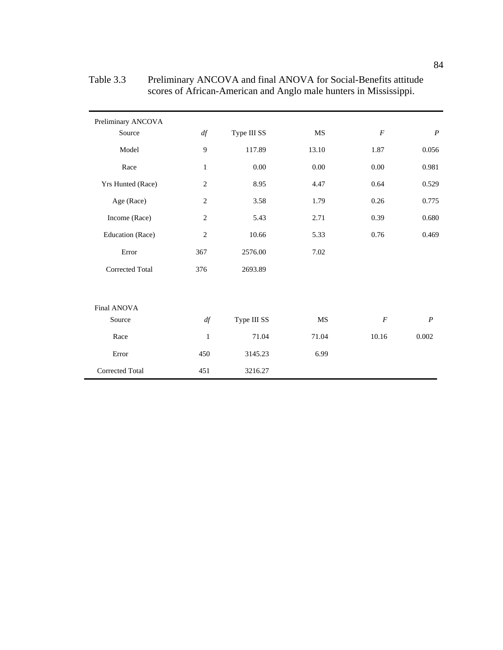| Preliminary ANCOVA     |                |             |       |                  |                  |
|------------------------|----------------|-------------|-------|------------------|------------------|
| Source                 | df             | Type III SS | MS    | $\overline{F}$   | $\boldsymbol{P}$ |
| Model                  | 9              | 117.89      | 13.10 | 1.87             | 0.056            |
| Race                   | $\mathbf{1}$   | 0.00        | 0.00  | 0.00             | 0.981            |
| Yrs Hunted (Race)      | $\overline{c}$ | 8.95        | 4.47  | 0.64             | 0.529            |
| Age (Race)             | $\overline{c}$ | 3.58        | 1.79  | 0.26             | 0.775            |
| Income (Race)          | $\overline{c}$ | 5.43        | 2.71  | 0.39             | 0.680            |
| Education (Race)       | $\overline{2}$ | 10.66       | 5.33  | 0.76             | 0.469            |
| Error                  | 367            | 2576.00     | 7.02  |                  |                  |
| <b>Corrected Total</b> | 376            | 2693.89     |       |                  |                  |
|                        |                |             |       |                  |                  |
| Final ANOVA            |                |             |       |                  |                  |
| Source                 | df             | Type III SS | MS    | $\boldsymbol{F}$ | $\boldsymbol{P}$ |
| Race                   | 1              | 71.04       | 71.04 | 10.16            | 0.002            |
| Error                  | 450            | 3145.23     | 6.99  |                  |                  |
| Corrected Total        | 451            | 3216.27     |       |                  |                  |

Table 3.3 Preliminary ANCOVA and final ANOVA for Social-Benefits attitude scores of African-American and Anglo male hunters in Mississippi.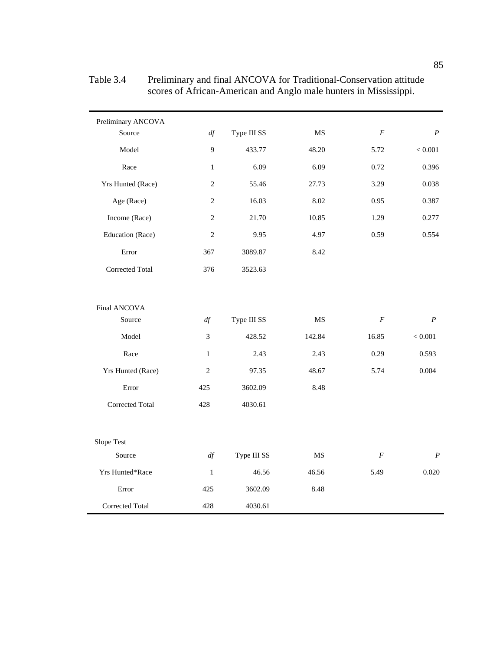| Preliminary ANCOVA |                |             |           |                  |                  |
|--------------------|----------------|-------------|-----------|------------------|------------------|
| Source             | df             | Type III SS | MS        | $\overline{F}$   | $\boldsymbol{P}$ |
| Model              | 9              | 433.77      | 48.20     | 5.72             | $< 0.001$        |
| Race               | $\mathbf{1}$   | 6.09        | 6.09      | 0.72             | 0.396            |
| Yrs Hunted (Race)  | $\overline{2}$ | 55.46       | 27.73     | 3.29             | 0.038            |
| Age (Race)         | $\overline{c}$ | 16.03       | 8.02      | 0.95             | 0.387            |
| Income (Race)      | $\sqrt{2}$     | 21.70       | 10.85     | 1.29             | 0.277            |
| Education (Race)   | $\overline{c}$ | 9.95        | 4.97      | 0.59             | 0.554            |
| Error              | 367            | 3089.87     | 8.42      |                  |                  |
| Corrected Total    | 376            | 3523.63     |           |                  |                  |
| Final ANCOVA       |                |             |           |                  |                  |
| Source             | df             | Type III SS | <b>MS</b> | $\boldsymbol{F}$ | $\overline{P}$   |
| Model              | 3              | 428.52      | 142.84    | 16.85            | $< 0.001\,$      |
| Race               | $\mathbf{1}$   | 2.43        | 2.43      | 0.29             | 0.593            |
| Yrs Hunted (Race)  | $\overline{2}$ | 97.35       | 48.67     | 5.74             | 0.004            |
| Error              | 425            | 3602.09     | 8.48      |                  |                  |
| Corrected Total    | 428            | 4030.61     |           |                  |                  |
| Slope Test         |                |             |           |                  |                  |
| Source             | df             | Type III SS | <b>MS</b> | $\boldsymbol{F}$ | $\boldsymbol{P}$ |
| Yrs Hunted*Race    | $\mathbf{1}$   | 46.56       | 46.56     | 5.49             | 0.020            |
| Error              | 425            | 3602.09     | 8.48      |                  |                  |
| Corrected Total    | 428            | 4030.61     |           |                  |                  |

Table 3.4 Preliminary and final ANCOVA for Traditional-Conservation attitude scores of African-American and Anglo male hunters in Mississippi.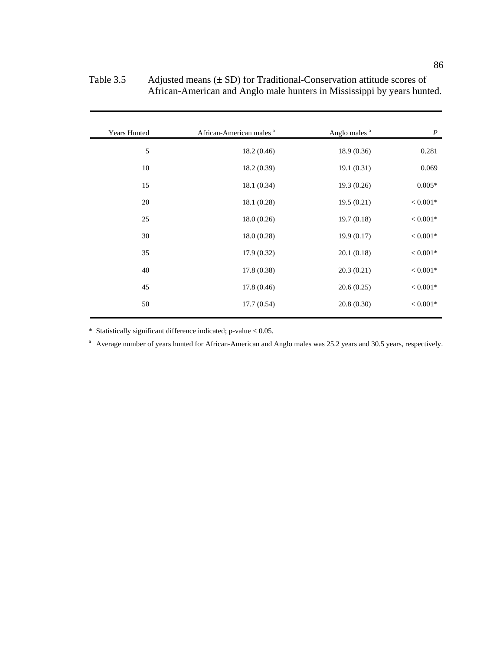| <b>Years Hunted</b> | African-American males <sup>a</sup> | Anglo males <sup>a</sup> | $\boldsymbol{P}$ |
|---------------------|-------------------------------------|--------------------------|------------------|
| $\sqrt{5}$          | 18.2(0.46)                          | 18.9(0.36)               | 0.281            |
| 10                  | 18.2(0.39)                          | 19.1(0.31)               | 0.069            |
| 15                  | 18.1(0.34)                          | 19.3(0.26)               | $0.005*$         |
| 20                  | 18.1(0.28)                          | 19.5(0.21)               | $< 0.001*$       |
| 25                  | 18.0(0.26)                          | 19.7(0.18)               | $< 0.001*$       |
| 30                  | 18.0(0.28)                          | 19.9(0.17)               | $< 0.001*$       |
| 35                  | 17.9(0.32)                          | 20.1(0.18)               | $< 0.001*$       |
| 40                  | 17.8(0.38)                          | 20.3(0.21)               | $< 0.001*$       |
| 45                  | 17.8(0.46)                          | 20.6(0.25)               | $< 0.001*$       |
| 50                  | 17.7(0.54)                          | 20.8(0.30)               | $< 0.001*$       |

Table 3.5 Adjusted means (± SD) for Traditional-Conservation attitude scores of African-American and Anglo male hunters in Mississippi by years hunted.

\* Statistically significant difference indicated; p-value < 0.05.

<sup>a</sup> Average number of years hunted for African-American and Anglo males was 25.2 years and 30.5 years, respectively.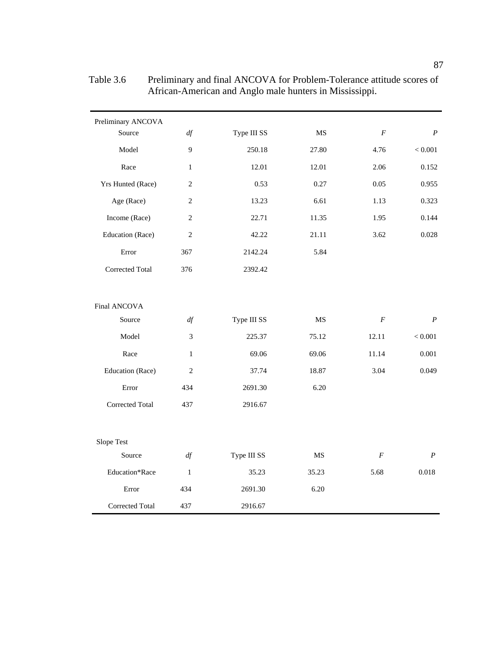| Preliminary ANCOVA<br>Source | df             | Type III SS | MS        | $\boldsymbol{F}$ | $\boldsymbol{P}$ |
|------------------------------|----------------|-------------|-----------|------------------|------------------|
| Model                        | 9              | 250.18      | 27.80     | 4.76             | $< 0.001$        |
| Race                         | $\mathbf{1}$   | 12.01       | 12.01     | 2.06             | 0.152            |
| Yrs Hunted (Race)            | $\overline{c}$ | 0.53        | 0.27      | 0.05             | 0.955            |
| Age (Race)                   | $\overline{2}$ | 13.23       | 6.61      | 1.13             | 0.323            |
| Income (Race)                | $\overline{2}$ | 22.71       | 11.35     | 1.95             | 0.144            |
| Education (Race)             | $\overline{2}$ | 42.22       | 21.11     | 3.62             | 0.028            |
| Error                        | 367            | 2142.24     | 5.84      |                  |                  |
| <b>Corrected Total</b>       | 376            | 2392.42     |           |                  |                  |
|                              |                |             |           |                  |                  |
| Final ANCOVA                 |                |             |           |                  |                  |
| Source                       | df             | Type III SS | <b>MS</b> | $\boldsymbol{F}$ | $\boldsymbol{P}$ |
| Model                        | 3              | 225.37      | 75.12     | 12.11            | $< 0.001$        |
| Race                         | $\mathbf{1}$   | 69.06       | 69.06     | 11.14            | 0.001            |
| Education (Race)             | $\overline{2}$ | 37.74       | 18.87     | 3.04             | 0.049            |
| Error                        | 434            | 2691.30     | 6.20      |                  |                  |
| <b>Corrected Total</b>       | 437            | 2916.67     |           |                  |                  |
|                              |                |             |           |                  |                  |
| Slope Test                   |                |             |           |                  |                  |
| Source                       | df             | Type III SS | MS        | F                | $\boldsymbol{P}$ |
| Education*Race               | $\mathbf{1}$   | 35.23       | 35.23     | 5.68             | 0.018            |
| Error                        | 434            | 2691.30     | 6.20      |                  |                  |
| Corrected Total              | 437            | 2916.67     |           |                  |                  |

Table 3.6 Preliminary and final ANCOVA for Problem-Tolerance attitude scores of African-American and Anglo male hunters in Mississippi.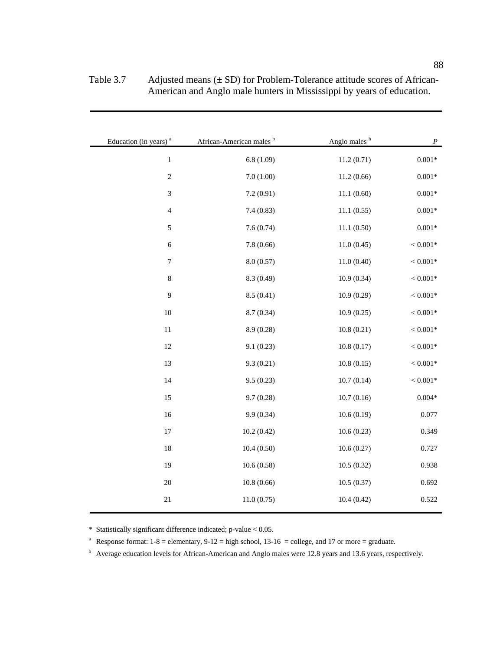| $\boldsymbol{P}$    | Anglo males <sup>b</sup> | African-American males <sup>b</sup> | Education (in years) <sup>a</sup> |
|---------------------|--------------------------|-------------------------------------|-----------------------------------|
| $0.001\,ast$        | 11.2(0.71)               | 6.8(1.09)                           | $\,1\,$                           |
| $0.001\,ast$        | 11.2(0.66)               | 7.0(1.00)                           | $\sqrt{2}$                        |
| $0.001\mathrm{*}$   | 11.1(0.60)               | 7.2(0.91)                           | $\sqrt{3}$                        |
| $0.001\,{*}$        | 11.1(0.55)               | 7.4(0.83)                           | $\overline{4}$                    |
| $0.001\,ast$        | 11.1(0.50)               | 7.6(0.74)                           | 5                                 |
| $< 0.001\mathrm{*}$ | 11.0(0.45)               | 7.8(0.66)                           | $\sqrt{6}$                        |
| $< 0.001\mathrm{*}$ | 11.0(0.40)               | 8.0(0.57)                           | $\boldsymbol{7}$                  |
| $< 0.001\mathrm{*}$ | 10.9(0.34)               | 8.3 (0.49)                          | $\,8\,$                           |
| $< 0.001\mathrm{*}$ | 10.9(0.29)               | 8.5(0.41)                           | 9                                 |
| $< 0.001\mathrm{*}$ | 10.9(0.25)               | 8.7(0.34)                           | $10\,$                            |
| $< 0.001\mathrm{*}$ | 10.8(0.21)               | 8.9(0.28)                           | $11\,$                            |
| $< 0.001\mathrm{*}$ | 10.8(0.17)               | 9.1(0.23)                           | 12                                |
| $< 0.001\mathrm{*}$ | 10.8(0.15)               | 9.3(0.21)                           | 13                                |
| $< 0.001\mathrm{*}$ | 10.7(0.14)               | 9.5(0.23)                           | 14                                |
| $0.004\,ast$        | 10.7(0.16)               | 9.7(0.28)                           | 15                                |
| 0.077               | 10.6(0.19)               | 9.9 (0.34)                          | 16                                |
| 0.349               | 10.6(0.23)               | 10.2(0.42)                          | 17                                |
| 0.727               | 10.6(0.27)               | 10.4(0.50)                          | 18                                |
| 0.938               | 10.5(0.32)               | 10.6(0.58)                          | 19                                |
| 0.692               | 10.5(0.37)               | 10.8(0.66)                          | $20\,$                            |
| 0.522               | 10.4(0.42)               | 11.0(0.75)                          | $21\,$                            |
|                     |                          |                                     |                                   |

| Table 3.7 | Adjusted means $(\pm SD)$ for Problem-Tolerance attitude scores of African- |
|-----------|-----------------------------------------------------------------------------|
|           | American and Anglo male hunters in Mississippi by years of education.       |

\* Statistically significant difference indicated; p-value < 0.05.

<sup>a</sup> Response format:  $1-8$  = elementary,  $9-12$  = high school,  $13-16$  = college, and 17 or more = graduate.

b Average education levels for African-American and Anglo males were 12.8 years and 13.6 years, respectively.